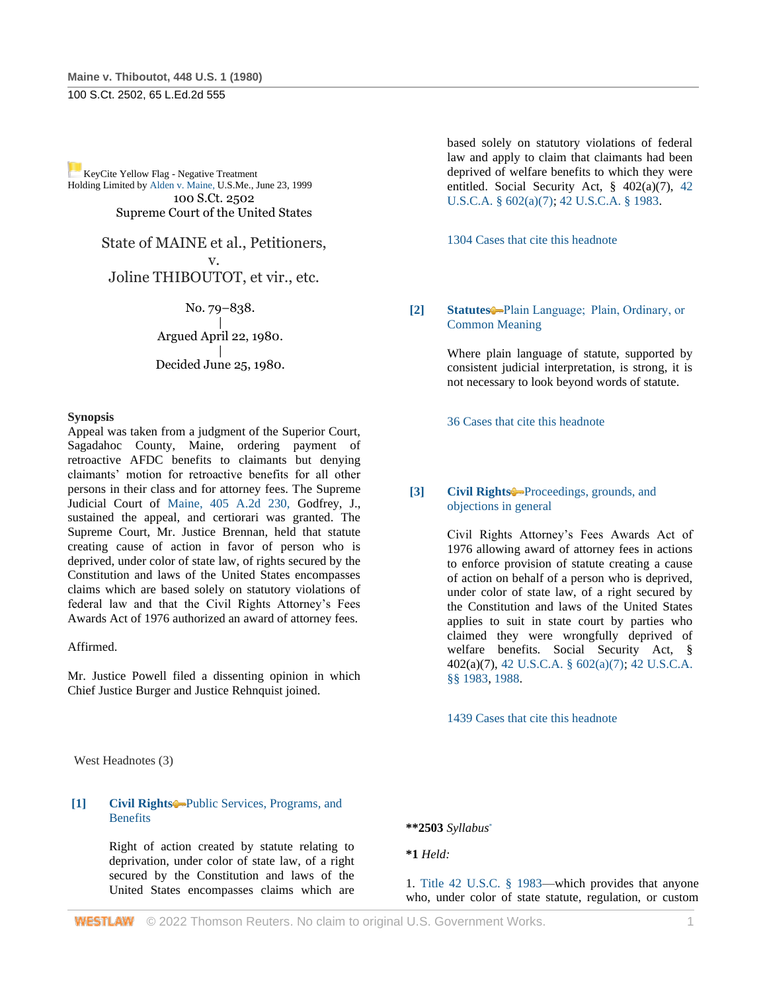[K](http://www.westlaw.com/Link/RelatedInformation/Flag?documentGuid=I179091d39c1f11d993e6d35cc61aab4a&transitionType=Document&originationContext=docHeaderFlag&Rank=0&rs=cblt1.0&vr=3.0&contextData=(sc.DocLink))eyCite Yellow Flag - Negative Treatment Holding Limited b[y Alden v. Maine, U](https://www.westlaw.com/Document/Ibdbfd8d79c2511d9bc61beebb95be672/View/FullText.html?navigationPath=RelatedInfo%2Fv4%2Fkeycite%2Fnav%2F%3Fguid%3DIbdbfd8d79c2511d9bc61beebb95be672%26ss%3D1980116795%26ds%3D1999146865%26origDocGuid%3DI179091d39c1f11d993e6d35cc61aab4a&listSource=RelatedInfo&list=NegativeCitingReferences&rank=0&ppcid=90d86d2f9a7f45dd97b0e59b1bbe978e&originationContext=docHeader&transitionType=NegativeTreatment&contextData=%28sc.DocLink%29&VR=3.0&RS=cblt1.0).S.Me., June 23, 1999 100 S.Ct. 2502 Supreme Court of the United States

> State of MAINE et al., Petitioners, v. Joline THIBOUTOT, et vir., etc.

> > No. 79–838. | Argued April 22, 1980. | Decided June 25, 1980.

### **Synopsis**

Appeal was taken from a judgment of the Superior Court, Sagadahoc County, Maine, ordering payment of retroactive AFDC benefits to claimants but denying claimants' motion for retroactive benefits for all other persons in their class and for attorney fees. The Supreme Judicial Court of [Maine, 405 A.2d 230,](http://www.westlaw.com/Link/Document/FullText?findType=Y&serNum=1979110047&pubNum=162&originatingDoc=I179091d39c1f11d993e6d35cc61aab4a&refType=RP&originationContext=document&vr=3.0&rs=cblt1.0&transitionType=DocumentItem&contextData=(sc.DocLink)) Godfrey, J., sustained the appeal, and certiorari was granted. The Supreme Court, Mr. Justice Brennan, held that statute creating cause of action in favor of person who is deprived, under color of state law, of rights secured by the Constitution and laws of the United States encompasses claims which are based solely on statutory violations of federal law and that the Civil Rights Attorney's Fees Awards Act of 1976 authorized an award of attorney fees.

Affirmed.

Mr. Justice Powell filed a dissenting opinion in which Chief Justice Burger and Justice Rehnquist joined.

based solely on statutory violations of federal law and apply to claim that claimants had been deprived of welfare benefits to which they were entitled. Social Security Act, § 402(a)(7), [42](http://www.westlaw.com/Link/Document/FullText?findType=L&pubNum=1000546&cite=42USCAS602&originatingDoc=I179091d39c1f11d993e6d35cc61aab4a&refType=LQ&originationContext=document&vr=3.0&rs=cblt1.0&transitionType=DocumentItem&contextData=(sc.DocLink))  [U.S.C.A. § 602\(a\)\(7\);](http://www.westlaw.com/Link/Document/FullText?findType=L&pubNum=1000546&cite=42USCAS602&originatingDoc=I179091d39c1f11d993e6d35cc61aab4a&refType=LQ&originationContext=document&vr=3.0&rs=cblt1.0&transitionType=DocumentItem&contextData=(sc.DocLink)) [42 U.S.C.A. § 1983.](http://www.westlaw.com/Link/Document/FullText?findType=L&pubNum=1000546&cite=42USCAS1983&originatingDoc=I179091d39c1f11d993e6d35cc61aab4a&refType=LQ&originationContext=document&vr=3.0&rs=cblt1.0&transitionType=DocumentItem&contextData=(sc.DocLink))

[1304 Cases that cite this headnote](http://www.westlaw.com/Link/RelatedInformation/DocHeadnoteLink?docGuid=I179091d39c1f11d993e6d35cc61aab4a&headnoteId=198011679500120151215084040&originationContext=document&vr=3.0&rs=cblt1.0&transitionType=CitingReferences&contextData=(sc.DocLink))

**[2] [Statutes](http://www.westlaw.com/Browse/Home/KeyNumber/361/View.html?docGuid=I179091d39c1f11d993e6d35cc61aab4a&originationContext=document&vr=3.0&rs=cblt1.0&transitionType=DocumentItem&contextData=(sc.DocLink))** Plain Language; **Plain, Ordinary**, or [Common Meaning](http://www.westlaw.com/Browse/Home/KeyNumber/361III(B)/View.html?docGuid=I179091d39c1f11d993e6d35cc61aab4a&originationContext=document&vr=3.0&rs=cblt1.0&transitionType=DocumentItem&contextData=(sc.DocLink))

> Where plain language of statute, supported by consistent judicial interpretation, is strong, it is not necessary to look beyond words of statute.

[36 Cases that cite this headnote](http://www.westlaw.com/Link/RelatedInformation/DocHeadnoteLink?docGuid=I179091d39c1f11d993e6d35cc61aab4a&headnoteId=198011679500220151215084040&originationContext=document&vr=3.0&rs=cblt1.0&transitionType=CitingReferences&contextData=(sc.DocLink))

**[3] [Civil Rights](http://www.westlaw.com/Browse/Home/KeyNumber/78/View.html?docGuid=I179091d39c1f11d993e6d35cc61aab4a&originationContext=document&vr=3.0&rs=cblt1.0&transitionType=DocumentItem&contextData=(sc.DocLink))** [Proceedings, grounds, and](http://www.westlaw.com/Browse/Home/KeyNumber/78k1479/View.html?docGuid=I179091d39c1f11d993e6d35cc61aab4a&originationContext=document&vr=3.0&rs=cblt1.0&transitionType=DocumentItem&contextData=(sc.DocLink))  [objections in general](http://www.westlaw.com/Browse/Home/KeyNumber/78k1479/View.html?docGuid=I179091d39c1f11d993e6d35cc61aab4a&originationContext=document&vr=3.0&rs=cblt1.0&transitionType=DocumentItem&contextData=(sc.DocLink))

> Civil Rights Attorney's Fees Awards Act of 1976 allowing award of attorney fees in actions to enforce provision of statute creating a cause of action on behalf of a person who is deprived, under color of state law, of a right secured by the Constitution and laws of the United States applies to suit in state court by parties who claimed they were wrongfully deprived of welfare benefits. Social Security Act, § 402(a)(7), [42 U.S.C.A. § 602\(a\)\(7\);](http://www.westlaw.com/Link/Document/FullText?findType=L&pubNum=1000546&cite=42USCAS602&originatingDoc=I179091d39c1f11d993e6d35cc61aab4a&refType=LQ&originationContext=document&vr=3.0&rs=cblt1.0&transitionType=DocumentItem&contextData=(sc.DocLink)) [42 U.S.C.A.](http://www.westlaw.com/Link/Document/FullText?findType=L&pubNum=1000546&cite=42USCAS1983&originatingDoc=I179091d39c1f11d993e6d35cc61aab4a&refType=LQ&originationContext=document&vr=3.0&rs=cblt1.0&transitionType=DocumentItem&contextData=(sc.DocLink))  [§§ 1983,](http://www.westlaw.com/Link/Document/FullText?findType=L&pubNum=1000546&cite=42USCAS1983&originatingDoc=I179091d39c1f11d993e6d35cc61aab4a&refType=LQ&originationContext=document&vr=3.0&rs=cblt1.0&transitionType=DocumentItem&contextData=(sc.DocLink)) [1988.](http://www.westlaw.com/Link/Document/FullText?findType=L&pubNum=1000546&cite=42USCAS1988&originatingDoc=I179091d39c1f11d993e6d35cc61aab4a&refType=LQ&originationContext=document&vr=3.0&rs=cblt1.0&transitionType=DocumentItem&contextData=(sc.DocLink))

[1439 Cases that cite this headnote](http://www.westlaw.com/Link/RelatedInformation/DocHeadnoteLink?docGuid=I179091d39c1f11d993e6d35cc61aab4a&headnoteId=198011679500320151215084040&originationContext=document&vr=3.0&rs=cblt1.0&transitionType=CitingReferences&contextData=(sc.DocLink))

West Headnotes (3)

### **[1] [Civil Rights](http://www.westlaw.com/Browse/Home/KeyNumber/78/View.html?docGuid=I179091d39c1f11d993e6d35cc61aab4a&originationContext=document&vr=3.0&rs=cblt1.0&transitionType=DocumentItem&contextData=(sc.DocLink))** [Public Services, Programs, and](http://www.westlaw.com/Browse/Home/KeyNumber/78k1051/View.html?docGuid=I179091d39c1f11d993e6d35cc61aab4a&originationContext=document&vr=3.0&rs=cblt1.0&transitionType=DocumentItem&contextData=(sc.DocLink))  [Benefits](http://www.westlaw.com/Browse/Home/KeyNumber/78k1051/View.html?docGuid=I179091d39c1f11d993e6d35cc61aab4a&originationContext=document&vr=3.0&rs=cblt1.0&transitionType=DocumentItem&contextData=(sc.DocLink))

Right of action created by statute relating to deprivation, under color of state law, of a right secured by the Constitution and laws of the United States encompasses claims which are **\*\*2503** *Syllabus*\*

**\*1** *Held:*

1. [Title 42 U.S.C. § 1983—](http://www.westlaw.com/Link/Document/FullText?findType=L&pubNum=1000546&cite=42USCAS1983&originatingDoc=I179091d39c1f11d993e6d35cc61aab4a&refType=LQ&originationContext=document&vr=3.0&rs=cblt1.0&transitionType=DocumentItem&contextData=(sc.DocLink))which provides that anyone who, under color of state statute, regulation, or custom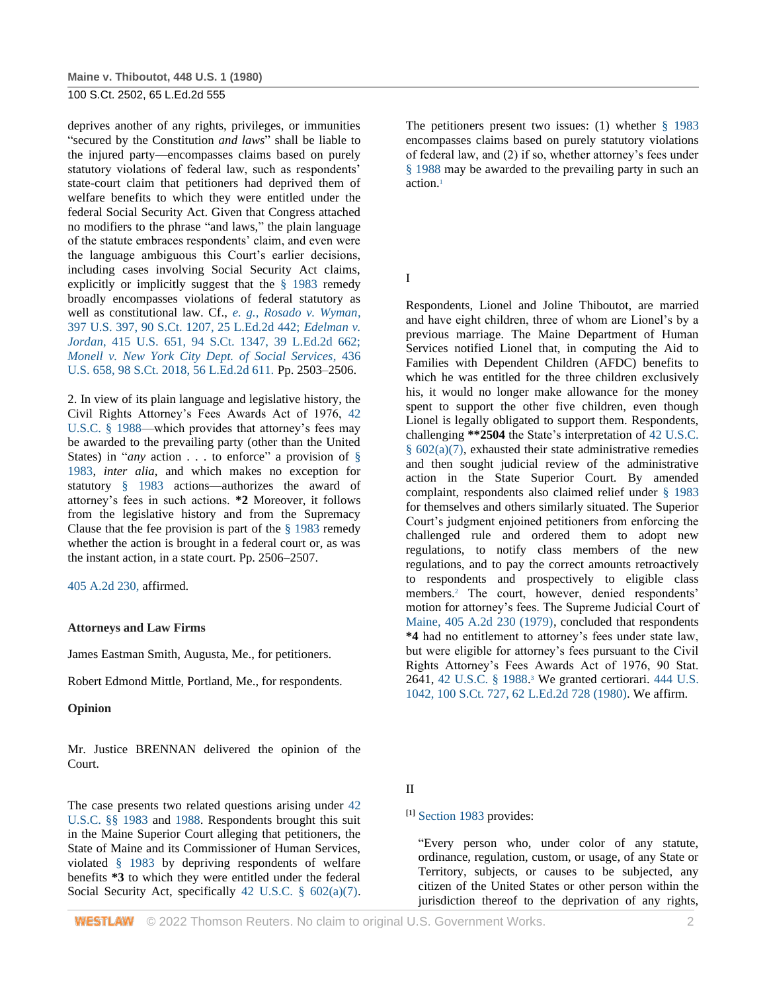deprives another of any rights, privileges, or immunities "secured by the Constitution *and laws*" shall be liable to the injured party—encompasses claims based on purely statutory violations of federal law, such as respondents' state-court claim that petitioners had deprived them of welfare benefits to which they were entitled under the federal Social Security Act. Given that Congress attached no modifiers to the phrase "and laws," the plain language of the statute embraces respondents' claim, and even were the language ambiguous this Court's earlier decisions, including cases involving Social Security Act claims, explicitly or implicitly suggest that the [§ 1983](http://www.westlaw.com/Link/Document/FullText?findType=L&pubNum=1000546&cite=42USCAS1983&originatingDoc=I179091d39c1f11d993e6d35cc61aab4a&refType=LQ&originationContext=document&vr=3.0&rs=cblt1.0&transitionType=DocumentItem&contextData=(sc.DocLink)) remedy broadly encompasses violations of federal statutory as well as constitutional law. Cf., *[e. g., Rosado v. Wyman](http://www.westlaw.com/Link/Document/FullText?findType=Y&serNum=1970134209&pubNum=708&originatingDoc=I179091d39c1f11d993e6d35cc61aab4a&refType=RP&originationContext=document&vr=3.0&rs=cblt1.0&transitionType=DocumentItem&contextData=(sc.DocLink))*, [397 U.S. 397, 90 S.Ct. 1207, 25 L.Ed.2d 442;](http://www.westlaw.com/Link/Document/FullText?findType=Y&serNum=1970134209&pubNum=708&originatingDoc=I179091d39c1f11d993e6d35cc61aab4a&refType=RP&originationContext=document&vr=3.0&rs=cblt1.0&transitionType=DocumentItem&contextData=(sc.DocLink)) *[Edelman v.](http://www.westlaw.com/Link/Document/FullText?findType=Y&serNum=1974127158&pubNum=708&originatingDoc=I179091d39c1f11d993e6d35cc61aab4a&refType=RP&originationContext=document&vr=3.0&rs=cblt1.0&transitionType=DocumentItem&contextData=(sc.DocLink))  Jordan*[, 415 U.S. 651, 94 S.Ct. 1347, 39 L.Ed.2d 662;](http://www.westlaw.com/Link/Document/FullText?findType=Y&serNum=1974127158&pubNum=708&originatingDoc=I179091d39c1f11d993e6d35cc61aab4a&refType=RP&originationContext=document&vr=3.0&rs=cblt1.0&transitionType=DocumentItem&contextData=(sc.DocLink)) *[Monell v. New York City Dept. of Social Services](http://www.westlaw.com/Link/Document/FullText?findType=Y&serNum=1978114250&pubNum=708&originatingDoc=I179091d39c1f11d993e6d35cc61aab4a&refType=RP&originationContext=document&vr=3.0&rs=cblt1.0&transitionType=DocumentItem&contextData=(sc.DocLink))*, 436 [U.S. 658, 98 S.Ct. 2018, 56 L.Ed.2d 611.](http://www.westlaw.com/Link/Document/FullText?findType=Y&serNum=1978114250&pubNum=708&originatingDoc=I179091d39c1f11d993e6d35cc61aab4a&refType=RP&originationContext=document&vr=3.0&rs=cblt1.0&transitionType=DocumentItem&contextData=(sc.DocLink)) Pp. 2503–2506.

2. In view of its plain language and legislative history, the Civil Rights Attorney's Fees Awards Act of 1976, [42](http://www.westlaw.com/Link/Document/FullText?findType=L&pubNum=1000546&cite=42USCAS1988&originatingDoc=I179091d39c1f11d993e6d35cc61aab4a&refType=LQ&originationContext=document&vr=3.0&rs=cblt1.0&transitionType=DocumentItem&contextData=(sc.DocLink))  [U.S.C. § 1988—](http://www.westlaw.com/Link/Document/FullText?findType=L&pubNum=1000546&cite=42USCAS1988&originatingDoc=I179091d39c1f11d993e6d35cc61aab4a&refType=LQ&originationContext=document&vr=3.0&rs=cblt1.0&transitionType=DocumentItem&contextData=(sc.DocLink))which provides that attorney's fees may be awarded to the prevailing party (other than the United States) in "*any* action . . . to enforce" a provision of § [1983,](http://www.westlaw.com/Link/Document/FullText?findType=L&pubNum=1000546&cite=42USCAS1983&originatingDoc=I179091d39c1f11d993e6d35cc61aab4a&refType=LQ&originationContext=document&vr=3.0&rs=cblt1.0&transitionType=DocumentItem&contextData=(sc.DocLink)) *inter alia*, and which makes no exception for statutory [§ 1983](http://www.westlaw.com/Link/Document/FullText?findType=L&pubNum=1000546&cite=42USCAS1983&originatingDoc=I179091d39c1f11d993e6d35cc61aab4a&refType=LQ&originationContext=document&vr=3.0&rs=cblt1.0&transitionType=DocumentItem&contextData=(sc.DocLink)) actions—authorizes the award of attorney's fees in such actions. **\*2** Moreover, it follows from the legislative history and from the Supremacy Clause that the fee provision is part of the [§ 1983](http://www.westlaw.com/Link/Document/FullText?findType=L&pubNum=1000546&cite=42USCAS1983&originatingDoc=I179091d39c1f11d993e6d35cc61aab4a&refType=LQ&originationContext=document&vr=3.0&rs=cblt1.0&transitionType=DocumentItem&contextData=(sc.DocLink)) remedy whether the action is brought in a federal court or, as was the instant action, in a state court. Pp. 2506–2507.

[405 A.2d 230,](http://www.westlaw.com/Link/Document/FullText?findType=Y&serNum=1979110047&pubNum=162&originatingDoc=I179091d39c1f11d993e6d35cc61aab4a&refType=RP&originationContext=document&vr=3.0&rs=cblt1.0&transitionType=DocumentItem&contextData=(sc.DocLink)) affirmed.

## **Attorneys and Law Firms**

James Eastman Smith, Augusta, Me., for petitioners.

Robert Edmond Mittle, Portland, Me., for respondents.

## **Opinion**

Mr. Justice BRENNAN delivered the opinion of the Court.

The case presents two related questions arising under [42](http://www.westlaw.com/Link/Document/FullText?findType=L&pubNum=1000546&cite=42USCAS1983&originatingDoc=I179091d39c1f11d993e6d35cc61aab4a&refType=LQ&originationContext=document&vr=3.0&rs=cblt1.0&transitionType=DocumentItem&contextData=(sc.DocLink))  [U.S.C. §§ 1983](http://www.westlaw.com/Link/Document/FullText?findType=L&pubNum=1000546&cite=42USCAS1983&originatingDoc=I179091d39c1f11d993e6d35cc61aab4a&refType=LQ&originationContext=document&vr=3.0&rs=cblt1.0&transitionType=DocumentItem&contextData=(sc.DocLink)) and [1988.](http://www.westlaw.com/Link/Document/FullText?findType=L&pubNum=1000546&cite=42USCAS1988&originatingDoc=I179091d39c1f11d993e6d35cc61aab4a&refType=LQ&originationContext=document&vr=3.0&rs=cblt1.0&transitionType=DocumentItem&contextData=(sc.DocLink)) Respondents brought this suit in the Maine Superior Court alleging that petitioners, the State of Maine and its Commissioner of Human Services, violated [§ 1983](http://www.westlaw.com/Link/Document/FullText?findType=L&pubNum=1000546&cite=42USCAS1983&originatingDoc=I179091d39c1f11d993e6d35cc61aab4a&refType=LQ&originationContext=document&vr=3.0&rs=cblt1.0&transitionType=DocumentItem&contextData=(sc.DocLink)) by depriving respondents of welfare benefits **\*3** to which they were entitled under the federal Social Security Act, specifically [42 U.S.C. § 602\(a\)\(7\).](http://www.westlaw.com/Link/Document/FullText?findType=L&pubNum=1000546&cite=42USCAS602&originatingDoc=I179091d39c1f11d993e6d35cc61aab4a&refType=RB&originationContext=document&vr=3.0&rs=cblt1.0&transitionType=DocumentItem&contextData=(sc.DocLink)#co_pp_36f10000408d4) The petitioners present two issues: (1) whether  $\S$  1983 encompasses claims based on purely statutory violations of federal law, and (2) if so, whether attorney's fees under [§ 1988](http://www.westlaw.com/Link/Document/FullText?findType=L&pubNum=1000546&cite=42USCAS1988&originatingDoc=I179091d39c1f11d993e6d35cc61aab4a&refType=LQ&originationContext=document&vr=3.0&rs=cblt1.0&transitionType=DocumentItem&contextData=(sc.DocLink)) may be awarded to the prevailing party in such an action.<sup>1</sup>

I

Respondents, Lionel and Joline Thiboutot, are married and have eight children, three of whom are Lionel's by a previous marriage. The Maine Department of Human Services notified Lionel that, in computing the Aid to Families with Dependent Children (AFDC) benefits to which he was entitled for the three children exclusively his, it would no longer make allowance for the money spent to support the other five children, even though Lionel is legally obligated to support them. Respondents, challenging **\*\*2504** the State's interpretation of [42 U.S.C.](http://www.westlaw.com/Link/Document/FullText?findType=L&pubNum=1000546&cite=42USCAS602&originatingDoc=I179091d39c1f11d993e6d35cc61aab4a&refType=RB&originationContext=document&vr=3.0&rs=cblt1.0&transitionType=DocumentItem&contextData=(sc.DocLink)#co_pp_36f10000408d4)  [§ 602\(a\)\(7\),](http://www.westlaw.com/Link/Document/FullText?findType=L&pubNum=1000546&cite=42USCAS602&originatingDoc=I179091d39c1f11d993e6d35cc61aab4a&refType=RB&originationContext=document&vr=3.0&rs=cblt1.0&transitionType=DocumentItem&contextData=(sc.DocLink)#co_pp_36f10000408d4) exhausted their state administrative remedies and then sought judicial review of the administrative action in the State Superior Court. By amended complaint, respondents also claimed relief under [§ 1983](http://www.westlaw.com/Link/Document/FullText?findType=L&pubNum=1000546&cite=42USCAS1983&originatingDoc=I179091d39c1f11d993e6d35cc61aab4a&refType=LQ&originationContext=document&vr=3.0&rs=cblt1.0&transitionType=DocumentItem&contextData=(sc.DocLink)) for themselves and others similarly situated. The Superior Court's judgment enjoined petitioners from enforcing the challenged rule and ordered them to adopt new regulations, to notify class members of the new regulations, and to pay the correct amounts retroactively to respondents and prospectively to eligible class members.<sup>2</sup> The court, however, denied respondents' motion for attorney's fees. The Supreme Judicial Court of [Maine, 405 A.2d 230 \(1979\),](http://www.westlaw.com/Link/Document/FullText?findType=Y&serNum=1979110047&pubNum=162&originatingDoc=I179091d39c1f11d993e6d35cc61aab4a&refType=RP&originationContext=document&vr=3.0&rs=cblt1.0&transitionType=DocumentItem&contextData=(sc.DocLink)) concluded that respondents **\*4** had no entitlement to attorney's fees under state law, but were eligible for attorney's fees pursuant to the Civil Rights Attorney's Fees Awards Act of 1976, 90 Stat. 2641, [42 U.S.C. § 1988.](http://www.westlaw.com/Link/Document/FullText?findType=L&pubNum=1000546&cite=42USCAS1988&originatingDoc=I179091d39c1f11d993e6d35cc61aab4a&refType=LQ&originationContext=document&vr=3.0&rs=cblt1.0&transitionType=DocumentItem&contextData=(sc.DocLink)) <sup>3</sup> We granted certiorari. [444 U.S.](http://www.westlaw.com/Link/Document/FullText?findType=Y&serNum=1980238529&pubNum=708&originatingDoc=I179091d39c1f11d993e6d35cc61aab4a&refType=RP&originationContext=document&vr=3.0&rs=cblt1.0&transitionType=DocumentItem&contextData=(sc.DocLink))  [1042, 100 S.Ct. 727, 62 L.Ed.2d 728 \(1980\).](http://www.westlaw.com/Link/Document/FullText?findType=Y&serNum=1980238529&pubNum=708&originatingDoc=I179091d39c1f11d993e6d35cc61aab4a&refType=RP&originationContext=document&vr=3.0&rs=cblt1.0&transitionType=DocumentItem&contextData=(sc.DocLink)) We affirm.

## II

**[1]** [Section 1983](http://www.westlaw.com/Link/Document/FullText?findType=L&pubNum=1000546&cite=42USCAS1983&originatingDoc=I179091d39c1f11d993e6d35cc61aab4a&refType=LQ&originationContext=document&vr=3.0&rs=cblt1.0&transitionType=DocumentItem&contextData=(sc.DocLink)) provides:

"Every person who, under color of any statute, ordinance, regulation, custom, or usage, of any State or Territory, subjects, or causes to be subjected, any citizen of the United States or other person within the jurisdiction thereof to the deprivation of any rights,

**WESTLAW** © 2022 Thomson Reuters. No claim to original U.S. Government Works. 2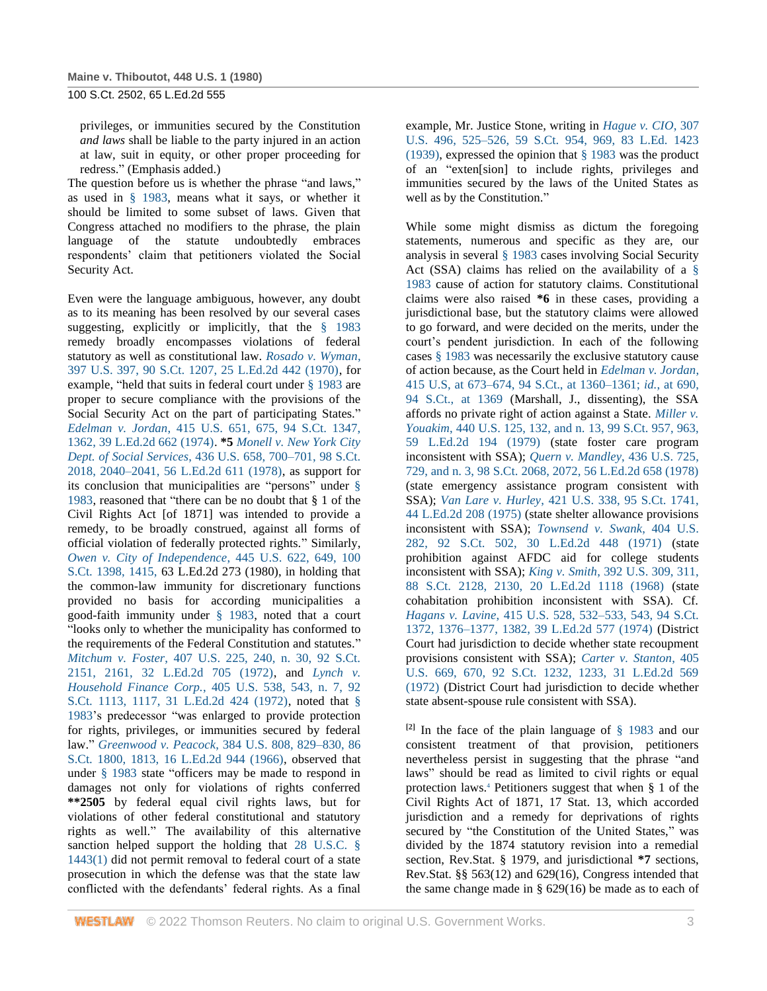privileges, or immunities secured by the Constitution *and laws* shall be liable to the party injured in an action at law, suit in equity, or other proper proceeding for redress." (Emphasis added.)

The question before us is whether the phrase "and laws," as used in [§ 1983,](http://www.westlaw.com/Link/Document/FullText?findType=L&pubNum=1000546&cite=42USCAS1983&originatingDoc=I179091d39c1f11d993e6d35cc61aab4a&refType=LQ&originationContext=document&vr=3.0&rs=cblt1.0&transitionType=DocumentItem&contextData=(sc.DocLink)) means what it says, or whether it should be limited to some subset of laws. Given that Congress attached no modifiers to the phrase, the plain language of the statute undoubtedly embraces respondents' claim that petitioners violated the Social Security Act.

Even were the language ambiguous, however, any doubt as to its meaning has been resolved by our several cases suggesting, explicitly or implicitly, that the  $\S$  1983 remedy broadly encompasses violations of federal statutory as well as constitutional law. *[Rosado v. Wyman](http://www.westlaw.com/Link/Document/FullText?findType=Y&serNum=1970134209&pubNum=708&originatingDoc=I179091d39c1f11d993e6d35cc61aab4a&refType=RP&originationContext=document&vr=3.0&rs=cblt1.0&transitionType=DocumentItem&contextData=(sc.DocLink))*, [397 U.S. 397, 90 S.Ct. 1207, 25 L.Ed.2d 442 \(1970\),](http://www.westlaw.com/Link/Document/FullText?findType=Y&serNum=1970134209&pubNum=708&originatingDoc=I179091d39c1f11d993e6d35cc61aab4a&refType=RP&originationContext=document&vr=3.0&rs=cblt1.0&transitionType=DocumentItem&contextData=(sc.DocLink)) for example, "held that suits in federal court under [§ 1983](http://www.westlaw.com/Link/Document/FullText?findType=L&pubNum=1000546&cite=42USCAS1983&originatingDoc=I179091d39c1f11d993e6d35cc61aab4a&refType=LQ&originationContext=document&vr=3.0&rs=cblt1.0&transitionType=DocumentItem&contextData=(sc.DocLink)) are proper to secure compliance with the provisions of the Social Security Act on the part of participating States." *Edelman v. Jordan*[, 415 U.S. 651, 675, 94 S.Ct. 1347,](http://www.westlaw.com/Link/Document/FullText?findType=Y&serNum=1974127158&pubNum=708&originatingDoc=I179091d39c1f11d993e6d35cc61aab4a&refType=RP&fi=co_pp_sp_708_1362&originationContext=document&vr=3.0&rs=cblt1.0&transitionType=DocumentItem&contextData=(sc.DocLink)#co_pp_sp_708_1362)  [1362, 39 L.Ed.2d 662 \(1974\).](http://www.westlaw.com/Link/Document/FullText?findType=Y&serNum=1974127158&pubNum=708&originatingDoc=I179091d39c1f11d993e6d35cc61aab4a&refType=RP&fi=co_pp_sp_708_1362&originationContext=document&vr=3.0&rs=cblt1.0&transitionType=DocumentItem&contextData=(sc.DocLink)#co_pp_sp_708_1362) **\*5** *[Monell v. New York](http://www.westlaw.com/Link/Document/FullText?findType=Y&serNum=1978114250&pubNum=708&originatingDoc=I179091d39c1f11d993e6d35cc61aab4a&refType=RP&fi=co_pp_sp_708_2040&originationContext=document&vr=3.0&rs=cblt1.0&transitionType=DocumentItem&contextData=(sc.DocLink)#co_pp_sp_708_2040) City Dept. of Social Services*[, 436 U.S. 658, 700–701, 98 S.Ct.](http://www.westlaw.com/Link/Document/FullText?findType=Y&serNum=1978114250&pubNum=708&originatingDoc=I179091d39c1f11d993e6d35cc61aab4a&refType=RP&fi=co_pp_sp_708_2040&originationContext=document&vr=3.0&rs=cblt1.0&transitionType=DocumentItem&contextData=(sc.DocLink)#co_pp_sp_708_2040)  [2018, 2040–2041, 56 L.Ed.2d 611 \(1978\),](http://www.westlaw.com/Link/Document/FullText?findType=Y&serNum=1978114250&pubNum=708&originatingDoc=I179091d39c1f11d993e6d35cc61aab4a&refType=RP&fi=co_pp_sp_708_2040&originationContext=document&vr=3.0&rs=cblt1.0&transitionType=DocumentItem&contextData=(sc.DocLink)#co_pp_sp_708_2040) as support for its conclusion that municipalities are "persons" under [§](http://www.westlaw.com/Link/Document/FullText?findType=L&pubNum=1000546&cite=42USCAS1983&originatingDoc=I179091d39c1f11d993e6d35cc61aab4a&refType=LQ&originationContext=document&vr=3.0&rs=cblt1.0&transitionType=DocumentItem&contextData=(sc.DocLink))  [1983,](http://www.westlaw.com/Link/Document/FullText?findType=L&pubNum=1000546&cite=42USCAS1983&originatingDoc=I179091d39c1f11d993e6d35cc61aab4a&refType=LQ&originationContext=document&vr=3.0&rs=cblt1.0&transitionType=DocumentItem&contextData=(sc.DocLink)) reasoned that "there can be no doubt that § 1 of the Civil Rights Act [of 1871] was intended to provide a remedy, to be broadly construed, against all forms of official violation of federally protected rights." Similarly, *[Owen v. City of Independence](http://www.westlaw.com/Link/Document/FullText?findType=Y&serNum=1980111414&pubNum=708&originatingDoc=I179091d39c1f11d993e6d35cc61aab4a&refType=RP&fi=co_pp_sp_708_1415&originationContext=document&vr=3.0&rs=cblt1.0&transitionType=DocumentItem&contextData=(sc.DocLink)#co_pp_sp_708_1415)*, 445 U.S. 622, 649, 100 [S.Ct. 1398, 1415,](http://www.westlaw.com/Link/Document/FullText?findType=Y&serNum=1980111414&pubNum=708&originatingDoc=I179091d39c1f11d993e6d35cc61aab4a&refType=RP&fi=co_pp_sp_708_1415&originationContext=document&vr=3.0&rs=cblt1.0&transitionType=DocumentItem&contextData=(sc.DocLink)#co_pp_sp_708_1415) 63 L.Ed.2d 273 (1980), in holding that the common-law immunity for discretionary functions provided no basis for according municipalities a good-faith immunity under [§ 1983,](http://www.westlaw.com/Link/Document/FullText?findType=L&pubNum=1000546&cite=42USCAS1983&originatingDoc=I179091d39c1f11d993e6d35cc61aab4a&refType=LQ&originationContext=document&vr=3.0&rs=cblt1.0&transitionType=DocumentItem&contextData=(sc.DocLink)) noted that a court "looks only to whether the municipality has conformed to the requirements of the Federal Constitution and statutes." *Mitchum v. Foster*[, 407 U.S. 225, 240, n. 30, 92 S.Ct.](http://www.westlaw.com/Link/Document/FullText?findType=Y&serNum=1972127162&pubNum=708&originatingDoc=I179091d39c1f11d993e6d35cc61aab4a&refType=RP&fi=co_pp_sp_708_2161&originationContext=document&vr=3.0&rs=cblt1.0&transitionType=DocumentItem&contextData=(sc.DocLink)#co_pp_sp_708_2161)  [2151, 2161, 32 L.Ed.2d 705 \(1972\),](http://www.westlaw.com/Link/Document/FullText?findType=Y&serNum=1972127162&pubNum=708&originatingDoc=I179091d39c1f11d993e6d35cc61aab4a&refType=RP&fi=co_pp_sp_708_2161&originationContext=document&vr=3.0&rs=cblt1.0&transitionType=DocumentItem&contextData=(sc.DocLink)#co_pp_sp_708_2161) and *[Lynch v.](http://www.westlaw.com/Link/Document/FullText?findType=Y&serNum=1972127096&pubNum=708&originatingDoc=I179091d39c1f11d993e6d35cc61aab4a&refType=RP&fi=co_pp_sp_708_1117&originationContext=document&vr=3.0&rs=cblt1.0&transitionType=DocumentItem&contextData=(sc.DocLink)#co_pp_sp_708_1117)  Household Finance Corp.*[, 405 U.S. 538, 543, n. 7, 92](http://www.westlaw.com/Link/Document/FullText?findType=Y&serNum=1972127096&pubNum=708&originatingDoc=I179091d39c1f11d993e6d35cc61aab4a&refType=RP&fi=co_pp_sp_708_1117&originationContext=document&vr=3.0&rs=cblt1.0&transitionType=DocumentItem&contextData=(sc.DocLink)#co_pp_sp_708_1117)  [S.Ct. 1113, 1117, 31 L.Ed.2d 424 \(1972\),](http://www.westlaw.com/Link/Document/FullText?findType=Y&serNum=1972127096&pubNum=708&originatingDoc=I179091d39c1f11d993e6d35cc61aab4a&refType=RP&fi=co_pp_sp_708_1117&originationContext=document&vr=3.0&rs=cblt1.0&transitionType=DocumentItem&contextData=(sc.DocLink)#co_pp_sp_708_1117) noted that [§](http://www.westlaw.com/Link/Document/FullText?findType=L&pubNum=1000546&cite=42USCAS1983&originatingDoc=I179091d39c1f11d993e6d35cc61aab4a&refType=LQ&originationContext=document&vr=3.0&rs=cblt1.0&transitionType=DocumentItem&contextData=(sc.DocLink))  [1983'](http://www.westlaw.com/Link/Document/FullText?findType=L&pubNum=1000546&cite=42USCAS1983&originatingDoc=I179091d39c1f11d993e6d35cc61aab4a&refType=LQ&originationContext=document&vr=3.0&rs=cblt1.0&transitionType=DocumentItem&contextData=(sc.DocLink))s predecessor "was enlarged to provide protection for rights, privileges, or immunities secured by federal law." *Greenwood v. Peacock*[, 384 U.S. 808, 829–830, 86](http://www.westlaw.com/Link/Document/FullText?findType=Y&serNum=1966131594&pubNum=708&originatingDoc=I179091d39c1f11d993e6d35cc61aab4a&refType=RP&fi=co_pp_sp_708_1813&originationContext=document&vr=3.0&rs=cblt1.0&transitionType=DocumentItem&contextData=(sc.DocLink)#co_pp_sp_708_1813)  [S.Ct. 1800, 1813, 16 L.Ed.2d 944 \(1966\),](http://www.westlaw.com/Link/Document/FullText?findType=Y&serNum=1966131594&pubNum=708&originatingDoc=I179091d39c1f11d993e6d35cc61aab4a&refType=RP&fi=co_pp_sp_708_1813&originationContext=document&vr=3.0&rs=cblt1.0&transitionType=DocumentItem&contextData=(sc.DocLink)#co_pp_sp_708_1813) observed that under [§ 1983](http://www.westlaw.com/Link/Document/FullText?findType=L&pubNum=1000546&cite=42USCAS1983&originatingDoc=I179091d39c1f11d993e6d35cc61aab4a&refType=LQ&originationContext=document&vr=3.0&rs=cblt1.0&transitionType=DocumentItem&contextData=(sc.DocLink)) state "officers may be made to respond in damages not only for violations of rights conferred **\*\*2505** by federal equal civil rights laws, but for violations of other federal constitutional and statutory rights as well." The availability of this alternative sanction helped support the holding that [28 U.S.C. §](http://www.westlaw.com/Link/Document/FullText?findType=L&pubNum=1000546&cite=28USCAS1443&originatingDoc=I179091d39c1f11d993e6d35cc61aab4a&refType=RB&originationContext=document&vr=3.0&rs=cblt1.0&transitionType=DocumentItem&contextData=(sc.DocLink)#co_pp_f1c50000821b0)  [1443\(1\)](http://www.westlaw.com/Link/Document/FullText?findType=L&pubNum=1000546&cite=28USCAS1443&originatingDoc=I179091d39c1f11d993e6d35cc61aab4a&refType=RB&originationContext=document&vr=3.0&rs=cblt1.0&transitionType=DocumentItem&contextData=(sc.DocLink)#co_pp_f1c50000821b0) did not permit removal to federal court of a state prosecution in which the defense was that the state law conflicted with the defendants' federal rights. As a final

example, Mr. Justice Stone, writing in *[Hague v. CIO](http://www.westlaw.com/Link/Document/FullText?findType=Y&serNum=1939126865&pubNum=708&originatingDoc=I179091d39c1f11d993e6d35cc61aab4a&refType=RP&fi=co_pp_sp_708_969&originationContext=document&vr=3.0&rs=cblt1.0&transitionType=DocumentItem&contextData=(sc.DocLink)#co_pp_sp_708_969)*, 307 [U.S. 496, 525–526, 59 S.Ct. 954, 969, 83 L.Ed. 1423](http://www.westlaw.com/Link/Document/FullText?findType=Y&serNum=1939126865&pubNum=708&originatingDoc=I179091d39c1f11d993e6d35cc61aab4a&refType=RP&fi=co_pp_sp_708_969&originationContext=document&vr=3.0&rs=cblt1.0&transitionType=DocumentItem&contextData=(sc.DocLink)#co_pp_sp_708_969)  [\(1939\),](http://www.westlaw.com/Link/Document/FullText?findType=Y&serNum=1939126865&pubNum=708&originatingDoc=I179091d39c1f11d993e6d35cc61aab4a&refType=RP&fi=co_pp_sp_708_969&originationContext=document&vr=3.0&rs=cblt1.0&transitionType=DocumentItem&contextData=(sc.DocLink)#co_pp_sp_708_969) expressed the opinion that [§ 1983](http://www.westlaw.com/Link/Document/FullText?findType=L&pubNum=1000546&cite=42USCAS1983&originatingDoc=I179091d39c1f11d993e6d35cc61aab4a&refType=LQ&originationContext=document&vr=3.0&rs=cblt1.0&transitionType=DocumentItem&contextData=(sc.DocLink)) was the product of an "exten[sion] to include rights, privileges and immunities secured by the laws of the United States as well as by the Constitution."

While some might dismiss as dictum the foregoing statements, numerous and specific as they are, our analysis in several [§ 1983](http://www.westlaw.com/Link/Document/FullText?findType=L&pubNum=1000546&cite=42USCAS1983&originatingDoc=I179091d39c1f11d993e6d35cc61aab4a&refType=LQ&originationContext=document&vr=3.0&rs=cblt1.0&transitionType=DocumentItem&contextData=(sc.DocLink)) cases involving Social Security Act (SSA) claims has relied on the availability of a [§](http://www.westlaw.com/Link/Document/FullText?findType=L&pubNum=1000546&cite=42USCAS1983&originatingDoc=I179091d39c1f11d993e6d35cc61aab4a&refType=LQ&originationContext=document&vr=3.0&rs=cblt1.0&transitionType=DocumentItem&contextData=(sc.DocLink))  [1983](http://www.westlaw.com/Link/Document/FullText?findType=L&pubNum=1000546&cite=42USCAS1983&originatingDoc=I179091d39c1f11d993e6d35cc61aab4a&refType=LQ&originationContext=document&vr=3.0&rs=cblt1.0&transitionType=DocumentItem&contextData=(sc.DocLink)) cause of action for statutory claims. Constitutional claims were also raised **\*6** in these cases, providing a jurisdictional base, but the statutory claims were allowed to go forward, and were decided on the merits, under the court's pendent jurisdiction. In each of the following case[s § 1983](http://www.westlaw.com/Link/Document/FullText?findType=L&pubNum=1000546&cite=42USCAS1983&originatingDoc=I179091d39c1f11d993e6d35cc61aab4a&refType=LQ&originationContext=document&vr=3.0&rs=cblt1.0&transitionType=DocumentItem&contextData=(sc.DocLink)) was necessarily the exclusive statutory cause of action because, as the Court held in *[Edelman v. Jordan](http://www.westlaw.com/Link/Document/FullText?findType=Y&serNum=1974127158&pubNum=708&originatingDoc=I179091d39c1f11d993e6d35cc61aab4a&refType=RP&fi=co_pp_sp_708_1360&originationContext=document&vr=3.0&rs=cblt1.0&transitionType=DocumentItem&contextData=(sc.DocLink)#co_pp_sp_708_1360)*, [415 U.S, at 673–674, 94 S.Ct., at 1360–1361;](http://www.westlaw.com/Link/Document/FullText?findType=Y&serNum=1974127158&pubNum=708&originatingDoc=I179091d39c1f11d993e6d35cc61aab4a&refType=RP&fi=co_pp_sp_708_1360&originationContext=document&vr=3.0&rs=cblt1.0&transitionType=DocumentItem&contextData=(sc.DocLink)#co_pp_sp_708_1360) *id.*[, at 690,](http://www.westlaw.com/Link/Document/FullText?findType=Y&serNum=1974127158&pubNum=708&originatingDoc=I179091d39c1f11d993e6d35cc61aab4a&refType=RP&fi=co_pp_sp_708_1369&originationContext=document&vr=3.0&rs=cblt1.0&transitionType=DocumentItem&contextData=(sc.DocLink)#co_pp_sp_708_1369)  [94 S.Ct., at 1369](http://www.westlaw.com/Link/Document/FullText?findType=Y&serNum=1974127158&pubNum=708&originatingDoc=I179091d39c1f11d993e6d35cc61aab4a&refType=RP&fi=co_pp_sp_708_1369&originationContext=document&vr=3.0&rs=cblt1.0&transitionType=DocumentItem&contextData=(sc.DocLink)#co_pp_sp_708_1369) (Marshall, J., dissenting), the SSA affords no private right of action against a State. *[Miller v.](http://www.westlaw.com/Link/Document/FullText?findType=Y&serNum=1979108032&pubNum=708&originatingDoc=I179091d39c1f11d993e6d35cc61aab4a&refType=RP&fi=co_pp_sp_708_963&originationContext=document&vr=3.0&rs=cblt1.0&transitionType=DocumentItem&contextData=(sc.DocLink)#co_pp_sp_708_963)  Youakim*[, 440 U.S. 125, 132, and n. 13, 99 S.Ct. 957, 963,](http://www.westlaw.com/Link/Document/FullText?findType=Y&serNum=1979108032&pubNum=708&originatingDoc=I179091d39c1f11d993e6d35cc61aab4a&refType=RP&fi=co_pp_sp_708_963&originationContext=document&vr=3.0&rs=cblt1.0&transitionType=DocumentItem&contextData=(sc.DocLink)#co_pp_sp_708_963)  [59 L.Ed.2d 194 \(1979\)](http://www.westlaw.com/Link/Document/FullText?findType=Y&serNum=1979108032&pubNum=708&originatingDoc=I179091d39c1f11d993e6d35cc61aab4a&refType=RP&fi=co_pp_sp_708_963&originationContext=document&vr=3.0&rs=cblt1.0&transitionType=DocumentItem&contextData=(sc.DocLink)#co_pp_sp_708_963) (state foster care program inconsistent with SSA); *[Quern v. Mandley](http://www.westlaw.com/Link/Document/FullText?findType=Y&serNum=1978114252&pubNum=708&originatingDoc=I179091d39c1f11d993e6d35cc61aab4a&refType=RP&fi=co_pp_sp_708_2072&originationContext=document&vr=3.0&rs=cblt1.0&transitionType=DocumentItem&contextData=(sc.DocLink)#co_pp_sp_708_2072)*, 436 U.S. 725, [729, and n. 3, 98 S.Ct. 2068, 2072, 56 L.Ed.2d 658 \(1978\)](http://www.westlaw.com/Link/Document/FullText?findType=Y&serNum=1978114252&pubNum=708&originatingDoc=I179091d39c1f11d993e6d35cc61aab4a&refType=RP&fi=co_pp_sp_708_2072&originationContext=document&vr=3.0&rs=cblt1.0&transitionType=DocumentItem&contextData=(sc.DocLink)#co_pp_sp_708_2072) (state emergency assistance program consistent with SSA); *Van Lare v. Hurley*[, 421 U.S. 338, 95 S.Ct. 1741,](http://www.westlaw.com/Link/Document/FullText?findType=Y&serNum=1975129788&pubNum=708&originatingDoc=I179091d39c1f11d993e6d35cc61aab4a&refType=RP&originationContext=document&vr=3.0&rs=cblt1.0&transitionType=DocumentItem&contextData=(sc.DocLink))  [44 L.Ed.2d 208 \(1975\)](http://www.westlaw.com/Link/Document/FullText?findType=Y&serNum=1975129788&pubNum=708&originatingDoc=I179091d39c1f11d993e6d35cc61aab4a&refType=RP&originationContext=document&vr=3.0&rs=cblt1.0&transitionType=DocumentItem&contextData=(sc.DocLink)) (state shelter allowance provisions inconsistent with SSA); *[Townsend v. Swank](http://www.westlaw.com/Link/Document/FullText?findType=Y&serNum=1971136569&pubNum=708&originatingDoc=I179091d39c1f11d993e6d35cc61aab4a&refType=RP&originationContext=document&vr=3.0&rs=cblt1.0&transitionType=DocumentItem&contextData=(sc.DocLink))*, 404 U.S. [282, 92 S.Ct. 502, 30 L.Ed.2d 448 \(1971\)](http://www.westlaw.com/Link/Document/FullText?findType=Y&serNum=1971136569&pubNum=708&originatingDoc=I179091d39c1f11d993e6d35cc61aab4a&refType=RP&originationContext=document&vr=3.0&rs=cblt1.0&transitionType=DocumentItem&contextData=(sc.DocLink)) (state prohibition against AFDC aid for college students inconsistent with SSA); *King v. Smith*[, 392 U.S. 309, 311,](http://www.westlaw.com/Link/Document/FullText?findType=Y&serNum=1968103566&pubNum=708&originatingDoc=I179091d39c1f11d993e6d35cc61aab4a&refType=RP&fi=co_pp_sp_708_2130&originationContext=document&vr=3.0&rs=cblt1.0&transitionType=DocumentItem&contextData=(sc.DocLink)#co_pp_sp_708_2130)  [88 S.Ct. 2128, 2130, 20 L.Ed.2d 1118 \(1968\)](http://www.westlaw.com/Link/Document/FullText?findType=Y&serNum=1968103566&pubNum=708&originatingDoc=I179091d39c1f11d993e6d35cc61aab4a&refType=RP&fi=co_pp_sp_708_2130&originationContext=document&vr=3.0&rs=cblt1.0&transitionType=DocumentItem&contextData=(sc.DocLink)#co_pp_sp_708_2130) (state cohabitation prohibition inconsistent with SSA). Cf. *Hagans v. Lavine*[, 415 U.S. 528, 532–533, 543, 94 S.Ct.](http://www.westlaw.com/Link/Document/FullText?findType=Y&serNum=1974127159&pubNum=708&originatingDoc=I179091d39c1f11d993e6d35cc61aab4a&refType=RP&fi=co_pp_sp_708_1376&originationContext=document&vr=3.0&rs=cblt1.0&transitionType=DocumentItem&contextData=(sc.DocLink)#co_pp_sp_708_1376)  [1372, 1376–1377, 1382, 39 L.Ed.2d 577 \(1974\)](http://www.westlaw.com/Link/Document/FullText?findType=Y&serNum=1974127159&pubNum=708&originatingDoc=I179091d39c1f11d993e6d35cc61aab4a&refType=RP&fi=co_pp_sp_708_1376&originationContext=document&vr=3.0&rs=cblt1.0&transitionType=DocumentItem&contextData=(sc.DocLink)#co_pp_sp_708_1376) (District Court had jurisdiction to decide whether state recoupment provisions consistent with SSA); *[Carter v. Stanton](http://www.westlaw.com/Link/Document/FullText?findType=Y&serNum=1972127101&pubNum=708&originatingDoc=I179091d39c1f11d993e6d35cc61aab4a&refType=RP&fi=co_pp_sp_708_1233&originationContext=document&vr=3.0&rs=cblt1.0&transitionType=DocumentItem&contextData=(sc.DocLink)#co_pp_sp_708_1233)*, 405 [U.S. 669, 670, 92 S.Ct. 1232, 1233, 31 L.Ed.2d 569](http://www.westlaw.com/Link/Document/FullText?findType=Y&serNum=1972127101&pubNum=708&originatingDoc=I179091d39c1f11d993e6d35cc61aab4a&refType=RP&fi=co_pp_sp_708_1233&originationContext=document&vr=3.0&rs=cblt1.0&transitionType=DocumentItem&contextData=(sc.DocLink)#co_pp_sp_708_1233)  [\(1972\)](http://www.westlaw.com/Link/Document/FullText?findType=Y&serNum=1972127101&pubNum=708&originatingDoc=I179091d39c1f11d993e6d35cc61aab4a&refType=RP&fi=co_pp_sp_708_1233&originationContext=document&vr=3.0&rs=cblt1.0&transitionType=DocumentItem&contextData=(sc.DocLink)#co_pp_sp_708_1233) (District Court had jurisdiction to decide whether state absent-spouse rule consistent with SSA).

**[2]** In the face of the plain language of [§ 1983](http://www.westlaw.com/Link/Document/FullText?findType=L&pubNum=1000546&cite=42USCAS1983&originatingDoc=I179091d39c1f11d993e6d35cc61aab4a&refType=LQ&originationContext=document&vr=3.0&rs=cblt1.0&transitionType=DocumentItem&contextData=(sc.DocLink)) and our consistent treatment of that provision, petitioners nevertheless persist in suggesting that the phrase "and laws" should be read as limited to civil rights or equal protection laws.<sup>4</sup> Petitioners suggest that when § 1 of the Civil Rights Act of 1871, 17 Stat. 13, which accorded jurisdiction and a remedy for deprivations of rights secured by "the Constitution of the United States," was divided by the 1874 statutory revision into a remedial section, Rev.Stat. § 1979, and jurisdictional **\*7** sections, Rev.Stat. §§ 563(12) and 629(16), Congress intended that the same change made in  $\S$  629(16) be made as to each of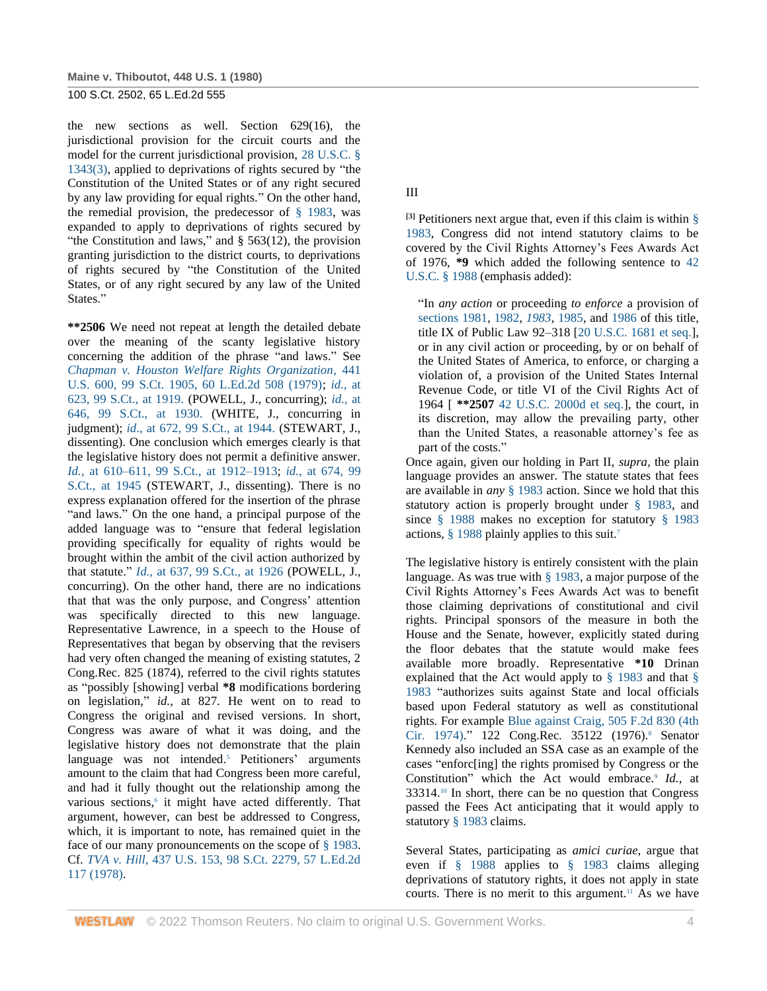the new sections as well. Section 629(16), the jurisdictional provision for the circuit courts and the model for the current jurisdictional provision, [28 U.S.C. §](http://www.westlaw.com/Link/Document/FullText?findType=L&pubNum=1000546&cite=28USCAS1343&originatingDoc=I179091d39c1f11d993e6d35cc61aab4a&refType=LQ&originationContext=document&vr=3.0&rs=cblt1.0&transitionType=DocumentItem&contextData=(sc.DocLink))  [1343\(3\),](http://www.westlaw.com/Link/Document/FullText?findType=L&pubNum=1000546&cite=28USCAS1343&originatingDoc=I179091d39c1f11d993e6d35cc61aab4a&refType=LQ&originationContext=document&vr=3.0&rs=cblt1.0&transitionType=DocumentItem&contextData=(sc.DocLink)) applied to deprivations of rights secured by "the Constitution of the United States or of any right secured by any law providing for equal rights." On the other hand, the remedial provision, the predecessor of  $\S$  1983, was expanded to apply to deprivations of rights secured by "the Constitution and laws," and  $\S$  563(12), the provision granting jurisdiction to the district courts, to deprivations of rights secured by "the Constitution of the United States, or of any right secured by any law of the United States."

**\*\*2506** We need not repeat at length the detailed debate over the meaning of the scanty legislative history concerning the addition of the phrase "and laws." See *[Chapman v. Houston Welfare Rights Organization](http://www.westlaw.com/Link/Document/FullText?findType=Y&serNum=1979135111&pubNum=708&originatingDoc=I179091d39c1f11d993e6d35cc61aab4a&refType=RP&originationContext=document&vr=3.0&rs=cblt1.0&transitionType=DocumentItem&contextData=(sc.DocLink))*, 441 [U.S. 600, 99 S.Ct. 1905, 60 L.Ed.2d 508 \(1979\);](http://www.westlaw.com/Link/Document/FullText?findType=Y&serNum=1979135111&pubNum=708&originatingDoc=I179091d39c1f11d993e6d35cc61aab4a&refType=RP&originationContext=document&vr=3.0&rs=cblt1.0&transitionType=DocumentItem&contextData=(sc.DocLink)) *id*[., at](http://www.westlaw.com/Link/Document/FullText?findType=Y&serNum=1979135111&pubNum=708&originatingDoc=I179091d39c1f11d993e6d35cc61aab4a&refType=RP&fi=co_pp_sp_708_1919&originationContext=document&vr=3.0&rs=cblt1.0&transitionType=DocumentItem&contextData=(sc.DocLink)#co_pp_sp_708_1919)  [623, 99 S.Ct., at 1919.](http://www.westlaw.com/Link/Document/FullText?findType=Y&serNum=1979135111&pubNum=708&originatingDoc=I179091d39c1f11d993e6d35cc61aab4a&refType=RP&fi=co_pp_sp_708_1919&originationContext=document&vr=3.0&rs=cblt1.0&transitionType=DocumentItem&contextData=(sc.DocLink)#co_pp_sp_708_1919) (POWELL, J., concurring); *id*[., at](http://www.westlaw.com/Link/Document/FullText?findType=Y&serNum=1979135111&pubNum=708&originatingDoc=I179091d39c1f11d993e6d35cc61aab4a&refType=RP&fi=co_pp_sp_708_1930&originationContext=document&vr=3.0&rs=cblt1.0&transitionType=DocumentItem&contextData=(sc.DocLink)#co_pp_sp_708_1930)  [646, 99 S.Ct., at 1930.](http://www.westlaw.com/Link/Document/FullText?findType=Y&serNum=1979135111&pubNum=708&originatingDoc=I179091d39c1f11d993e6d35cc61aab4a&refType=RP&fi=co_pp_sp_708_1930&originationContext=document&vr=3.0&rs=cblt1.0&transitionType=DocumentItem&contextData=(sc.DocLink)#co_pp_sp_708_1930) (WHITE, J., concurring in judgment); *id*[., at 672, 99 S.Ct., at 1944.](http://www.westlaw.com/Link/Document/FullText?findType=Y&serNum=1979135111&pubNum=708&originatingDoc=I179091d39c1f11d993e6d35cc61aab4a&refType=RP&fi=co_pp_sp_708_1944&originationContext=document&vr=3.0&rs=cblt1.0&transitionType=DocumentItem&contextData=(sc.DocLink)#co_pp_sp_708_1944) (STEWART, J., dissenting). One conclusion which emerges clearly is that the legislative history does not permit a definitive answer. *Id.*[, at 610–611, 99 S.Ct., at 1912–1913;](http://www.westlaw.com/Link/Document/FullText?findType=Y&serNum=1979135111&pubNum=708&originatingDoc=I179091d39c1f11d993e6d35cc61aab4a&refType=RP&fi=co_pp_sp_708_1912&originationContext=document&vr=3.0&rs=cblt1.0&transitionType=DocumentItem&contextData=(sc.DocLink)#co_pp_sp_708_1912) *id.*[, at 674, 99](http://www.westlaw.com/Link/Document/FullText?findType=Y&serNum=1979135111&pubNum=708&originatingDoc=I179091d39c1f11d993e6d35cc61aab4a&refType=RP&fi=co_pp_sp_708_1945&originationContext=document&vr=3.0&rs=cblt1.0&transitionType=DocumentItem&contextData=(sc.DocLink)#co_pp_sp_708_1945)  [S.Ct., at 1945](http://www.westlaw.com/Link/Document/FullText?findType=Y&serNum=1979135111&pubNum=708&originatingDoc=I179091d39c1f11d993e6d35cc61aab4a&refType=RP&fi=co_pp_sp_708_1945&originationContext=document&vr=3.0&rs=cblt1.0&transitionType=DocumentItem&contextData=(sc.DocLink)#co_pp_sp_708_1945) (STEWART, J., dissenting). There is no express explanation offered for the insertion of the phrase "and laws." On the one hand, a principal purpose of the added language was to "ensure that federal legislation providing specifically for equality of rights would be brought within the ambit of the civil action authorized by that statute." *Id.*[, at 637, 99 S.Ct., at 1926](http://www.westlaw.com/Link/Document/FullText?findType=Y&serNum=1979135111&pubNum=708&originatingDoc=I179091d39c1f11d993e6d35cc61aab4a&refType=RP&fi=co_pp_sp_708_1926&originationContext=document&vr=3.0&rs=cblt1.0&transitionType=DocumentItem&contextData=(sc.DocLink)#co_pp_sp_708_1926) (POWELL, J., concurring). On the other hand, there are no indications that that was the only purpose, and Congress' attention was specifically directed to this new language. Representative Lawrence, in a speech to the House of Representatives that began by observing that the revisers had very often changed the meaning of existing statutes, 2 Cong.Rec. 825 (1874), referred to the civil rights statutes as "possibly [showing] verbal **\*8** modifications bordering on legislation," *id.*, at 827. He went on to read to Congress the original and revised versions. In short, Congress was aware of what it was doing, and the legislative history does not demonstrate that the plain language was not intended.<sup>5</sup> Petitioners' arguments amount to the claim that had Congress been more careful, and had it fully thought out the relationship among the various sections,<sup>6</sup> it might have acted differently. That argument, however, can best be addressed to Congress, which, it is important to note, has remained quiet in the face of our many pronouncements on the scope of [§ 1983.](http://www.westlaw.com/Link/Document/FullText?findType=L&pubNum=1000546&cite=42USCAS1983&originatingDoc=I179091d39c1f11d993e6d35cc61aab4a&refType=LQ&originationContext=document&vr=3.0&rs=cblt1.0&transitionType=DocumentItem&contextData=(sc.DocLink)) Cf. *TVA v. Hill*[, 437 U.S. 153, 98 S.Ct. 2279, 57 L.Ed.2d](http://www.westlaw.com/Link/Document/FullText?findType=Y&serNum=1978139478&pubNum=708&originatingDoc=I179091d39c1f11d993e6d35cc61aab4a&refType=RP&originationContext=document&vr=3.0&rs=cblt1.0&transitionType=DocumentItem&contextData=(sc.DocLink))  [117 \(1978\).](http://www.westlaw.com/Link/Document/FullText?findType=Y&serNum=1978139478&pubNum=708&originatingDoc=I179091d39c1f11d993e6d35cc61aab4a&refType=RP&originationContext=document&vr=3.0&rs=cblt1.0&transitionType=DocumentItem&contextData=(sc.DocLink))

III

<sup>[3]</sup> Petitioners next argue that, even if this claim is within  $\S$ [1983,](http://www.westlaw.com/Link/Document/FullText?findType=L&pubNum=1000546&cite=42USCAS1983&originatingDoc=I179091d39c1f11d993e6d35cc61aab4a&refType=LQ&originationContext=document&vr=3.0&rs=cblt1.0&transitionType=DocumentItem&contextData=(sc.DocLink)) Congress did not intend statutory claims to be covered by the Civil Rights Attorney's Fees Awards Act of 1976, **\*9** which added the following sentence to [42](http://www.westlaw.com/Link/Document/FullText?findType=L&pubNum=1000546&cite=42USCAS1988&originatingDoc=I179091d39c1f11d993e6d35cc61aab4a&refType=LQ&originationContext=document&vr=3.0&rs=cblt1.0&transitionType=DocumentItem&contextData=(sc.DocLink))  [U.S.C. § 1988](http://www.westlaw.com/Link/Document/FullText?findType=L&pubNum=1000546&cite=42USCAS1988&originatingDoc=I179091d39c1f11d993e6d35cc61aab4a&refType=LQ&originationContext=document&vr=3.0&rs=cblt1.0&transitionType=DocumentItem&contextData=(sc.DocLink)) (emphasis added):

"In *any action* or proceeding *to enforce* a provision of [sections 1981,](http://www.westlaw.com/Link/Document/FullText?findType=L&pubNum=1000546&cite=42USCAS1981&originatingDoc=I179091d39c1f11d993e6d35cc61aab4a&refType=LQ&originationContext=document&vr=3.0&rs=cblt1.0&transitionType=DocumentItem&contextData=(sc.DocLink)) [1982,](http://www.westlaw.com/Link/Document/FullText?findType=L&pubNum=1000546&cite=42USCAS1982&originatingDoc=I179091d39c1f11d993e6d35cc61aab4a&refType=LQ&originationContext=document&vr=3.0&rs=cblt1.0&transitionType=DocumentItem&contextData=(sc.DocLink)) *[1983](http://www.westlaw.com/Link/Document/FullText?findType=L&pubNum=1000546&cite=42USCAS1983&originatingDoc=I179091d39c1f11d993e6d35cc61aab4a&refType=LQ&originationContext=document&vr=3.0&rs=cblt1.0&transitionType=DocumentItem&contextData=(sc.DocLink))*, [1985,](http://www.westlaw.com/Link/Document/FullText?findType=L&pubNum=1000546&cite=42USCAS1985&originatingDoc=I179091d39c1f11d993e6d35cc61aab4a&refType=LQ&originationContext=document&vr=3.0&rs=cblt1.0&transitionType=DocumentItem&contextData=(sc.DocLink)) and [1986](http://www.westlaw.com/Link/Document/FullText?findType=L&pubNum=1000546&cite=42USCAS1986&originatingDoc=I179091d39c1f11d993e6d35cc61aab4a&refType=LQ&originationContext=document&vr=3.0&rs=cblt1.0&transitionType=DocumentItem&contextData=(sc.DocLink)) of this title, title IX of Public Law 92–318 [\[20 U.S.C. 1681 et seq.\]](http://www.westlaw.com/Link/Document/FullText?findType=L&pubNum=1000546&cite=20USCAS1681&originatingDoc=I179091d39c1f11d993e6d35cc61aab4a&refType=LQ&originationContext=document&vr=3.0&rs=cblt1.0&transitionType=DocumentItem&contextData=(sc.DocLink)), or in any civil action or proceeding, by or on behalf of the United States of America, to enforce, or charging a violation of, a provision of the United States Internal Revenue Code, or title VI of the Civil Rights Act of 1964 [ **\*\*2507** [42 U.S.C. 2000d et seq.\]](http://www.westlaw.com/Link/Document/FullText?findType=L&pubNum=1000546&cite=42USCAS2000D&originatingDoc=I179091d39c1f11d993e6d35cc61aab4a&refType=LQ&originationContext=document&vr=3.0&rs=cblt1.0&transitionType=DocumentItem&contextData=(sc.DocLink)), the court, in its discretion, may allow the prevailing party, other than the United States, a reasonable attorney's fee as part of the costs."

Once again, given our holding in Part II, *supra*, the plain language provides an answer. The statute states that fees are available in *any* [§ 1983](http://www.westlaw.com/Link/Document/FullText?findType=L&pubNum=1000546&cite=42USCAS1983&originatingDoc=I179091d39c1f11d993e6d35cc61aab4a&refType=LQ&originationContext=document&vr=3.0&rs=cblt1.0&transitionType=DocumentItem&contextData=(sc.DocLink)) action. Since we hold that this statutory action is properly brought under [§ 1983,](http://www.westlaw.com/Link/Document/FullText?findType=L&pubNum=1000546&cite=42USCAS1983&originatingDoc=I179091d39c1f11d993e6d35cc61aab4a&refType=LQ&originationContext=document&vr=3.0&rs=cblt1.0&transitionType=DocumentItem&contextData=(sc.DocLink)) and since [§ 1988](http://www.westlaw.com/Link/Document/FullText?findType=L&pubNum=1000546&cite=42USCAS1988&originatingDoc=I179091d39c1f11d993e6d35cc61aab4a&refType=LQ&originationContext=document&vr=3.0&rs=cblt1.0&transitionType=DocumentItem&contextData=(sc.DocLink)) makes no exception for statutory [§ 1983](http://www.westlaw.com/Link/Document/FullText?findType=L&pubNum=1000546&cite=42USCAS1983&originatingDoc=I179091d39c1f11d993e6d35cc61aab4a&refType=LQ&originationContext=document&vr=3.0&rs=cblt1.0&transitionType=DocumentItem&contextData=(sc.DocLink)) actions, [§ 1988](http://www.westlaw.com/Link/Document/FullText?findType=L&pubNum=1000546&cite=42USCAS1988&originatingDoc=I179091d39c1f11d993e6d35cc61aab4a&refType=LQ&originationContext=document&vr=3.0&rs=cblt1.0&transitionType=DocumentItem&contextData=(sc.DocLink)) plainly applies to this suit.<sup>7</sup>

The legislative history is entirely consistent with the plain language. As was true with  $\S$  1983, a major purpose of the Civil Rights Attorney's Fees Awards Act was to benefit those claiming deprivations of constitutional and civil rights. Principal sponsors of the measure in both the House and the Senate, however, explicitly stated during the floor debates that the statute would make fees available more broadly. Representative **\*10** Drinan explained that the Act would apply to [§ 1983](http://www.westlaw.com/Link/Document/FullText?findType=L&pubNum=1000546&cite=42USCAS1983&originatingDoc=I179091d39c1f11d993e6d35cc61aab4a&refType=LQ&originationContext=document&vr=3.0&rs=cblt1.0&transitionType=DocumentItem&contextData=(sc.DocLink)) and that [§](http://www.westlaw.com/Link/Document/FullText?findType=L&pubNum=1000546&cite=42USCAS1983&originatingDoc=I179091d39c1f11d993e6d35cc61aab4a&refType=LQ&originationContext=document&vr=3.0&rs=cblt1.0&transitionType=DocumentItem&contextData=(sc.DocLink))  [1983](http://www.westlaw.com/Link/Document/FullText?findType=L&pubNum=1000546&cite=42USCAS1983&originatingDoc=I179091d39c1f11d993e6d35cc61aab4a&refType=LQ&originationContext=document&vr=3.0&rs=cblt1.0&transitionType=DocumentItem&contextData=(sc.DocLink)) "authorizes suits against State and local officials based upon Federal statutory as well as constitutional rights. For example [Blue against Craig, 505 F.2d 830 \(4th](http://www.westlaw.com/Link/Document/FullText?findType=Y&serNum=1974112643&pubNum=350&originatingDoc=I179091d39c1f11d993e6d35cc61aab4a&refType=RP&originationContext=document&vr=3.0&rs=cblt1.0&transitionType=DocumentItem&contextData=(sc.DocLink))  [Cir. 1974\).](http://www.westlaw.com/Link/Document/FullText?findType=Y&serNum=1974112643&pubNum=350&originatingDoc=I179091d39c1f11d993e6d35cc61aab4a&refType=RP&originationContext=document&vr=3.0&rs=cblt1.0&transitionType=DocumentItem&contextData=(sc.DocLink))" 122 Cong.Rec. 35122 (1976).<sup>8</sup> Senator Kennedy also included an SSA case as an example of the cases "enforc[ing] the rights promised by Congress or the Constitution" which the Act would embrace.<sup>9</sup> Id., at 33314.<sup>10</sup> In short, there can be no question that Congress passed the Fees Act anticipating that it would apply to statutor[y § 1983](http://www.westlaw.com/Link/Document/FullText?findType=L&pubNum=1000546&cite=42USCAS1983&originatingDoc=I179091d39c1f11d993e6d35cc61aab4a&refType=LQ&originationContext=document&vr=3.0&rs=cblt1.0&transitionType=DocumentItem&contextData=(sc.DocLink)) claims.

Several States, participating as *amici curiae*, argue that even if [§ 1988](http://www.westlaw.com/Link/Document/FullText?findType=L&pubNum=1000546&cite=42USCAS1988&originatingDoc=I179091d39c1f11d993e6d35cc61aab4a&refType=LQ&originationContext=document&vr=3.0&rs=cblt1.0&transitionType=DocumentItem&contextData=(sc.DocLink)) applies to [§ 1983](http://www.westlaw.com/Link/Document/FullText?findType=L&pubNum=1000546&cite=42USCAS1983&originatingDoc=I179091d39c1f11d993e6d35cc61aab4a&refType=LQ&originationContext=document&vr=3.0&rs=cblt1.0&transitionType=DocumentItem&contextData=(sc.DocLink)) claims alleging deprivations of statutory rights, it does not apply in state courts. There is no merit to this argument.<sup>11</sup> As we have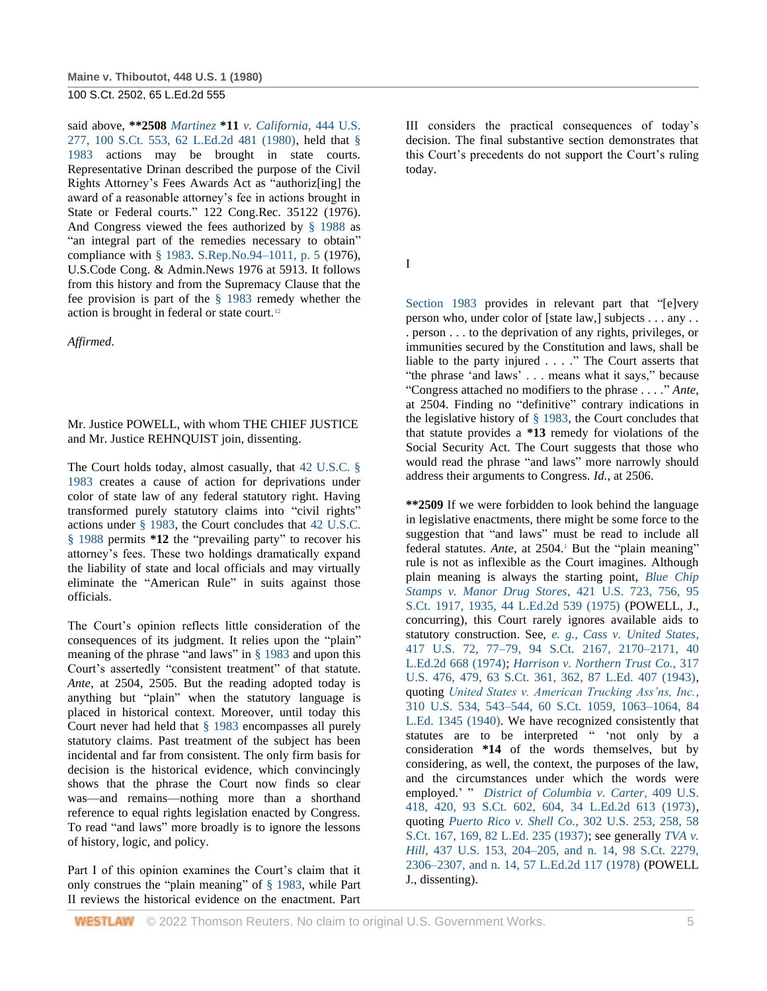said above, **\*\*2508** *Martinez* **\*11** *[v. California](http://www.westlaw.com/Link/Document/FullText?findType=Y&serNum=1980101292&pubNum=708&originatingDoc=I179091d39c1f11d993e6d35cc61aab4a&refType=RP&originationContext=document&vr=3.0&rs=cblt1.0&transitionType=DocumentItem&contextData=(sc.DocLink))*, 444 U.S. [277, 100 S.Ct. 553, 62 L.Ed.2d 481 \(1980\),](http://www.westlaw.com/Link/Document/FullText?findType=Y&serNum=1980101292&pubNum=708&originatingDoc=I179091d39c1f11d993e6d35cc61aab4a&refType=RP&originationContext=document&vr=3.0&rs=cblt1.0&transitionType=DocumentItem&contextData=(sc.DocLink)) held that [§](http://www.westlaw.com/Link/Document/FullText?findType=L&pubNum=1000546&cite=42USCAS1983&originatingDoc=I179091d39c1f11d993e6d35cc61aab4a&refType=LQ&originationContext=document&vr=3.0&rs=cblt1.0&transitionType=DocumentItem&contextData=(sc.DocLink))  [1983](http://www.westlaw.com/Link/Document/FullText?findType=L&pubNum=1000546&cite=42USCAS1983&originatingDoc=I179091d39c1f11d993e6d35cc61aab4a&refType=LQ&originationContext=document&vr=3.0&rs=cblt1.0&transitionType=DocumentItem&contextData=(sc.DocLink)) actions may be brought in state courts. Representative Drinan described the purpose of the Civil Rights Attorney's Fees Awards Act as "authoriz[ing] the award of a reasonable attorney's fee in actions brought in State or Federal courts." 122 Cong.Rec. 35122 (1976). And Congress viewed the fees authorized by [§ 1988](http://www.westlaw.com/Link/Document/FullText?findType=L&pubNum=1000546&cite=42USCAS1988&originatingDoc=I179091d39c1f11d993e6d35cc61aab4a&refType=LQ&originationContext=document&vr=3.0&rs=cblt1.0&transitionType=DocumentItem&contextData=(sc.DocLink)) as "an integral part of the remedies necessary to obtain" compliance with [§ 1983.](http://www.westlaw.com/Link/Document/FullText?findType=L&pubNum=1000546&cite=42USCAS1983&originatingDoc=I179091d39c1f11d993e6d35cc61aab4a&refType=LQ&originationContext=document&vr=3.0&rs=cblt1.0&transitionType=DocumentItem&contextData=(sc.DocLink)) [S.Rep.No.94–1011, p. 5](http://www.westlaw.com/Link/Document/FullText?findType=Y&serNum=0100747637&pubNum=0001503&originatingDoc=I179091d39c1f11d993e6d35cc61aab4a&refType=TV&originationContext=document&vr=3.0&rs=cblt1.0&transitionType=DocumentItem&contextData=(sc.DocLink)) (1976), U.S.Code Cong. & Admin.News 1976 at 5913. It follows from this history and from the Supremacy Clause that the fee provision is part of the [§ 1983](http://www.westlaw.com/Link/Document/FullText?findType=L&pubNum=1000546&cite=42USCAS1983&originatingDoc=I179091d39c1f11d993e6d35cc61aab4a&refType=LQ&originationContext=document&vr=3.0&rs=cblt1.0&transitionType=DocumentItem&contextData=(sc.DocLink)) remedy whether the action is brought in federal or state court.<sup>12</sup>

*Affirmed*.

Mr. Justice POWELL, with whom THE CHIEF JUSTICE and Mr. Justice REHNQUIST join, dissenting.

The Court holds today, almost casually, that [42 U.S.C. §](http://www.westlaw.com/Link/Document/FullText?findType=L&pubNum=1000546&cite=42USCAS1983&originatingDoc=I179091d39c1f11d993e6d35cc61aab4a&refType=LQ&originationContext=document&vr=3.0&rs=cblt1.0&transitionType=DocumentItem&contextData=(sc.DocLink))  [1983](http://www.westlaw.com/Link/Document/FullText?findType=L&pubNum=1000546&cite=42USCAS1983&originatingDoc=I179091d39c1f11d993e6d35cc61aab4a&refType=LQ&originationContext=document&vr=3.0&rs=cblt1.0&transitionType=DocumentItem&contextData=(sc.DocLink)) creates a cause of action for deprivations under color of state law of any federal statutory right. Having transformed purely statutory claims into "civil rights" actions under [§ 1983,](http://www.westlaw.com/Link/Document/FullText?findType=L&pubNum=1000546&cite=42USCAS1983&originatingDoc=I179091d39c1f11d993e6d35cc61aab4a&refType=LQ&originationContext=document&vr=3.0&rs=cblt1.0&transitionType=DocumentItem&contextData=(sc.DocLink)) the Court concludes that [42 U.S.C.](http://www.westlaw.com/Link/Document/FullText?findType=L&pubNum=1000546&cite=42USCAS1988&originatingDoc=I179091d39c1f11d993e6d35cc61aab4a&refType=LQ&originationContext=document&vr=3.0&rs=cblt1.0&transitionType=DocumentItem&contextData=(sc.DocLink))  [§ 1988](http://www.westlaw.com/Link/Document/FullText?findType=L&pubNum=1000546&cite=42USCAS1988&originatingDoc=I179091d39c1f11d993e6d35cc61aab4a&refType=LQ&originationContext=document&vr=3.0&rs=cblt1.0&transitionType=DocumentItem&contextData=(sc.DocLink)) permits **\*12** the "prevailing party" to recover his attorney's fees. These two holdings dramatically expand the liability of state and local officials and may virtually eliminate the "American Rule" in suits against those officials.

The Court's opinion reflects little consideration of the consequences of its judgment. It relies upon the "plain" meaning of the phrase "and laws" in [§ 1983](http://www.westlaw.com/Link/Document/FullText?findType=L&pubNum=1000546&cite=42USCAS1983&originatingDoc=I179091d39c1f11d993e6d35cc61aab4a&refType=LQ&originationContext=document&vr=3.0&rs=cblt1.0&transitionType=DocumentItem&contextData=(sc.DocLink)) and upon this Court's assertedly "consistent treatment" of that statute. *Ante*, at 2504, 2505. But the reading adopted today is anything but "plain" when the statutory language is placed in historical context. Moreover, until today this Court never had held that [§ 1983](http://www.westlaw.com/Link/Document/FullText?findType=L&pubNum=1000546&cite=42USCAS1983&originatingDoc=I179091d39c1f11d993e6d35cc61aab4a&refType=LQ&originationContext=document&vr=3.0&rs=cblt1.0&transitionType=DocumentItem&contextData=(sc.DocLink)) encompasses all purely statutory claims. Past treatment of the subject has been incidental and far from consistent. The only firm basis for decision is the historical evidence, which convincingly shows that the phrase the Court now finds so clear was—and remains—nothing more than a shorthand reference to equal rights legislation enacted by Congress. To read "and laws" more broadly is to ignore the lessons of history, logic, and policy.

Part I of this opinion examines the Court's claim that it only construes the "plain meaning" of [§ 1983,](http://www.westlaw.com/Link/Document/FullText?findType=L&pubNum=1000546&cite=42USCAS1983&originatingDoc=I179091d39c1f11d993e6d35cc61aab4a&refType=LQ&originationContext=document&vr=3.0&rs=cblt1.0&transitionType=DocumentItem&contextData=(sc.DocLink)) while Part II reviews the historical evidence on the enactment. Part

III considers the practical consequences of today's decision. The final substantive section demonstrates that this Court's precedents do not support the Court's ruling today.

I

[Section 1983](http://www.westlaw.com/Link/Document/FullText?findType=L&pubNum=1000546&cite=42USCAS1983&originatingDoc=I179091d39c1f11d993e6d35cc61aab4a&refType=LQ&originationContext=document&vr=3.0&rs=cblt1.0&transitionType=DocumentItem&contextData=(sc.DocLink)) provides in relevant part that "[e]very person who, under color of [state law,] subjects . . . any . . . person . . . to the deprivation of any rights, privileges, or immunities secured by the Constitution and laws, shall be liable to the party injured . . . ." The Court asserts that "the phrase 'and laws' . . . means what it says," because "Congress attached no modifiers to the phrase . . . ." *Ante*, at 2504. Finding no "definitive" contrary indications in the legislative history of [§ 1983,](http://www.westlaw.com/Link/Document/FullText?findType=L&pubNum=1000546&cite=42USCAS1983&originatingDoc=I179091d39c1f11d993e6d35cc61aab4a&refType=LQ&originationContext=document&vr=3.0&rs=cblt1.0&transitionType=DocumentItem&contextData=(sc.DocLink)) the Court concludes that that statute provides a **\*13** remedy for violations of the Social Security Act. The Court suggests that those who would read the phrase "and laws" more narrowly should address their arguments to Congress. *Id.*, at 2506.

**\*\*2509** If we were forbidden to look behind the language in legislative enactments, there might be some force to the suggestion that "and laws" must be read to include all federal statutes. *Ante*, at 2504.<sup>1</sup> But the "plain meaning" rule is not as inflexible as the Court imagines. Although plain meaning is always the starting point, *[Blue Chip](http://www.westlaw.com/Link/Document/FullText?findType=Y&serNum=1975129803&pubNum=708&originatingDoc=I179091d39c1f11d993e6d35cc61aab4a&refType=RP&fi=co_pp_sp_708_1935&originationContext=document&vr=3.0&rs=cblt1.0&transitionType=DocumentItem&contextData=(sc.DocLink)#co_pp_sp_708_1935)  [Stamps v. Manor Drug Stores](http://www.westlaw.com/Link/Document/FullText?findType=Y&serNum=1975129803&pubNum=708&originatingDoc=I179091d39c1f11d993e6d35cc61aab4a&refType=RP&fi=co_pp_sp_708_1935&originationContext=document&vr=3.0&rs=cblt1.0&transitionType=DocumentItem&contextData=(sc.DocLink)#co_pp_sp_708_1935)*, 421 U.S. 723, 756, 95 [S.Ct. 1917, 1935, 44 L.Ed.2d 539 \(1975\)](http://www.westlaw.com/Link/Document/FullText?findType=Y&serNum=1975129803&pubNum=708&originatingDoc=I179091d39c1f11d993e6d35cc61aab4a&refType=RP&fi=co_pp_sp_708_1935&originationContext=document&vr=3.0&rs=cblt1.0&transitionType=DocumentItem&contextData=(sc.DocLink)#co_pp_sp_708_1935) (POWELL, J., concurring), this Court rarely ignores available aids to statutory construction. See, *[e. g., Cass v. United States](http://www.westlaw.com/Link/Document/FullText?findType=Y&serNum=1974127196&pubNum=708&originatingDoc=I179091d39c1f11d993e6d35cc61aab4a&refType=RP&fi=co_pp_sp_708_2170&originationContext=document&vr=3.0&rs=cblt1.0&transitionType=DocumentItem&contextData=(sc.DocLink)#co_pp_sp_708_2170)*, [417 U.S. 72, 77–79, 94 S.Ct. 2167, 2170–2171, 40](http://www.westlaw.com/Link/Document/FullText?findType=Y&serNum=1974127196&pubNum=708&originatingDoc=I179091d39c1f11d993e6d35cc61aab4a&refType=RP&fi=co_pp_sp_708_2170&originationContext=document&vr=3.0&rs=cblt1.0&transitionType=DocumentItem&contextData=(sc.DocLink)#co_pp_sp_708_2170)  [L.Ed.2d 668 \(1974\);](http://www.westlaw.com/Link/Document/FullText?findType=Y&serNum=1974127196&pubNum=708&originatingDoc=I179091d39c1f11d993e6d35cc61aab4a&refType=RP&fi=co_pp_sp_708_2170&originationContext=document&vr=3.0&rs=cblt1.0&transitionType=DocumentItem&contextData=(sc.DocLink)#co_pp_sp_708_2170) *[Harrison v. Northern Trust Co.,](http://www.westlaw.com/Link/Document/FullText?findType=Y&serNum=1943117536&pubNum=708&originatingDoc=I179091d39c1f11d993e6d35cc61aab4a&refType=RP&fi=co_pp_sp_708_362&originationContext=document&vr=3.0&rs=cblt1.0&transitionType=DocumentItem&contextData=(sc.DocLink)#co_pp_sp_708_362)* 317 [U.S. 476, 479, 63 S.Ct. 361, 362, 87 L.Ed. 407 \(1943\),](http://www.westlaw.com/Link/Document/FullText?findType=Y&serNum=1943117536&pubNum=708&originatingDoc=I179091d39c1f11d993e6d35cc61aab4a&refType=RP&fi=co_pp_sp_708_362&originationContext=document&vr=3.0&rs=cblt1.0&transitionType=DocumentItem&contextData=(sc.DocLink)#co_pp_sp_708_362) quoting *[United States v. American Trucking Ass'ns, Inc.](http://www.westlaw.com/Link/Document/FullText?findType=Y&serNum=1940125870&pubNum=708&originatingDoc=I179091d39c1f11d993e6d35cc61aab4a&refType=RP&fi=co_pp_sp_708_1063&originationContext=document&vr=3.0&rs=cblt1.0&transitionType=DocumentItem&contextData=(sc.DocLink)#co_pp_sp_708_1063)*, [310 U.S. 534, 543–544, 60 S.Ct. 1059, 1063–1064, 84](http://www.westlaw.com/Link/Document/FullText?findType=Y&serNum=1940125870&pubNum=708&originatingDoc=I179091d39c1f11d993e6d35cc61aab4a&refType=RP&fi=co_pp_sp_708_1063&originationContext=document&vr=3.0&rs=cblt1.0&transitionType=DocumentItem&contextData=(sc.DocLink)#co_pp_sp_708_1063) [L.Ed. 1345 \(1940\).](http://www.westlaw.com/Link/Document/FullText?findType=Y&serNum=1940125870&pubNum=708&originatingDoc=I179091d39c1f11d993e6d35cc61aab4a&refType=RP&fi=co_pp_sp_708_1063&originationContext=document&vr=3.0&rs=cblt1.0&transitionType=DocumentItem&contextData=(sc.DocLink)#co_pp_sp_708_1063) We have recognized consistently that statutes are to be interpreted " 'not only by a consideration **\*14** of the words themselves, but by considering, as well, the context, the purposes of the law, and the circumstances under which the words were employed.' " *[District of Columbia v. Carter](http://www.westlaw.com/Link/Document/FullText?findType=Y&serNum=1973126310&pubNum=708&originatingDoc=I179091d39c1f11d993e6d35cc61aab4a&refType=RP&fi=co_pp_sp_708_604&originationContext=document&vr=3.0&rs=cblt1.0&transitionType=DocumentItem&contextData=(sc.DocLink)#co_pp_sp_708_604)*, 409 U.S. [418, 420, 93 S.Ct. 602, 604, 34 L.Ed.2d 613 \(1973\),](http://www.westlaw.com/Link/Document/FullText?findType=Y&serNum=1973126310&pubNum=708&originatingDoc=I179091d39c1f11d993e6d35cc61aab4a&refType=RP&fi=co_pp_sp_708_604&originationContext=document&vr=3.0&rs=cblt1.0&transitionType=DocumentItem&contextData=(sc.DocLink)#co_pp_sp_708_604) quoting *[Puerto Rico v. Shell Co.](http://www.westlaw.com/Link/Document/FullText?findType=Y&serNum=1937123076&pubNum=708&originatingDoc=I179091d39c1f11d993e6d35cc61aab4a&refType=RP&fi=co_pp_sp_708_169&originationContext=document&vr=3.0&rs=cblt1.0&transitionType=DocumentItem&contextData=(sc.DocLink)#co_pp_sp_708_169)*, 302 U.S. 253, 258, 58 [S.Ct. 167, 169, 82 L.Ed. 235 \(1937\);](http://www.westlaw.com/Link/Document/FullText?findType=Y&serNum=1937123076&pubNum=708&originatingDoc=I179091d39c1f11d993e6d35cc61aab4a&refType=RP&fi=co_pp_sp_708_169&originationContext=document&vr=3.0&rs=cblt1.0&transitionType=DocumentItem&contextData=(sc.DocLink)#co_pp_sp_708_169) see generally *[TVA v.](http://www.westlaw.com/Link/Document/FullText?findType=Y&serNum=1978139478&pubNum=708&originatingDoc=I179091d39c1f11d993e6d35cc61aab4a&refType=RP&fi=co_pp_sp_708_2306&originationContext=document&vr=3.0&rs=cblt1.0&transitionType=DocumentItem&contextData=(sc.DocLink)#co_pp_sp_708_2306)  Hill*[, 437 U.S. 153, 204–205, and n. 14, 98 S.Ct. 2279,](http://www.westlaw.com/Link/Document/FullText?findType=Y&serNum=1978139478&pubNum=708&originatingDoc=I179091d39c1f11d993e6d35cc61aab4a&refType=RP&fi=co_pp_sp_708_2306&originationContext=document&vr=3.0&rs=cblt1.0&transitionType=DocumentItem&contextData=(sc.DocLink)#co_pp_sp_708_2306)  [2306–2307, and n. 14, 57 L.Ed.2d 117 \(1978\)](http://www.westlaw.com/Link/Document/FullText?findType=Y&serNum=1978139478&pubNum=708&originatingDoc=I179091d39c1f11d993e6d35cc61aab4a&refType=RP&fi=co_pp_sp_708_2306&originationContext=document&vr=3.0&rs=cblt1.0&transitionType=DocumentItem&contextData=(sc.DocLink)#co_pp_sp_708_2306) (POWELL J., dissenting).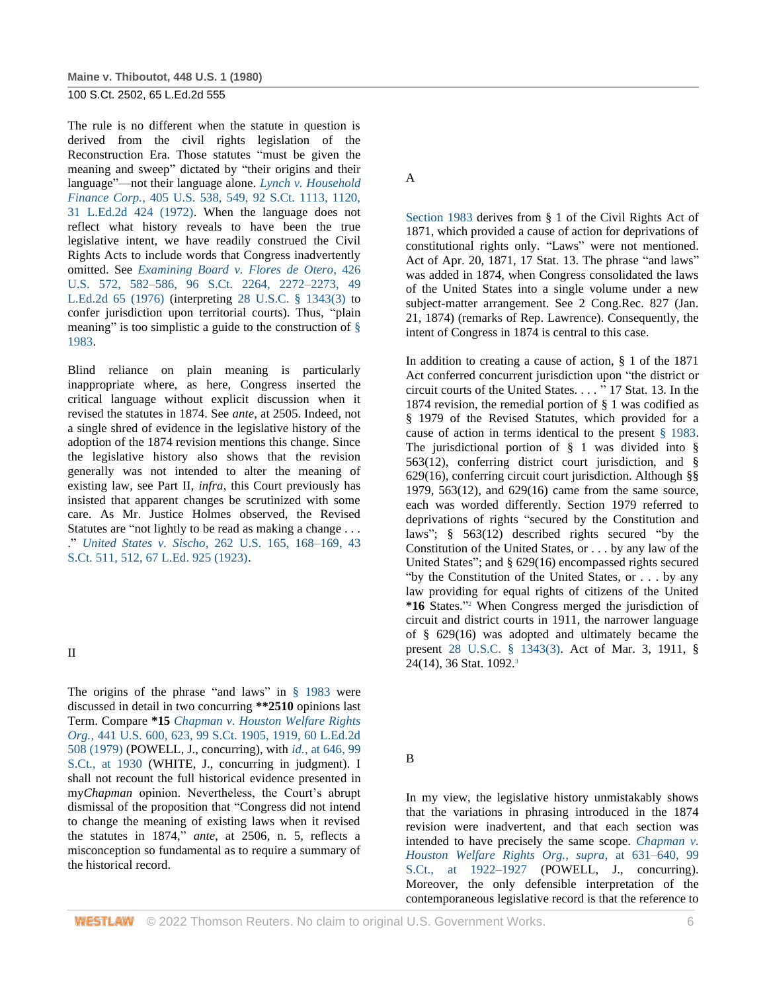**Maine v. Thiboutot, 448 U.S. 1 (1980)**

100 S.Ct. 2502, 65 L.Ed.2d 555

The rule is no different when the statute in question is derived from the civil rights legislation of the Reconstruction Era. Those statutes "must be given the meaning and sweep" dictated by "their origins and their language"—not their language alone. *[Lynch v. Household](http://www.westlaw.com/Link/Document/FullText?findType=Y&serNum=1972127096&pubNum=708&originatingDoc=I179091d39c1f11d993e6d35cc61aab4a&refType=RP&fi=co_pp_sp_708_1120&originationContext=document&vr=3.0&rs=cblt1.0&transitionType=DocumentItem&contextData=(sc.DocLink)#co_pp_sp_708_1120)  Finance Corp.*[, 405 U.S. 538, 549, 92 S.Ct. 1113, 1120,](http://www.westlaw.com/Link/Document/FullText?findType=Y&serNum=1972127096&pubNum=708&originatingDoc=I179091d39c1f11d993e6d35cc61aab4a&refType=RP&fi=co_pp_sp_708_1120&originationContext=document&vr=3.0&rs=cblt1.0&transitionType=DocumentItem&contextData=(sc.DocLink)#co_pp_sp_708_1120)  [31 L.Ed.2d 424 \(1972\).](http://www.westlaw.com/Link/Document/FullText?findType=Y&serNum=1972127096&pubNum=708&originatingDoc=I179091d39c1f11d993e6d35cc61aab4a&refType=RP&fi=co_pp_sp_708_1120&originationContext=document&vr=3.0&rs=cblt1.0&transitionType=DocumentItem&contextData=(sc.DocLink)#co_pp_sp_708_1120) When the language does not reflect what history reveals to have been the true legislative intent, we have readily construed the Civil Rights Acts to include words that Congress inadvertently omitted. See *[Examining Board v. Flores de Otero](http://www.westlaw.com/Link/Document/FullText?findType=Y&serNum=1976142407&pubNum=708&originatingDoc=I179091d39c1f11d993e6d35cc61aab4a&refType=RP&fi=co_pp_sp_708_2272&originationContext=document&vr=3.0&rs=cblt1.0&transitionType=DocumentItem&contextData=(sc.DocLink)#co_pp_sp_708_2272)*, 426 [U.S. 572, 582–586, 96 S.Ct. 2264, 2272–2273, 49](http://www.westlaw.com/Link/Document/FullText?findType=Y&serNum=1976142407&pubNum=708&originatingDoc=I179091d39c1f11d993e6d35cc61aab4a&refType=RP&fi=co_pp_sp_708_2272&originationContext=document&vr=3.0&rs=cblt1.0&transitionType=DocumentItem&contextData=(sc.DocLink)#co_pp_sp_708_2272)  [L.Ed.2d 65 \(1976\)](http://www.westlaw.com/Link/Document/FullText?findType=Y&serNum=1976142407&pubNum=708&originatingDoc=I179091d39c1f11d993e6d35cc61aab4a&refType=RP&fi=co_pp_sp_708_2272&originationContext=document&vr=3.0&rs=cblt1.0&transitionType=DocumentItem&contextData=(sc.DocLink)#co_pp_sp_708_2272) (interpreting [28 U.S.C. § 1343\(3\)](http://www.westlaw.com/Link/Document/FullText?findType=L&pubNum=1000546&cite=28USCAS1343&originatingDoc=I179091d39c1f11d993e6d35cc61aab4a&refType=LQ&originationContext=document&vr=3.0&rs=cblt1.0&transitionType=DocumentItem&contextData=(sc.DocLink)) to confer jurisdiction upon territorial courts). Thus, "plain meaning" is too simplistic a guide to the construction of  $\S$ [1983.](http://www.westlaw.com/Link/Document/FullText?findType=L&pubNum=1000546&cite=42USCAS1983&originatingDoc=I179091d39c1f11d993e6d35cc61aab4a&refType=LQ&originationContext=document&vr=3.0&rs=cblt1.0&transitionType=DocumentItem&contextData=(sc.DocLink))

Blind reliance on plain meaning is particularly inappropriate where, as here, Congress inserted the critical language without explicit discussion when it revised the statutes in 1874. See *ante*, at 2505. Indeed, not a single shred of evidence in the legislative history of the adoption of the 1874 revision mentions this change. Since the legislative history also shows that the revision generally was not intended to alter the meaning of existing law, see Part II, *infra*, this Court previously has insisted that apparent changes be scrutinized with some care. As Mr. Justice Holmes observed, the Revised Statutes are "not lightly to be read as making a change . . . ." *United States v. Sischo*[, 262 U.S. 165, 168–169, 43](http://www.westlaw.com/Link/Document/FullText?findType=Y&serNum=1923120518&pubNum=708&originatingDoc=I179091d39c1f11d993e6d35cc61aab4a&refType=RP&fi=co_pp_sp_708_512&originationContext=document&vr=3.0&rs=cblt1.0&transitionType=DocumentItem&contextData=(sc.DocLink)#co_pp_sp_708_512)  [S.Ct. 511, 512, 67 L.Ed. 925 \(1923\).](http://www.westlaw.com/Link/Document/FullText?findType=Y&serNum=1923120518&pubNum=708&originatingDoc=I179091d39c1f11d993e6d35cc61aab4a&refType=RP&fi=co_pp_sp_708_512&originationContext=document&vr=3.0&rs=cblt1.0&transitionType=DocumentItem&contextData=(sc.DocLink)#co_pp_sp_708_512)

II

The origins of the phrase "and laws" in [§ 1983](http://www.westlaw.com/Link/Document/FullText?findType=L&pubNum=1000546&cite=42USCAS1983&originatingDoc=I179091d39c1f11d993e6d35cc61aab4a&refType=LQ&originationContext=document&vr=3.0&rs=cblt1.0&transitionType=DocumentItem&contextData=(sc.DocLink)) were discussed in detail in two concurring **\*\*2510** opinions last Term. Compare **\*15** *[Chapman v. Houston Welfare Rights](http://www.westlaw.com/Link/Document/FullText?findType=Y&serNum=1979135111&pubNum=708&originatingDoc=I179091d39c1f11d993e6d35cc61aab4a&refType=RP&fi=co_pp_sp_708_1919&originationContext=document&vr=3.0&rs=cblt1.0&transitionType=DocumentItem&contextData=(sc.DocLink)#co_pp_sp_708_1919)  Org.*, 441 U.S. [600, 623, 99 S.Ct. 1905, 1919, 60 L.Ed.2d](http://www.westlaw.com/Link/Document/FullText?findType=Y&serNum=1979135111&pubNum=708&originatingDoc=I179091d39c1f11d993e6d35cc61aab4a&refType=RP&fi=co_pp_sp_708_1919&originationContext=document&vr=3.0&rs=cblt1.0&transitionType=DocumentItem&contextData=(sc.DocLink)#co_pp_sp_708_1919)  [508 \(1979\)](http://www.westlaw.com/Link/Document/FullText?findType=Y&serNum=1979135111&pubNum=708&originatingDoc=I179091d39c1f11d993e6d35cc61aab4a&refType=RP&fi=co_pp_sp_708_1919&originationContext=document&vr=3.0&rs=cblt1.0&transitionType=DocumentItem&contextData=(sc.DocLink)#co_pp_sp_708_1919) (POWELL, J., concurring), with *id.*[, at 646, 99](http://www.westlaw.com/Link/Document/FullText?findType=Y&serNum=1979135111&pubNum=708&originatingDoc=I179091d39c1f11d993e6d35cc61aab4a&refType=RP&fi=co_pp_sp_708_1930&originationContext=document&vr=3.0&rs=cblt1.0&transitionType=DocumentItem&contextData=(sc.DocLink)#co_pp_sp_708_1930)  [S.Ct., at 1930](http://www.westlaw.com/Link/Document/FullText?findType=Y&serNum=1979135111&pubNum=708&originatingDoc=I179091d39c1f11d993e6d35cc61aab4a&refType=RP&fi=co_pp_sp_708_1930&originationContext=document&vr=3.0&rs=cblt1.0&transitionType=DocumentItem&contextData=(sc.DocLink)#co_pp_sp_708_1930) (WHITE, J., concurring in judgment). I shall not recount the full historical evidence presented in my*Chapman* opinion. Nevertheless, the Court's abrupt dismissal of the proposition that "Congress did not intend to change the meaning of existing laws when it revised the statutes in 1874," *ante*, at 2506, n. 5, reflects a misconception so fundamental as to require a summary of the historical record.

A

[Section 1983](http://www.westlaw.com/Link/Document/FullText?findType=L&pubNum=1000546&cite=42USCAS1983&originatingDoc=I179091d39c1f11d993e6d35cc61aab4a&refType=LQ&originationContext=document&vr=3.0&rs=cblt1.0&transitionType=DocumentItem&contextData=(sc.DocLink)) derives from § 1 of the Civil Rights Act of 1871, which provided a cause of action for deprivations of constitutional rights only. "Laws" were not mentioned. Act of Apr. 20, 1871, 17 Stat. 13. The phrase "and laws" was added in 1874, when Congress consolidated the laws of the United States into a single volume under a new subject-matter arrangement. See 2 Cong.Rec. 827 (Jan. 21, 1874) (remarks of Rep. Lawrence). Consequently, the intent of Congress in 1874 is central to this case.

In addition to creating a cause of action, § 1 of the 1871 Act conferred concurrent jurisdiction upon "the district or circuit courts of the United States. . . . " 17 Stat. 13. In the 1874 revision, the remedial portion of § 1 was codified as § 1979 of the Revised Statutes, which provided for a cause of action in terms identical to the present [§ 1983.](http://www.westlaw.com/Link/Document/FullText?findType=L&pubNum=1000546&cite=42USCAS1983&originatingDoc=I179091d39c1f11d993e6d35cc61aab4a&refType=LQ&originationContext=document&vr=3.0&rs=cblt1.0&transitionType=DocumentItem&contextData=(sc.DocLink)) The jurisdictional portion of § 1 was divided into § 563(12), conferring district court jurisdiction, and § 629(16), conferring circuit court jurisdiction. Although §§ 1979, 563(12), and 629(16) came from the same source, each was worded differently. Section 1979 referred to deprivations of rights "secured by the Constitution and laws"; § 563(12) described rights secured "by the Constitution of the United States, or . . . by any law of the United States"; and § 629(16) encompassed rights secured "by the Constitution of the United States, or . . . by any law providing for equal rights of citizens of the United **\*16** States." <sup>2</sup> When Congress merged the jurisdiction of circuit and district courts in 1911, the narrower language of § 629(16) was adopted and ultimately became the present [28 U.S.C. § 1343\(3\).](http://www.westlaw.com/Link/Document/FullText?findType=L&pubNum=1000546&cite=28USCAS1343&originatingDoc=I179091d39c1f11d993e6d35cc61aab4a&refType=LQ&originationContext=document&vr=3.0&rs=cblt1.0&transitionType=DocumentItem&contextData=(sc.DocLink)) Act of Mar. 3, 1911, §  $24(14)$ , 36 Stat. 1092.<sup>3</sup>

B

In my view, the legislative history unmistakably shows that the variations in phrasing introduced in the 1874 revision were inadvertent, and that each section was intended to have precisely the same scope. *[Chapman v.](http://www.westlaw.com/Link/Document/FullText?findType=Y&serNum=1979135111&pubNum=708&originatingDoc=I179091d39c1f11d993e6d35cc61aab4a&refType=RP&fi=co_pp_sp_708_1922&originationContext=document&vr=3.0&rs=cblt1.0&transitionType=DocumentItem&contextData=(sc.DocLink)#co_pp_sp_708_1922)  [Houston Welfare Rights Org., supra](http://www.westlaw.com/Link/Document/FullText?findType=Y&serNum=1979135111&pubNum=708&originatingDoc=I179091d39c1f11d993e6d35cc61aab4a&refType=RP&fi=co_pp_sp_708_1922&originationContext=document&vr=3.0&rs=cblt1.0&transitionType=DocumentItem&contextData=(sc.DocLink)#co_pp_sp_708_1922)*, at 631–640, 99 [S.Ct., at 1922–1927](http://www.westlaw.com/Link/Document/FullText?findType=Y&serNum=1979135111&pubNum=708&originatingDoc=I179091d39c1f11d993e6d35cc61aab4a&refType=RP&fi=co_pp_sp_708_1922&originationContext=document&vr=3.0&rs=cblt1.0&transitionType=DocumentItem&contextData=(sc.DocLink)#co_pp_sp_708_1922) (POWELL, J., concurring). Moreover, the only defensible interpretation of the contemporaneous legislative record is that the reference to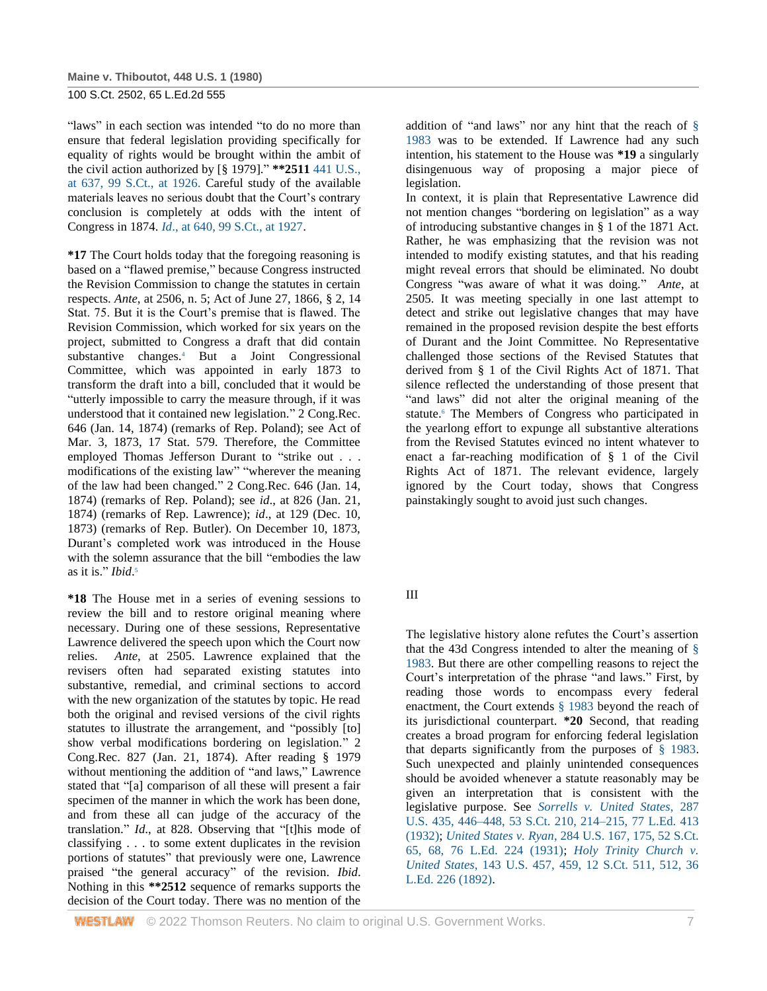"laws" in each section was intended "to do no more than ensure that federal legislation providing specifically for equality of rights would be brought within the ambit of the civil action authorized by [§ 1979]." **\*\*2511** [441 U.S.,](http://www.westlaw.com/Link/Document/FullText?findType=Y&serNum=1979135111&pubNum=708&originatingDoc=I179091d39c1f11d993e6d35cc61aab4a&refType=RP&fi=co_pp_sp_708_1926&originationContext=document&vr=3.0&rs=cblt1.0&transitionType=DocumentItem&contextData=(sc.DocLink)#co_pp_sp_708_1926)  [at 637, 99 S.Ct., at 1926.](http://www.westlaw.com/Link/Document/FullText?findType=Y&serNum=1979135111&pubNum=708&originatingDoc=I179091d39c1f11d993e6d35cc61aab4a&refType=RP&fi=co_pp_sp_708_1926&originationContext=document&vr=3.0&rs=cblt1.0&transitionType=DocumentItem&contextData=(sc.DocLink)#co_pp_sp_708_1926) Careful study of the available materials leaves no serious doubt that the Court's contrary conclusion is completely at odds with the intent of Congress in 1874. *Id*[., at 640, 99 S.Ct., at 1927.](http://www.westlaw.com/Link/Document/FullText?findType=Y&serNum=1979135111&pubNum=708&originatingDoc=I179091d39c1f11d993e6d35cc61aab4a&refType=RP&fi=co_pp_sp_708_1927&originationContext=document&vr=3.0&rs=cblt1.0&transitionType=DocumentItem&contextData=(sc.DocLink)#co_pp_sp_708_1927)

**\*17** The Court holds today that the foregoing reasoning is based on a "flawed premise," because Congress instructed the Revision Commission to change the statutes in certain respects. *Ante*, at 2506, n. 5; Act of June 27, 1866, § 2, 14 Stat. 75. But it is the Court's premise that is flawed. The Revision Commission, which worked for six years on the project, submitted to Congress a draft that did contain substantive changes.<sup>4</sup> But a Joint Congressional Committee, which was appointed in early 1873 to transform the draft into a bill, concluded that it would be "utterly impossible to carry the measure through, if it was understood that it contained new legislation." 2 Cong.Rec. 646 (Jan. 14, 1874) (remarks of Rep. Poland); see Act of Mar. 3, 1873, 17 Stat. 579. Therefore, the Committee employed Thomas Jefferson Durant to "strike out . . . modifications of the existing law" "wherever the meaning of the law had been changed." 2 Cong.Rec. 646 (Jan. 14, 1874) (remarks of Rep. Poland); see *id*., at 826 (Jan. 21, 1874) (remarks of Rep. Lawrence); *id*., at 129 (Dec. 10, 1873) (remarks of Rep. Butler). On December 10, 1873, Durant's completed work was introduced in the House with the solemn assurance that the bill "embodies the law as it is." *Ibid*. 5

**\*18** The House met in a series of evening sessions to review the bill and to restore original meaning where necessary. During one of these sessions, Representative Lawrence delivered the speech upon which the Court now relies. *Ante*, at 2505. Lawrence explained that the revisers often had separated existing statutes into substantive, remedial, and criminal sections to accord with the new organization of the statutes by topic. He read both the original and revised versions of the civil rights statutes to illustrate the arrangement, and "possibly [to] show verbal modifications bordering on legislation." 2 Cong.Rec. 827 (Jan. 21, 1874). After reading § 1979 without mentioning the addition of "and laws," Lawrence stated that "[a] comparison of all these will present a fair specimen of the manner in which the work has been done, and from these all can judge of the accuracy of the translation." *Id*., at 828. Observing that "[t]his mode of classifying . . . to some extent duplicates in the revision portions of statutes" that previously were one, Lawrence praised "the general accuracy" of the revision. *Ibid*. Nothing in this **\*\*2512** sequence of remarks supports the decision of the Court today. There was no mention of the addition of "and laws" nor any hint that the reach of [§](http://www.westlaw.com/Link/Document/FullText?findType=L&pubNum=1000546&cite=42USCAS1983&originatingDoc=I179091d39c1f11d993e6d35cc61aab4a&refType=LQ&originationContext=document&vr=3.0&rs=cblt1.0&transitionType=DocumentItem&contextData=(sc.DocLink))  [1983](http://www.westlaw.com/Link/Document/FullText?findType=L&pubNum=1000546&cite=42USCAS1983&originatingDoc=I179091d39c1f11d993e6d35cc61aab4a&refType=LQ&originationContext=document&vr=3.0&rs=cblt1.0&transitionType=DocumentItem&contextData=(sc.DocLink)) was to be extended. If Lawrence had any such intention, his statement to the House was **\*19** a singularly disingenuous way of proposing a major piece of legislation.

In context, it is plain that Representative Lawrence did not mention changes "bordering on legislation" as a way of introducing substantive changes in § 1 of the 1871 Act. Rather, he was emphasizing that the revision was not intended to modify existing statutes, and that his reading might reveal errors that should be eliminated. No doubt Congress "was aware of what it was doing." *Ante*, at 2505. It was meeting specially in one last attempt to detect and strike out legislative changes that may have remained in the proposed revision despite the best efforts of Durant and the Joint Committee. No Representative challenged those sections of the Revised Statutes that derived from § 1 of the Civil Rights Act of 1871. That silence reflected the understanding of those present that "and laws" did not alter the original meaning of the statute.<sup>6</sup> The Members of Congress who participated in the yearlong effort to expunge all substantive alterations from the Revised Statutes evinced no intent whatever to enact a far-reaching modification of § 1 of the Civil Rights Act of 1871. The relevant evidence, largely ignored by the Court today, shows that Congress painstakingly sought to avoid just such changes.

## III

The legislative history alone refutes the Court's assertion that the 43d Congress intended to alter the meaning of  $\S$ [1983.](http://www.westlaw.com/Link/Document/FullText?findType=L&pubNum=1000546&cite=42USCAS1983&originatingDoc=I179091d39c1f11d993e6d35cc61aab4a&refType=LQ&originationContext=document&vr=3.0&rs=cblt1.0&transitionType=DocumentItem&contextData=(sc.DocLink)) But there are other compelling reasons to reject the Court's interpretation of the phrase "and laws." First, by reading those words to encompass every federal enactment, the Court extends [§ 1983](http://www.westlaw.com/Link/Document/FullText?findType=L&pubNum=1000546&cite=42USCAS1983&originatingDoc=I179091d39c1f11d993e6d35cc61aab4a&refType=LQ&originationContext=document&vr=3.0&rs=cblt1.0&transitionType=DocumentItem&contextData=(sc.DocLink)) beyond the reach of its jurisdictional counterpart. **\*20** Second, that reading creates a broad program for enforcing federal legislation that departs significantly from the purposes of [§ 1983.](http://www.westlaw.com/Link/Document/FullText?findType=L&pubNum=1000546&cite=42USCAS1983&originatingDoc=I179091d39c1f11d993e6d35cc61aab4a&refType=LQ&originationContext=document&vr=3.0&rs=cblt1.0&transitionType=DocumentItem&contextData=(sc.DocLink)) Such unexpected and plainly unintended consequences should be avoided whenever a statute reasonably may be given an interpretation that is consistent with the legislative purpose. See *[Sorrells v. United States](http://www.westlaw.com/Link/Document/FullText?findType=Y&serNum=1932123856&pubNum=708&originatingDoc=I179091d39c1f11d993e6d35cc61aab4a&refType=RP&fi=co_pp_sp_708_214&originationContext=document&vr=3.0&rs=cblt1.0&transitionType=DocumentItem&contextData=(sc.DocLink)#co_pp_sp_708_214)*, 287 [U.S. 435, 446–448, 53 S.Ct. 210, 214–215, 77 L.Ed. 413](http://www.westlaw.com/Link/Document/FullText?findType=Y&serNum=1932123856&pubNum=708&originatingDoc=I179091d39c1f11d993e6d35cc61aab4a&refType=RP&fi=co_pp_sp_708_214&originationContext=document&vr=3.0&rs=cblt1.0&transitionType=DocumentItem&contextData=(sc.DocLink)#co_pp_sp_708_214)  [\(1932\);](http://www.westlaw.com/Link/Document/FullText?findType=Y&serNum=1932123856&pubNum=708&originatingDoc=I179091d39c1f11d993e6d35cc61aab4a&refType=RP&fi=co_pp_sp_708_214&originationContext=document&vr=3.0&rs=cblt1.0&transitionType=DocumentItem&contextData=(sc.DocLink)#co_pp_sp_708_214) *United States v. Ryan*[, 284 U.S. 167, 175, 52 S.Ct.](http://www.westlaw.com/Link/Document/FullText?findType=Y&serNum=1931124007&pubNum=708&originatingDoc=I179091d39c1f11d993e6d35cc61aab4a&refType=RP&fi=co_pp_sp_708_68&originationContext=document&vr=3.0&rs=cblt1.0&transitionType=DocumentItem&contextData=(sc.DocLink)#co_pp_sp_708_68)  [65, 68, 76 L.Ed. 224 \(1931\);](http://www.westlaw.com/Link/Document/FullText?findType=Y&serNum=1931124007&pubNum=708&originatingDoc=I179091d39c1f11d993e6d35cc61aab4a&refType=RP&fi=co_pp_sp_708_68&originationContext=document&vr=3.0&rs=cblt1.0&transitionType=DocumentItem&contextData=(sc.DocLink)#co_pp_sp_708_68) *[Holy Trinity Church v.](http://www.westlaw.com/Link/Document/FullText?findType=Y&serNum=1892180072&pubNum=708&originatingDoc=I179091d39c1f11d993e6d35cc61aab4a&refType=RP&fi=co_pp_sp_708_512&originationContext=document&vr=3.0&rs=cblt1.0&transitionType=DocumentItem&contextData=(sc.DocLink)#co_pp_sp_708_512)  United States*[, 143 U.S. 457, 459, 12 S.Ct. 511, 512, 36](http://www.westlaw.com/Link/Document/FullText?findType=Y&serNum=1892180072&pubNum=708&originatingDoc=I179091d39c1f11d993e6d35cc61aab4a&refType=RP&fi=co_pp_sp_708_512&originationContext=document&vr=3.0&rs=cblt1.0&transitionType=DocumentItem&contextData=(sc.DocLink)#co_pp_sp_708_512)  [L.Ed. 226 \(1892\).](http://www.westlaw.com/Link/Document/FullText?findType=Y&serNum=1892180072&pubNum=708&originatingDoc=I179091d39c1f11d993e6d35cc61aab4a&refType=RP&fi=co_pp_sp_708_512&originationContext=document&vr=3.0&rs=cblt1.0&transitionType=DocumentItem&contextData=(sc.DocLink)#co_pp_sp_708_512)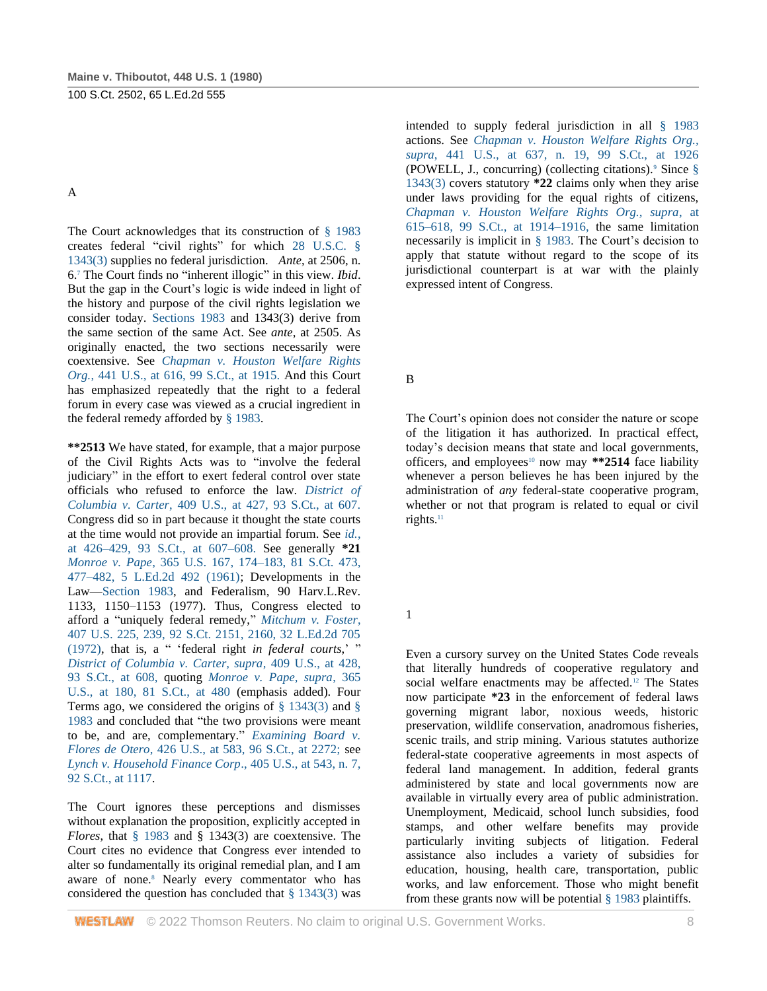A

The Court acknowledges that its construction of [§ 1983](http://www.westlaw.com/Link/Document/FullText?findType=L&pubNum=1000546&cite=42USCAS1983&originatingDoc=I179091d39c1f11d993e6d35cc61aab4a&refType=LQ&originationContext=document&vr=3.0&rs=cblt1.0&transitionType=DocumentItem&contextData=(sc.DocLink)) creates federal "civil rights" for which [28 U.S.C. §](http://www.westlaw.com/Link/Document/FullText?findType=L&pubNum=1000546&cite=28USCAS1343&originatingDoc=I179091d39c1f11d993e6d35cc61aab4a&refType=LQ&originationContext=document&vr=3.0&rs=cblt1.0&transitionType=DocumentItem&contextData=(sc.DocLink))  [1343\(3\)](http://www.westlaw.com/Link/Document/FullText?findType=L&pubNum=1000546&cite=28USCAS1343&originatingDoc=I179091d39c1f11d993e6d35cc61aab4a&refType=LQ&originationContext=document&vr=3.0&rs=cblt1.0&transitionType=DocumentItem&contextData=(sc.DocLink)) supplies no federal jurisdiction. *Ante*, at 2506, n. 6.<sup>7</sup> The Court finds no "inherent illogic" in this view. *Ibid*. But the gap in the Court's logic is wide indeed in light of the history and purpose of the civil rights legislation we consider today. [Sections 1983](http://www.westlaw.com/Link/Document/FullText?findType=L&pubNum=1000546&cite=42USCAS1983&originatingDoc=I179091d39c1f11d993e6d35cc61aab4a&refType=LQ&originationContext=document&vr=3.0&rs=cblt1.0&transitionType=DocumentItem&contextData=(sc.DocLink)) and 1343(3) derive from the same section of the same Act. See *ante*, at 2505. As originally enacted, the two sections necessarily were coextensive. See *[Chapman v. Houston Welfare Rights](http://www.westlaw.com/Link/Document/FullText?findType=Y&serNum=1979135111&pubNum=708&originatingDoc=I179091d39c1f11d993e6d35cc61aab4a&refType=RP&fi=co_pp_sp_708_1915&originationContext=document&vr=3.0&rs=cblt1.0&transitionType=DocumentItem&contextData=(sc.DocLink)#co_pp_sp_708_1915)  Org.*[, 441 U.S., at 616, 99 S.Ct., at 1915.](http://www.westlaw.com/Link/Document/FullText?findType=Y&serNum=1979135111&pubNum=708&originatingDoc=I179091d39c1f11d993e6d35cc61aab4a&refType=RP&fi=co_pp_sp_708_1915&originationContext=document&vr=3.0&rs=cblt1.0&transitionType=DocumentItem&contextData=(sc.DocLink)#co_pp_sp_708_1915) And this Court has emphasized repeatedly that the right to a federal forum in every case was viewed as a crucial ingredient in the federal remedy afforded by [§ 1983.](http://www.westlaw.com/Link/Document/FullText?findType=L&pubNum=1000546&cite=42USCAS1983&originatingDoc=I179091d39c1f11d993e6d35cc61aab4a&refType=LQ&originationContext=document&vr=3.0&rs=cblt1.0&transitionType=DocumentItem&contextData=(sc.DocLink))

**\*\*2513** We have stated, for example, that a major purpose of the Civil Rights Acts was to "involve the federal judiciary" in the effort to exert federal control over state officials who refused to enforce the law. *[District of](http://www.westlaw.com/Link/Document/FullText?findType=Y&serNum=1973126310&pubNum=708&originatingDoc=I179091d39c1f11d993e6d35cc61aab4a&refType=RP&fi=co_pp_sp_708_607&originationContext=document&vr=3.0&rs=cblt1.0&transitionType=DocumentItem&contextData=(sc.DocLink)#co_pp_sp_708_607)  Columbia v. Carter*[, 409 U.S., at 427, 93 S.Ct., at 607.](http://www.westlaw.com/Link/Document/FullText?findType=Y&serNum=1973126310&pubNum=708&originatingDoc=I179091d39c1f11d993e6d35cc61aab4a&refType=RP&fi=co_pp_sp_708_607&originationContext=document&vr=3.0&rs=cblt1.0&transitionType=DocumentItem&contextData=(sc.DocLink)#co_pp_sp_708_607) Congress did so in part because it thought the state courts at the time would not provide an impartial forum. See *[id.](http://www.westlaw.com/Link/Document/FullText?findType=Y&serNum=1973126310&pubNum=708&originatingDoc=I179091d39c1f11d993e6d35cc61aab4a&refType=RP&fi=co_pp_sp_708_607&originationContext=document&vr=3.0&rs=cblt1.0&transitionType=DocumentItem&contextData=(sc.DocLink)#co_pp_sp_708_607)*, [at 426–429, 93 S.Ct., at 607–608.](http://www.westlaw.com/Link/Document/FullText?findType=Y&serNum=1973126310&pubNum=708&originatingDoc=I179091d39c1f11d993e6d35cc61aab4a&refType=RP&fi=co_pp_sp_708_607&originationContext=document&vr=3.0&rs=cblt1.0&transitionType=DocumentItem&contextData=(sc.DocLink)#co_pp_sp_708_607) See generally **\*21** *Monroe v. Pape*[, 365 U.S. 167, 174–183,](http://www.westlaw.com/Link/Document/FullText?findType=Y&serNum=1961125426&pubNum=780&originatingDoc=I179091d39c1f11d993e6d35cc61aab4a&refType=RP&fi=co_pp_sp_780_174&originationContext=document&vr=3.0&rs=cblt1.0&transitionType=DocumentItem&contextData=(sc.DocLink)#co_pp_sp_780_174) [81 S.Ct. 473,](http://www.westlaw.com/Link/Document/FullText?findType=Y&serNum=1961125426&pubNum=708&originatingDoc=I179091d39c1f11d993e6d35cc61aab4a&refType=RP&fi=co_pp_sp_708_477&originationContext=document&vr=3.0&rs=cblt1.0&transitionType=DocumentItem&contextData=(sc.DocLink)#co_pp_sp_708_477)  [477–482, 5 L.Ed.2d 492 \(1961\);](http://www.westlaw.com/Link/Document/FullText?findType=Y&serNum=1961125426&pubNum=708&originatingDoc=I179091d39c1f11d993e6d35cc61aab4a&refType=RP&fi=co_pp_sp_708_477&originationContext=document&vr=3.0&rs=cblt1.0&transitionType=DocumentItem&contextData=(sc.DocLink)#co_pp_sp_708_477) Developments in the Law[—Section 1983,](http://www.westlaw.com/Link/Document/FullText?findType=L&pubNum=1000546&cite=42USCAS1983&originatingDoc=I179091d39c1f11d993e6d35cc61aab4a&refType=LQ&originationContext=document&vr=3.0&rs=cblt1.0&transitionType=DocumentItem&contextData=(sc.DocLink)) and Federalism, 90 Harv.L.Rev. 1133, 1150–1153 (1977). Thus, Congress elected to afford a "uniquely federal remedy," *[Mitchum v. Foster](http://www.westlaw.com/Link/Document/FullText?findType=Y&serNum=1972127162&pubNum=708&originatingDoc=I179091d39c1f11d993e6d35cc61aab4a&refType=RP&fi=co_pp_sp_708_2160&originationContext=document&vr=3.0&rs=cblt1.0&transitionType=DocumentItem&contextData=(sc.DocLink)#co_pp_sp_708_2160)*, [407 U.S. 225, 239, 92 S.Ct. 2151, 2160, 32 L.Ed.2d 705](http://www.westlaw.com/Link/Document/FullText?findType=Y&serNum=1972127162&pubNum=708&originatingDoc=I179091d39c1f11d993e6d35cc61aab4a&refType=RP&fi=co_pp_sp_708_2160&originationContext=document&vr=3.0&rs=cblt1.0&transitionType=DocumentItem&contextData=(sc.DocLink)#co_pp_sp_708_2160)  [\(1972\),](http://www.westlaw.com/Link/Document/FullText?findType=Y&serNum=1972127162&pubNum=708&originatingDoc=I179091d39c1f11d993e6d35cc61aab4a&refType=RP&fi=co_pp_sp_708_2160&originationContext=document&vr=3.0&rs=cblt1.0&transitionType=DocumentItem&contextData=(sc.DocLink)#co_pp_sp_708_2160) that is, a " 'federal right *in federal courts*,' " *[District of Columbia v. Carter, supra](http://www.westlaw.com/Link/Document/FullText?findType=Y&serNum=1973126310&pubNum=708&originatingDoc=I179091d39c1f11d993e6d35cc61aab4a&refType=RP&fi=co_pp_sp_708_608&originationContext=document&vr=3.0&rs=cblt1.0&transitionType=DocumentItem&contextData=(sc.DocLink)#co_pp_sp_708_608)*, 409 U.S., at 428, [93 S.Ct., at 608,](http://www.westlaw.com/Link/Document/FullText?findType=Y&serNum=1973126310&pubNum=708&originatingDoc=I179091d39c1f11d993e6d35cc61aab4a&refType=RP&fi=co_pp_sp_708_608&originationContext=document&vr=3.0&rs=cblt1.0&transitionType=DocumentItem&contextData=(sc.DocLink)#co_pp_sp_708_608) quoting *[Monroe v. Pape, supra](http://www.westlaw.com/Link/Document/FullText?findType=Y&serNum=1961125426&pubNum=708&originatingDoc=I179091d39c1f11d993e6d35cc61aab4a&refType=RP&fi=co_pp_sp_708_480&originationContext=document&vr=3.0&rs=cblt1.0&transitionType=DocumentItem&contextData=(sc.DocLink)#co_pp_sp_708_480)*, 365 [U.S., at 180, 81 S.Ct., at 480](http://www.westlaw.com/Link/Document/FullText?findType=Y&serNum=1961125426&pubNum=708&originatingDoc=I179091d39c1f11d993e6d35cc61aab4a&refType=RP&fi=co_pp_sp_708_480&originationContext=document&vr=3.0&rs=cblt1.0&transitionType=DocumentItem&contextData=(sc.DocLink)#co_pp_sp_708_480) (emphasis added). Four Terms ago, we considered the origins of  $\S$  1343(3) and  $\S$ [1983](http://www.westlaw.com/Link/Document/FullText?findType=L&pubNum=1000546&cite=42USCAS1983&originatingDoc=I179091d39c1f11d993e6d35cc61aab4a&refType=LQ&originationContext=document&vr=3.0&rs=cblt1.0&transitionType=DocumentItem&contextData=(sc.DocLink)) and concluded that "the two provisions were meant to be, and are, complementary." *[Examining Board v.](http://www.westlaw.com/Link/Document/FullText?findType=Y&serNum=1976142407&pubNum=708&originatingDoc=I179091d39c1f11d993e6d35cc61aab4a&refType=RP&fi=co_pp_sp_708_2272&originationContext=document&vr=3.0&rs=cblt1.0&transitionType=DocumentItem&contextData=(sc.DocLink)#co_pp_sp_708_2272)  Flores de Otero*[, 426 U.S., at 583, 96 S.Ct., at 2272;](http://www.westlaw.com/Link/Document/FullText?findType=Y&serNum=1976142407&pubNum=708&originatingDoc=I179091d39c1f11d993e6d35cc61aab4a&refType=RP&fi=co_pp_sp_708_2272&originationContext=document&vr=3.0&rs=cblt1.0&transitionType=DocumentItem&contextData=(sc.DocLink)#co_pp_sp_708_2272) see *[Lynch v. Household Finance Corp](http://www.westlaw.com/Link/Document/FullText?findType=Y&serNum=1972127096&pubNum=708&originatingDoc=I179091d39c1f11d993e6d35cc61aab4a&refType=RP&fi=co_pp_sp_708_1117&originationContext=document&vr=3.0&rs=cblt1.0&transitionType=DocumentItem&contextData=(sc.DocLink)#co_pp_sp_708_1117)*., 405 U.S., at 543, n. 7, [92 S.Ct., at 1117.](http://www.westlaw.com/Link/Document/FullText?findType=Y&serNum=1972127096&pubNum=708&originatingDoc=I179091d39c1f11d993e6d35cc61aab4a&refType=RP&fi=co_pp_sp_708_1117&originationContext=document&vr=3.0&rs=cblt1.0&transitionType=DocumentItem&contextData=(sc.DocLink)#co_pp_sp_708_1117)

The Court ignores these perceptions and dismisses without explanation the proposition, explicitly accepted in *Flores*, that [§ 1983](http://www.westlaw.com/Link/Document/FullText?findType=L&pubNum=1000546&cite=42USCAS1983&originatingDoc=I179091d39c1f11d993e6d35cc61aab4a&refType=LQ&originationContext=document&vr=3.0&rs=cblt1.0&transitionType=DocumentItem&contextData=(sc.DocLink)) and § 1343(3) are coextensive. The Court cites no evidence that Congress ever intended to alter so fundamentally its original remedial plan, and I am aware of none.<sup>8</sup> Nearly every commentator who has considered the question has concluded that  $\S$  1343(3) was

intended to supply federal jurisdiction in all [§ 1983](http://www.westlaw.com/Link/Document/FullText?findType=L&pubNum=1000546&cite=42USCAS1983&originatingDoc=I179091d39c1f11d993e6d35cc61aab4a&refType=LQ&originationContext=document&vr=3.0&rs=cblt1.0&transitionType=DocumentItem&contextData=(sc.DocLink)) actions. See *[Chapman v. Houston Welfare Rights Org.,](http://www.westlaw.com/Link/Document/FullText?findType=Y&serNum=1979135111&pubNum=708&originatingDoc=I179091d39c1f11d993e6d35cc61aab4a&refType=RP&fi=co_pp_sp_708_1926&originationContext=document&vr=3.0&rs=cblt1.0&transitionType=DocumentItem&contextData=(sc.DocLink)#co_pp_sp_708_1926)  supra*[, 441 U.S., at 637, n. 19, 99 S.Ct., at 1926](http://www.westlaw.com/Link/Document/FullText?findType=Y&serNum=1979135111&pubNum=708&originatingDoc=I179091d39c1f11d993e6d35cc61aab4a&refType=RP&fi=co_pp_sp_708_1926&originationContext=document&vr=3.0&rs=cblt1.0&transitionType=DocumentItem&contextData=(sc.DocLink)#co_pp_sp_708_1926) (POWELL, J., concurring) (collecting citations).<sup>9</sup> Since  $\S$ [1343\(3\)](http://www.westlaw.com/Link/Document/FullText?findType=L&pubNum=1000546&cite=28USCAS1343&originatingDoc=I179091d39c1f11d993e6d35cc61aab4a&refType=LQ&originationContext=document&vr=3.0&rs=cblt1.0&transitionType=DocumentItem&contextData=(sc.DocLink)) covers statutory **\*22** claims only when they arise under laws providing for the equal rights of citizens, *[Chapman v. Houston Welfare Rights Org., supra](http://www.westlaw.com/Link/Document/FullText?findType=Y&serNum=1979135111&pubNum=708&originatingDoc=I179091d39c1f11d993e6d35cc61aab4a&refType=RP&fi=co_pp_sp_708_1914&originationContext=document&vr=3.0&rs=cblt1.0&transitionType=DocumentItem&contextData=(sc.DocLink)#co_pp_sp_708_1914)*, at [615–618, 99 S.Ct., at 1914–1916,](http://www.westlaw.com/Link/Document/FullText?findType=Y&serNum=1979135111&pubNum=708&originatingDoc=I179091d39c1f11d993e6d35cc61aab4a&refType=RP&fi=co_pp_sp_708_1914&originationContext=document&vr=3.0&rs=cblt1.0&transitionType=DocumentItem&contextData=(sc.DocLink)#co_pp_sp_708_1914) the same limitation necessarily is implicit in [§ 1983.](http://www.westlaw.com/Link/Document/FullText?findType=L&pubNum=1000546&cite=42USCAS1983&originatingDoc=I179091d39c1f11d993e6d35cc61aab4a&refType=LQ&originationContext=document&vr=3.0&rs=cblt1.0&transitionType=DocumentItem&contextData=(sc.DocLink)) The Court's decision to apply that statute without regard to the scope of its jurisdictional counterpart is at war with the plainly expressed intent of Congress.

B

The Court's opinion does not consider the nature or scope of the litigation it has authorized. In practical effect, today's decision means that state and local governments, officers, and employees<sup>10</sup> now may \*\*2514 face liability whenever a person believes he has been injured by the administration of *any* federal-state cooperative program, whether or not that program is related to equal or civil rights.<sup>11</sup>

1

Even a cursory survey on the United States Code reveals that literally hundreds of cooperative regulatory and social welfare enactments may be affected.<sup>12</sup> The States now participate **\*23** in the enforcement of federal laws governing migrant labor, noxious weeds, historic preservation, wildlife conservation, anadromous fisheries, scenic trails, and strip mining. Various statutes authorize federal-state cooperative agreements in most aspects of federal land management. In addition, federal grants administered by state and local governments now are available in virtually every area of public administration. Unemployment, Medicaid, school lunch subsidies, food stamps, and other welfare benefits may provide particularly inviting subjects of litigation. Federal assistance also includes a variety of subsidies for education, housing, health care, transportation, public works, and law enforcement. Those who might benefit from these grants now will be potential [§ 1983](http://www.westlaw.com/Link/Document/FullText?findType=L&pubNum=1000546&cite=42USCAS1983&originatingDoc=I179091d39c1f11d993e6d35cc61aab4a&refType=LQ&originationContext=document&vr=3.0&rs=cblt1.0&transitionType=DocumentItem&contextData=(sc.DocLink)) plaintiffs.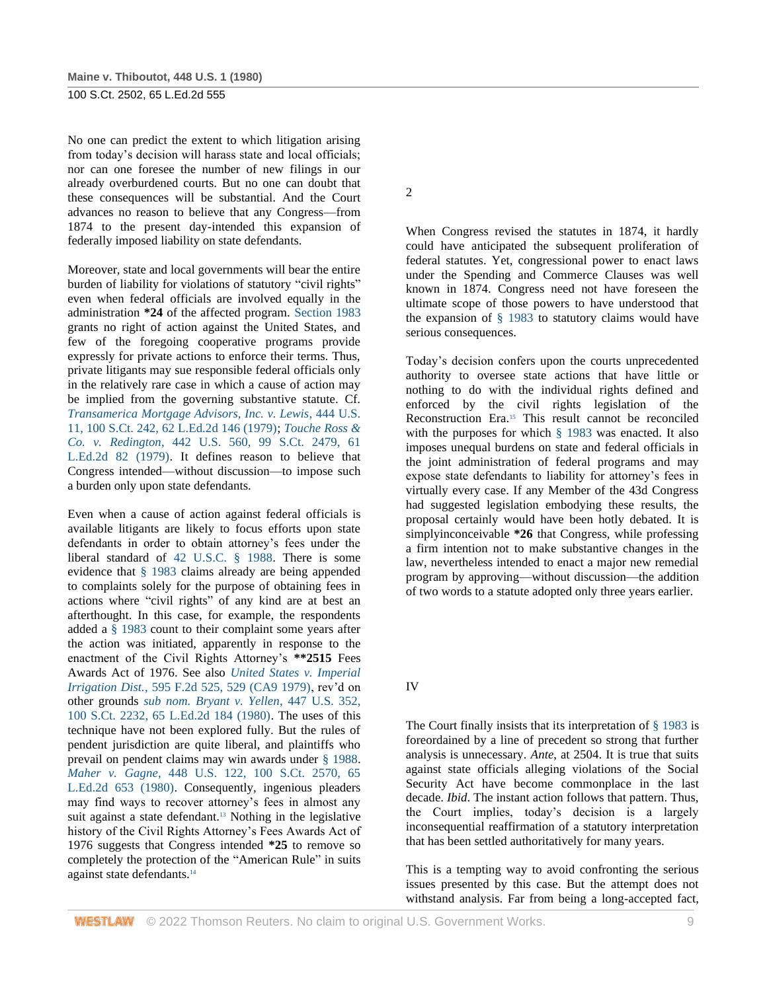No one can predict the extent to which litigation arising from today's decision will harass state and local officials; nor can one foresee the number of new filings in our already overburdened courts. But no one can doubt that these consequences will be substantial. And the Court advances no reason to believe that any Congress—from 1874 to the present day-intended this expansion of federally imposed liability on state defendants.

Moreover, state and local governments will bear the entire burden of liability for violations of statutory "civil rights" even when federal officials are involved equally in the administration **\*24** of the affected program. [Section 1983](http://www.westlaw.com/Link/Document/FullText?findType=L&pubNum=1000546&cite=42USCAS1983&originatingDoc=I179091d39c1f11d993e6d35cc61aab4a&refType=LQ&originationContext=document&vr=3.0&rs=cblt1.0&transitionType=DocumentItem&contextData=(sc.DocLink)) grants no right of action against the United States, and few of the foregoing cooperative programs provide expressly for private actions to enforce their terms. Thus, private litigants may sue responsible federal officials only in the relatively rare case in which a cause of action may be implied from the governing substantive statute. Cf. *[Transamerica Mortgage Advisors, Inc. v. Lewis](http://www.westlaw.com/Link/Document/FullText?findType=Y&serNum=1979195188&pubNum=708&originatingDoc=I179091d39c1f11d993e6d35cc61aab4a&refType=RP&originationContext=document&vr=3.0&rs=cblt1.0&transitionType=DocumentItem&contextData=(sc.DocLink))*, 444 U.S. [11, 100 S.Ct. 242, 62 L.Ed.2d 146 \(1979\);](http://www.westlaw.com/Link/Document/FullText?findType=Y&serNum=1979195188&pubNum=708&originatingDoc=I179091d39c1f11d993e6d35cc61aab4a&refType=RP&originationContext=document&vr=3.0&rs=cblt1.0&transitionType=DocumentItem&contextData=(sc.DocLink)) *[Touche Ross &](http://www.westlaw.com/Link/Document/FullText?findType=Y&serNum=1979135149&pubNum=708&originatingDoc=I179091d39c1f11d993e6d35cc61aab4a&refType=RP&originationContext=document&vr=3.0&rs=cblt1.0&transitionType=DocumentItem&contextData=(sc.DocLink))  Co. v. Redington*[, 442 U.S. 560, 99 S.Ct. 2479, 61](http://www.westlaw.com/Link/Document/FullText?findType=Y&serNum=1979135149&pubNum=708&originatingDoc=I179091d39c1f11d993e6d35cc61aab4a&refType=RP&originationContext=document&vr=3.0&rs=cblt1.0&transitionType=DocumentItem&contextData=(sc.DocLink))  [L.Ed.2d 82 \(1979\).](http://www.westlaw.com/Link/Document/FullText?findType=Y&serNum=1979135149&pubNum=708&originatingDoc=I179091d39c1f11d993e6d35cc61aab4a&refType=RP&originationContext=document&vr=3.0&rs=cblt1.0&transitionType=DocumentItem&contextData=(sc.DocLink)) It defines reason to believe that Congress intended—without discussion—to impose such a burden only upon state defendants.

Even when a cause of action against federal officials is available litigants are likely to focus efforts upon state defendants in order to obtain attorney's fees under the liberal standard of [42 U.S.C. § 1988.](http://www.westlaw.com/Link/Document/FullText?findType=L&pubNum=1000546&cite=42USCAS1988&originatingDoc=I179091d39c1f11d993e6d35cc61aab4a&refType=LQ&originationContext=document&vr=3.0&rs=cblt1.0&transitionType=DocumentItem&contextData=(sc.DocLink)) There is some evidence that [§ 1983](http://www.westlaw.com/Link/Document/FullText?findType=L&pubNum=1000546&cite=42USCAS1983&originatingDoc=I179091d39c1f11d993e6d35cc61aab4a&refType=LQ&originationContext=document&vr=3.0&rs=cblt1.0&transitionType=DocumentItem&contextData=(sc.DocLink)) claims already are being appended to complaints solely for the purpose of obtaining fees in actions where "civil rights" of any kind are at best an afterthought. In this case, for example, the respondents added a [§ 1983](http://www.westlaw.com/Link/Document/FullText?findType=L&pubNum=1000546&cite=42USCAS1983&originatingDoc=I179091d39c1f11d993e6d35cc61aab4a&refType=LQ&originationContext=document&vr=3.0&rs=cblt1.0&transitionType=DocumentItem&contextData=(sc.DocLink)) count to their complaint some years after the action was initiated, apparently in response to the enactment of the Civil Rights Attorney's **\*\*2515** Fees Awards Act of 1976. See also *[United States v. Imperial](http://www.westlaw.com/Link/Document/FullText?findType=Y&serNum=1979112344&pubNum=350&originatingDoc=I179091d39c1f11d993e6d35cc61aab4a&refType=RP&fi=co_pp_sp_350_529&originationContext=document&vr=3.0&rs=cblt1.0&transitionType=DocumentItem&contextData=(sc.DocLink)#co_pp_sp_350_529)  Irrigation Dist.*[, 595 F.2d 525, 529 \(CA9 1979\),](http://www.westlaw.com/Link/Document/FullText?findType=Y&serNum=1979112344&pubNum=350&originatingDoc=I179091d39c1f11d993e6d35cc61aab4a&refType=RP&fi=co_pp_sp_350_529&originationContext=document&vr=3.0&rs=cblt1.0&transitionType=DocumentItem&contextData=(sc.DocLink)#co_pp_sp_350_529) rev'd on other grounds *[sub nom. Bryant v. Yellen](http://www.westlaw.com/Link/Document/FullText?findType=Y&serNum=1980116778&pubNum=708&originatingDoc=I179091d39c1f11d993e6d35cc61aab4a&refType=RP&originationContext=document&vr=3.0&rs=cblt1.0&transitionType=DocumentItem&contextData=(sc.DocLink))*, 447 U.S. 352, [100 S.Ct. 2232, 65 L.Ed.2d 184 \(1980\).](http://www.westlaw.com/Link/Document/FullText?findType=Y&serNum=1980116778&pubNum=708&originatingDoc=I179091d39c1f11d993e6d35cc61aab4a&refType=RP&originationContext=document&vr=3.0&rs=cblt1.0&transitionType=DocumentItem&contextData=(sc.DocLink)) The uses of this technique have not been explored fully. But the rules of pendent jurisdiction are quite liberal, and plaintiffs who prevail on pendent claims may win awards under [§ 1988.](http://www.westlaw.com/Link/Document/FullText?findType=L&pubNum=1000546&cite=42USCAS1988&originatingDoc=I179091d39c1f11d993e6d35cc61aab4a&refType=LQ&originationContext=document&vr=3.0&rs=cblt1.0&transitionType=DocumentItem&contextData=(sc.DocLink)) *Maher v. Gagne*[, 448 U.S. 122, 100 S.Ct. 2570, 65](http://www.westlaw.com/Link/Document/FullText?findType=Y&serNum=1980116800&pubNum=708&originatingDoc=I179091d39c1f11d993e6d35cc61aab4a&refType=RP&originationContext=document&vr=3.0&rs=cblt1.0&transitionType=DocumentItem&contextData=(sc.DocLink))  [L.Ed.2d 653 \(1980\).](http://www.westlaw.com/Link/Document/FullText?findType=Y&serNum=1980116800&pubNum=708&originatingDoc=I179091d39c1f11d993e6d35cc61aab4a&refType=RP&originationContext=document&vr=3.0&rs=cblt1.0&transitionType=DocumentItem&contextData=(sc.DocLink)) Consequently, ingenious pleaders may find ways to recover attorney's fees in almost any suit against a state defendant.<sup>13</sup> Nothing in the legislative history of the Civil Rights Attorney's Fees Awards Act of 1976 suggests that Congress intended **\*25** to remove so completely the protection of the "American Rule" in suits against state defendants.<sup>14</sup>

2

When Congress revised the statutes in 1874, it hardly could have anticipated the subsequent proliferation of federal statutes. Yet, congressional power to enact laws under the Spending and Commerce Clauses was well known in 1874. Congress need not have foreseen the ultimate scope of those powers to have understood that the expansion of  $\S$  1983 to statutory claims would have serious consequences.

Today's decision confers upon the courts unprecedented authority to oversee state actions that have little or nothing to do with the individual rights defined and enforced by the civil rights legislation of the Reconstruction Era.<sup>15</sup> This result cannot be reconciled with the purposes for which [§ 1983](http://www.westlaw.com/Link/Document/FullText?findType=L&pubNum=1000546&cite=42USCAS1983&originatingDoc=I179091d39c1f11d993e6d35cc61aab4a&refType=LQ&originationContext=document&vr=3.0&rs=cblt1.0&transitionType=DocumentItem&contextData=(sc.DocLink)) was enacted. It also imposes unequal burdens on state and federal officials in the joint administration of federal programs and may expose state defendants to liability for attorney's fees in virtually every case. If any Member of the 43d Congress had suggested legislation embodying these results, the proposal certainly would have been hotly debated. It is simplyinconceivable **\*26** that Congress, while professing a firm intention not to make substantive changes in the law, nevertheless intended to enact a major new remedial program by approving—without discussion—the addition of two words to a statute adopted only three years earlier.

IV

The Court finally insists that its interpretation of [§ 1983](http://www.westlaw.com/Link/Document/FullText?findType=L&pubNum=1000546&cite=42USCAS1983&originatingDoc=I179091d39c1f11d993e6d35cc61aab4a&refType=LQ&originationContext=document&vr=3.0&rs=cblt1.0&transitionType=DocumentItem&contextData=(sc.DocLink)) is foreordained by a line of precedent so strong that further analysis is unnecessary. *Ante*, at 2504. It is true that suits against state officials alleging violations of the Social Security Act have become commonplace in the last decade. *Ibid*. The instant action follows that pattern. Thus, the Court implies, today's decision is a largely inconsequential reaffirmation of a statutory interpretation that has been settled authoritatively for many years.

This is a tempting way to avoid confronting the serious issues presented by this case. But the attempt does not withstand analysis. Far from being a long-accepted fact,

**WESTLAW** © 2022 Thomson Reuters. No claim to original U.S. Government Works. 9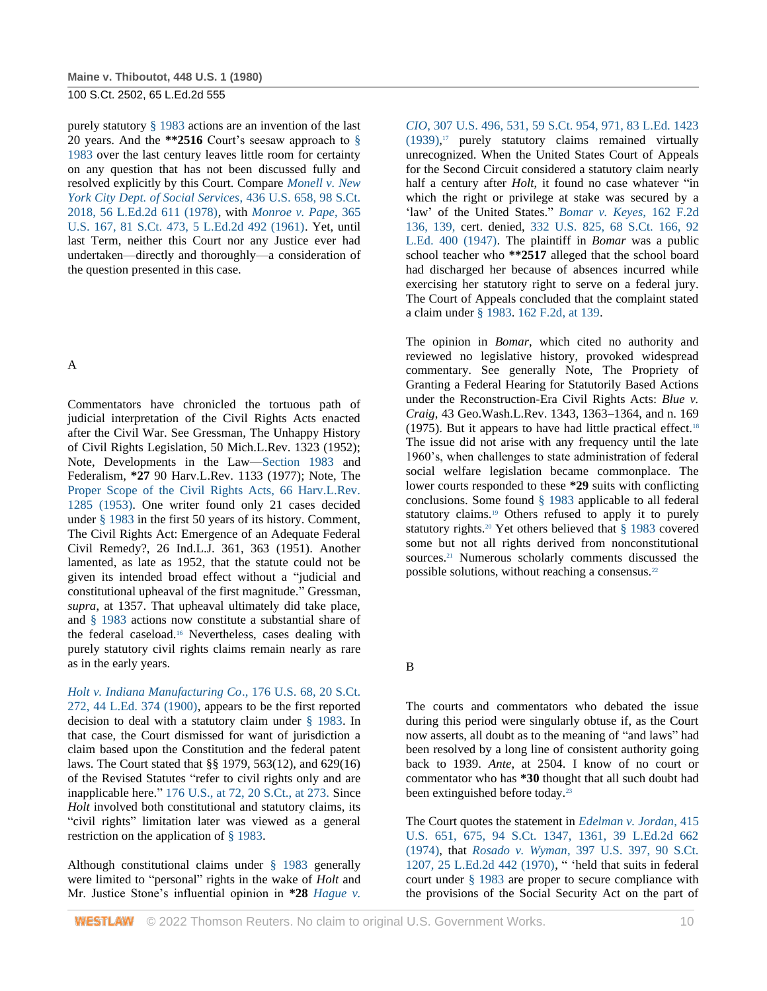purely statutory [§ 1983](http://www.westlaw.com/Link/Document/FullText?findType=L&pubNum=1000546&cite=42USCAS1983&originatingDoc=I179091d39c1f11d993e6d35cc61aab4a&refType=LQ&originationContext=document&vr=3.0&rs=cblt1.0&transitionType=DocumentItem&contextData=(sc.DocLink)) actions are an invention of the last 20 years. And the **\*\*2516** Court's seesaw approach to [§](http://www.westlaw.com/Link/Document/FullText?findType=L&pubNum=1000546&cite=42USCAS1983&originatingDoc=I179091d39c1f11d993e6d35cc61aab4a&refType=LQ&originationContext=document&vr=3.0&rs=cblt1.0&transitionType=DocumentItem&contextData=(sc.DocLink))  [1983](http://www.westlaw.com/Link/Document/FullText?findType=L&pubNum=1000546&cite=42USCAS1983&originatingDoc=I179091d39c1f11d993e6d35cc61aab4a&refType=LQ&originationContext=document&vr=3.0&rs=cblt1.0&transitionType=DocumentItem&contextData=(sc.DocLink)) over the last century leaves little room for certainty on any question that has not been discussed fully and resolved explicitly by this Court. Compare *[Monell v. New](http://www.westlaw.com/Link/Document/FullText?findType=Y&serNum=1978114250&pubNum=708&originatingDoc=I179091d39c1f11d993e6d35cc61aab4a&refType=RP&originationContext=document&vr=3.0&rs=cblt1.0&transitionType=DocumentItem&contextData=(sc.DocLink))  [York City Dept. of Social Services](http://www.westlaw.com/Link/Document/FullText?findType=Y&serNum=1978114250&pubNum=708&originatingDoc=I179091d39c1f11d993e6d35cc61aab4a&refType=RP&originationContext=document&vr=3.0&rs=cblt1.0&transitionType=DocumentItem&contextData=(sc.DocLink))*, 436 U.S. 658, 98 S.Ct. [2018, 56 L.Ed.2d 611 \(1978\),](http://www.westlaw.com/Link/Document/FullText?findType=Y&serNum=1978114250&pubNum=708&originatingDoc=I179091d39c1f11d993e6d35cc61aab4a&refType=RP&originationContext=document&vr=3.0&rs=cblt1.0&transitionType=DocumentItem&contextData=(sc.DocLink)) with *[Monroe v. Pape](http://www.westlaw.com/Link/Document/FullText?findType=Y&serNum=1961125426&pubNum=708&originatingDoc=I179091d39c1f11d993e6d35cc61aab4a&refType=RP&originationContext=document&vr=3.0&rs=cblt1.0&transitionType=DocumentItem&contextData=(sc.DocLink))*, 365 [U.S. 167, 81 S.Ct. 473, 5 L.Ed.2d 492 \(1961\).](http://www.westlaw.com/Link/Document/FullText?findType=Y&serNum=1961125426&pubNum=708&originatingDoc=I179091d39c1f11d993e6d35cc61aab4a&refType=RP&originationContext=document&vr=3.0&rs=cblt1.0&transitionType=DocumentItem&contextData=(sc.DocLink)) Yet, until last Term, neither this Court nor any Justice ever had undertaken—directly and thoroughly—a consideration of the question presented in this case.

### A

Commentators have chronicled the tortuous path of judicial interpretation of the Civil Rights Acts enacted after the Civil War. See Gressman, The Unhappy History of Civil Rights Legislation, 50 Mich.L.Rev. 1323 (1952); Note, Developments in the Law[—Section 1983](http://www.westlaw.com/Link/Document/FullText?findType=L&pubNum=1000546&cite=42USCAS1983&originatingDoc=I179091d39c1f11d993e6d35cc61aab4a&refType=LQ&originationContext=document&vr=3.0&rs=cblt1.0&transitionType=DocumentItem&contextData=(sc.DocLink)) and Federalism, **\*27** 90 Harv.L.Rev. 1133 (1977); Note, The [Proper Scope of the Civil Rights Acts, 66 Harv.L.Rev.](http://www.westlaw.com/Link/Document/FullText?findType=Y&serNum=0110256175&pubNum=3084&originatingDoc=I179091d39c1f11d993e6d35cc61aab4a&refType=LR&originationContext=document&vr=3.0&rs=cblt1.0&transitionType=DocumentItem&contextData=(sc.DocLink))  [1285 \(1953\).](http://www.westlaw.com/Link/Document/FullText?findType=Y&serNum=0110256175&pubNum=3084&originatingDoc=I179091d39c1f11d993e6d35cc61aab4a&refType=LR&originationContext=document&vr=3.0&rs=cblt1.0&transitionType=DocumentItem&contextData=(sc.DocLink)) One writer found only 21 cases decided under [§ 1983](http://www.westlaw.com/Link/Document/FullText?findType=L&pubNum=1000546&cite=42USCAS1983&originatingDoc=I179091d39c1f11d993e6d35cc61aab4a&refType=LQ&originationContext=document&vr=3.0&rs=cblt1.0&transitionType=DocumentItem&contextData=(sc.DocLink)) in the first 50 years of its history. Comment, The Civil Rights Act: Emergence of an Adequate Federal Civil Remedy?, 26 Ind.L.J. 361, 363 (1951). Another lamented, as late as 1952, that the statute could not be given its intended broad effect without a "judicial and constitutional upheaval of the first magnitude." Gressman, *supra*, at 1357. That upheaval ultimately did take place, and [§ 1983](http://www.westlaw.com/Link/Document/FullText?findType=L&pubNum=1000546&cite=42USCAS1983&originatingDoc=I179091d39c1f11d993e6d35cc61aab4a&refType=LQ&originationContext=document&vr=3.0&rs=cblt1.0&transitionType=DocumentItem&contextData=(sc.DocLink)) actions now constitute a substantial share of the federal caseload.<sup>16</sup> Nevertheless, cases dealing with purely statutory civil rights claims remain nearly as rare as in the early years.

*[Holt v. Indiana Manufacturing Co](http://www.westlaw.com/Link/Document/FullText?findType=Y&serNum=1900119509&pubNum=708&originatingDoc=I179091d39c1f11d993e6d35cc61aab4a&refType=RP&originationContext=document&vr=3.0&rs=cblt1.0&transitionType=DocumentItem&contextData=(sc.DocLink))*., 176 U.S. 68, 20 S.Ct. [272, 44 L.Ed. 374 \(1900\),](http://www.westlaw.com/Link/Document/FullText?findType=Y&serNum=1900119509&pubNum=708&originatingDoc=I179091d39c1f11d993e6d35cc61aab4a&refType=RP&originationContext=document&vr=3.0&rs=cblt1.0&transitionType=DocumentItem&contextData=(sc.DocLink)) appears to be the first reported decision to deal with a statutory claim under [§ 1983.](http://www.westlaw.com/Link/Document/FullText?findType=L&pubNum=1000546&cite=42USCAS1983&originatingDoc=I179091d39c1f11d993e6d35cc61aab4a&refType=LQ&originationContext=document&vr=3.0&rs=cblt1.0&transitionType=DocumentItem&contextData=(sc.DocLink)) In that case, the Court dismissed for want of jurisdiction a claim based upon the Constitution and the federal patent laws. The Court stated that §§ 1979, 563(12), and 629(16) of the Revised Statutes "refer to civil rights only and are inapplicable here." [176 U.S., at 72, 20 S.Ct., at 273.](http://www.westlaw.com/Link/Document/FullText?findType=Y&serNum=1900119509&pubNum=708&originatingDoc=I179091d39c1f11d993e6d35cc61aab4a&refType=RP&fi=co_pp_sp_708_273&originationContext=document&vr=3.0&rs=cblt1.0&transitionType=DocumentItem&contextData=(sc.DocLink)#co_pp_sp_708_273) Since *Holt* involved both constitutional and statutory claims, its "civil rights" limitation later was viewed as a general restriction on the application of [§ 1983.](http://www.westlaw.com/Link/Document/FullText?findType=L&pubNum=1000546&cite=42USCAS1983&originatingDoc=I179091d39c1f11d993e6d35cc61aab4a&refType=LQ&originationContext=document&vr=3.0&rs=cblt1.0&transitionType=DocumentItem&contextData=(sc.DocLink))

Although constitutional claims under [§ 1983](http://www.westlaw.com/Link/Document/FullText?findType=L&pubNum=1000546&cite=42USCAS1983&originatingDoc=I179091d39c1f11d993e6d35cc61aab4a&refType=LQ&originationContext=document&vr=3.0&rs=cblt1.0&transitionType=DocumentItem&contextData=(sc.DocLink)) generally were limited to "personal" rights in the wake of *Holt* and Mr. Justice Stone's influential opinion in **\*28** *[Hague v.](http://www.westlaw.com/Link/Document/FullText?findType=Y&serNum=1939126865&pubNum=780&originatingDoc=I179091d39c1f11d993e6d35cc61aab4a&refType=RP&fi=co_pp_sp_780_531&originationContext=document&vr=3.0&rs=cblt1.0&transitionType=DocumentItem&contextData=(sc.DocLink)#co_pp_sp_780_531)* 

*CIO*[, 307 U.S. 496, 531,](http://www.westlaw.com/Link/Document/FullText?findType=Y&serNum=1939126865&pubNum=780&originatingDoc=I179091d39c1f11d993e6d35cc61aab4a&refType=RP&fi=co_pp_sp_780_531&originationContext=document&vr=3.0&rs=cblt1.0&transitionType=DocumentItem&contextData=(sc.DocLink)#co_pp_sp_780_531) [59 S.Ct. 954, 971, 83 L.Ed. 1423](http://www.westlaw.com/Link/Document/FullText?findType=Y&serNum=1939126865&pubNum=708&originatingDoc=I179091d39c1f11d993e6d35cc61aab4a&refType=RP&fi=co_pp_sp_708_971&originationContext=document&vr=3.0&rs=cblt1.0&transitionType=DocumentItem&contextData=(sc.DocLink)#co_pp_sp_708_971)  [\(1939\),](http://www.westlaw.com/Link/Document/FullText?findType=Y&serNum=1939126865&pubNum=708&originatingDoc=I179091d39c1f11d993e6d35cc61aab4a&refType=RP&fi=co_pp_sp_708_971&originationContext=document&vr=3.0&rs=cblt1.0&transitionType=DocumentItem&contextData=(sc.DocLink)#co_pp_sp_708_971) <sup>17</sup> purely statutory claims remained virtually unrecognized. When the United States Court of Appeals for the Second Circuit considered a statutory claim nearly half a century after *Holt*, it found no case whatever "in which the right or privilege at stake was secured by a 'law' of the United States." *[Bomar v. Keyes](http://www.westlaw.com/Link/Document/FullText?findType=Y&serNum=1947114357&pubNum=350&originatingDoc=I179091d39c1f11d993e6d35cc61aab4a&refType=RP&fi=co_pp_sp_350_139&originationContext=document&vr=3.0&rs=cblt1.0&transitionType=DocumentItem&contextData=(sc.DocLink)#co_pp_sp_350_139)*, 162 F.2d [136, 139,](http://www.westlaw.com/Link/Document/FullText?findType=Y&serNum=1947114357&pubNum=350&originatingDoc=I179091d39c1f11d993e6d35cc61aab4a&refType=RP&fi=co_pp_sp_350_139&originationContext=document&vr=3.0&rs=cblt1.0&transitionType=DocumentItem&contextData=(sc.DocLink)#co_pp_sp_350_139) cert. denied, [332 U.S. 825, 68 S.Ct. 166, 92](http://www.westlaw.com/Link/Document/FullText?findType=Y&serNum=1947200481&pubNum=708&originatingDoc=I179091d39c1f11d993e6d35cc61aab4a&refType=RP&originationContext=document&vr=3.0&rs=cblt1.0&transitionType=DocumentItem&contextData=(sc.DocLink))  [L.Ed. 400 \(1947\).](http://www.westlaw.com/Link/Document/FullText?findType=Y&serNum=1947200481&pubNum=708&originatingDoc=I179091d39c1f11d993e6d35cc61aab4a&refType=RP&originationContext=document&vr=3.0&rs=cblt1.0&transitionType=DocumentItem&contextData=(sc.DocLink)) The plaintiff in *Bomar* was a public school teacher who **\*\*2517** alleged that the school board had discharged her because of absences incurred while exercising her statutory right to serve on a federal jury. The Court of Appeals concluded that the complaint stated a claim under [§ 1983.](http://www.westlaw.com/Link/Document/FullText?findType=L&pubNum=1000546&cite=42USCAS1983&originatingDoc=I179091d39c1f11d993e6d35cc61aab4a&refType=LQ&originationContext=document&vr=3.0&rs=cblt1.0&transitionType=DocumentItem&contextData=(sc.DocLink)) [162 F.2d, at 139.](http://www.westlaw.com/Link/Document/FullText?findType=Y&serNum=1947114357&pubNum=350&originatingDoc=I179091d39c1f11d993e6d35cc61aab4a&refType=RP&fi=co_pp_sp_350_139&originationContext=document&vr=3.0&rs=cblt1.0&transitionType=DocumentItem&contextData=(sc.DocLink)#co_pp_sp_350_139)

The opinion in *Bomar*, which cited no authority and reviewed no legislative history, provoked widespread commentary. See generally Note, The Propriety of Granting a Federal Hearing for Statutorily Based Actions under the Reconstruction-Era Civil Rights Acts: *Blue v. Craig*, 43 Geo.Wash.L.Rev. 1343, 1363–1364, and n. 169 (1975). But it appears to have had little practical effect.<sup>18</sup> The issue did not arise with any frequency until the late 1960's, when challenges to state administration of federal social welfare legislation became commonplace. The lower courts responded to these **\*29** suits with conflicting conclusions. Some found [§ 1983](http://www.westlaw.com/Link/Document/FullText?findType=L&pubNum=1000546&cite=42USCAS1983&originatingDoc=I179091d39c1f11d993e6d35cc61aab4a&refType=LQ&originationContext=document&vr=3.0&rs=cblt1.0&transitionType=DocumentItem&contextData=(sc.DocLink)) applicable to all federal statutory claims.<sup>19</sup> Others refused to apply it to purely statutory rights.<sup>20</sup> Yet others believed that [§ 1983](http://www.westlaw.com/Link/Document/FullText?findType=L&pubNum=1000546&cite=42USCAS1983&originatingDoc=I179091d39c1f11d993e6d35cc61aab4a&refType=LQ&originationContext=document&vr=3.0&rs=cblt1.0&transitionType=DocumentItem&contextData=(sc.DocLink)) covered some but not all rights derived from nonconstitutional sources.<sup>21</sup> Numerous scholarly comments discussed the possible solutions, without reaching a consensus.<sup>22</sup>

B

The courts and commentators who debated the issue during this period were singularly obtuse if, as the Court now asserts, all doubt as to the meaning of "and laws" had been resolved by a long line of consistent authority going back to 1939. *Ante*, at 2504. I know of no court or commentator who has **\*30** thought that all such doubt had been extinguished before today.<sup>23</sup>

The Court quotes the statement in *[Edelman v. Jordan](http://www.westlaw.com/Link/Document/FullText?findType=Y&serNum=1974127158&pubNum=708&originatingDoc=I179091d39c1f11d993e6d35cc61aab4a&refType=RP&fi=co_pp_sp_708_1361&originationContext=document&vr=3.0&rs=cblt1.0&transitionType=DocumentItem&contextData=(sc.DocLink)#co_pp_sp_708_1361)*, 415 [U.S. 651, 675, 94 S.Ct. 1347, 1361, 39 L.Ed.2d 662](http://www.westlaw.com/Link/Document/FullText?findType=Y&serNum=1974127158&pubNum=708&originatingDoc=I179091d39c1f11d993e6d35cc61aab4a&refType=RP&fi=co_pp_sp_708_1361&originationContext=document&vr=3.0&rs=cblt1.0&transitionType=DocumentItem&contextData=(sc.DocLink)#co_pp_sp_708_1361)  [\(1974\),](http://www.westlaw.com/Link/Document/FullText?findType=Y&serNum=1974127158&pubNum=708&originatingDoc=I179091d39c1f11d993e6d35cc61aab4a&refType=RP&fi=co_pp_sp_708_1361&originationContext=document&vr=3.0&rs=cblt1.0&transitionType=DocumentItem&contextData=(sc.DocLink)#co_pp_sp_708_1361) that *Rosado v. Wyman*[, 397 U.S. 397, 90 S.Ct.](http://www.westlaw.com/Link/Document/FullText?findType=Y&serNum=1970134209&pubNum=708&originatingDoc=I179091d39c1f11d993e6d35cc61aab4a&refType=RP&originationContext=document&vr=3.0&rs=cblt1.0&transitionType=DocumentItem&contextData=(sc.DocLink))  [1207, 25 L.Ed.2d 442 \(1970\),](http://www.westlaw.com/Link/Document/FullText?findType=Y&serNum=1970134209&pubNum=708&originatingDoc=I179091d39c1f11d993e6d35cc61aab4a&refType=RP&originationContext=document&vr=3.0&rs=cblt1.0&transitionType=DocumentItem&contextData=(sc.DocLink)) " 'held that suits in federal court under [§ 1983](http://www.westlaw.com/Link/Document/FullText?findType=L&pubNum=1000546&cite=42USCAS1983&originatingDoc=I179091d39c1f11d993e6d35cc61aab4a&refType=LQ&originationContext=document&vr=3.0&rs=cblt1.0&transitionType=DocumentItem&contextData=(sc.DocLink)) are proper to secure compliance with the provisions of the Social Security Act on the part of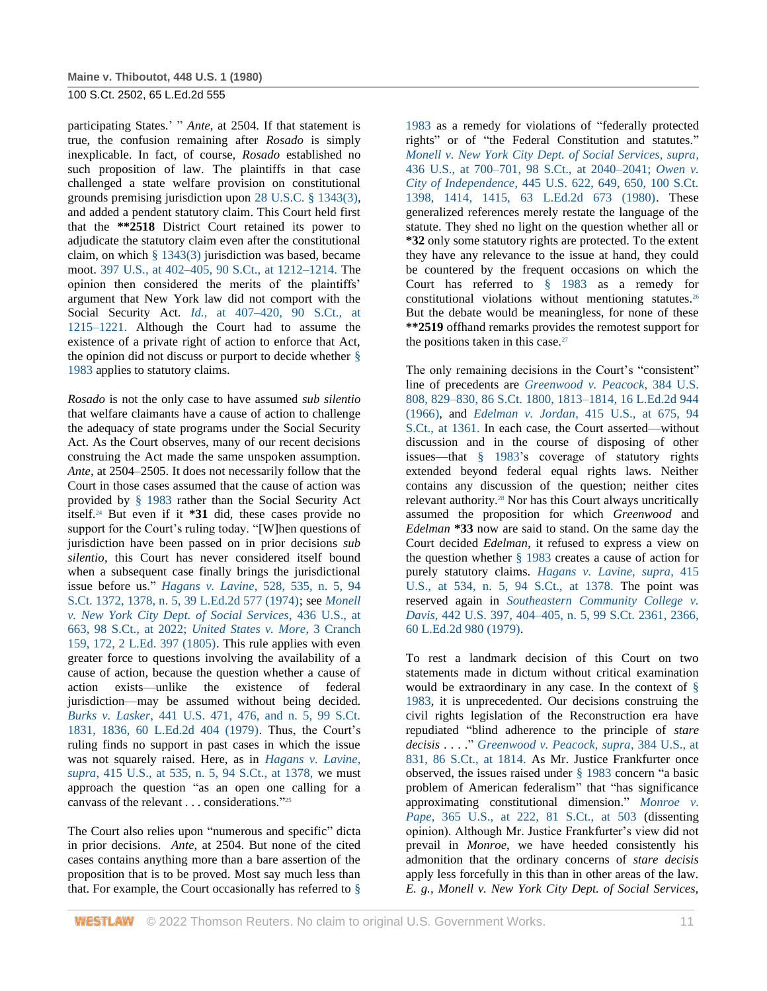participating States.' " *Ante*, at 2504. If that statement is true, the confusion remaining after *Rosado* is simply inexplicable. In fact, of course, *Rosado* established no such proposition of law. The plaintiffs in that case challenged a state welfare provision on constitutional grounds premising jurisdiction upon [28 U.S.C. § 1343\(3\),](http://www.westlaw.com/Link/Document/FullText?findType=L&pubNum=1000546&cite=28USCAS1343&originatingDoc=I179091d39c1f11d993e6d35cc61aab4a&refType=LQ&originationContext=document&vr=3.0&rs=cblt1.0&transitionType=DocumentItem&contextData=(sc.DocLink)) and added a pendent statutory claim. This Court held first that the **\*\*2518** District Court retained its power to adjudicate the statutory claim even after the constitutional claim, on which [§ 1343\(3\)](http://www.westlaw.com/Link/Document/FullText?findType=L&pubNum=1000546&cite=28USCAS1343&originatingDoc=I179091d39c1f11d993e6d35cc61aab4a&refType=LQ&originationContext=document&vr=3.0&rs=cblt1.0&transitionType=DocumentItem&contextData=(sc.DocLink)) jurisdiction was based, became moot. [397 U.S., at 402–405, 90 S.Ct., at 1212–1214.](http://www.westlaw.com/Link/Document/FullText?findType=Y&serNum=1970134209&pubNum=708&originatingDoc=I179091d39c1f11d993e6d35cc61aab4a&refType=RP&fi=co_pp_sp_708_1212&originationContext=document&vr=3.0&rs=cblt1.0&transitionType=DocumentItem&contextData=(sc.DocLink)#co_pp_sp_708_1212) The opinion then considered the merits of the plaintiffs' argument that New York law did not comport with the Social Security Act. *Id.*[, at 407–420, 90 S.Ct., at](http://www.westlaw.com/Link/Document/FullText?findType=Y&serNum=1970134209&pubNum=708&originatingDoc=I179091d39c1f11d993e6d35cc61aab4a&refType=RP&fi=co_pp_sp_708_1215&originationContext=document&vr=3.0&rs=cblt1.0&transitionType=DocumentItem&contextData=(sc.DocLink)#co_pp_sp_708_1215)  [1215–1221.](http://www.westlaw.com/Link/Document/FullText?findType=Y&serNum=1970134209&pubNum=708&originatingDoc=I179091d39c1f11d993e6d35cc61aab4a&refType=RP&fi=co_pp_sp_708_1215&originationContext=document&vr=3.0&rs=cblt1.0&transitionType=DocumentItem&contextData=(sc.DocLink)#co_pp_sp_708_1215) Although the Court had to assume the existence of a private right of action to enforce that Act, the opinion did not discuss or purport to decide whether [§](http://www.westlaw.com/Link/Document/FullText?findType=L&pubNum=1000546&cite=42USCAS1983&originatingDoc=I179091d39c1f11d993e6d35cc61aab4a&refType=LQ&originationContext=document&vr=3.0&rs=cblt1.0&transitionType=DocumentItem&contextData=(sc.DocLink))  [1983](http://www.westlaw.com/Link/Document/FullText?findType=L&pubNum=1000546&cite=42USCAS1983&originatingDoc=I179091d39c1f11d993e6d35cc61aab4a&refType=LQ&originationContext=document&vr=3.0&rs=cblt1.0&transitionType=DocumentItem&contextData=(sc.DocLink)) applies to statutory claims.

*Rosado* is not the only case to have assumed *sub silentio* that welfare claimants have a cause of action to challenge the adequacy of state programs under the Social Security Act. As the Court observes, many of our recent decisions construing the Act made the same unspoken assumption. *Ante*, at 2504–2505. It does not necessarily follow that the Court in those cases assumed that the cause of action was provided by [§ 1983](http://www.westlaw.com/Link/Document/FullText?findType=L&pubNum=1000546&cite=42USCAS1983&originatingDoc=I179091d39c1f11d993e6d35cc61aab4a&refType=LQ&originationContext=document&vr=3.0&rs=cblt1.0&transitionType=DocumentItem&contextData=(sc.DocLink)) rather than the Social Security Act itself.<sup>24</sup> But even if it **\*31** did, these cases provide no support for the Court's ruling today. "[W]hen questions of jurisdiction have been passed on in prior decisions *sub silentio*, this Court has never considered itself bound when a subsequent case finally brings the jurisdictional issue before us." *Hagans v. Lavine*[, 528, 535, n. 5, 94](http://www.westlaw.com/Link/Document/FullText?findType=Y&serNum=1974127159&pubNum=708&originatingDoc=I179091d39c1f11d993e6d35cc61aab4a&refType=RP&fi=co_pp_sp_708_1378&originationContext=document&vr=3.0&rs=cblt1.0&transitionType=DocumentItem&contextData=(sc.DocLink)#co_pp_sp_708_1378)  [S.Ct. 1372, 1378, n. 5, 39 L.Ed.2d 577 \(1974\);](http://www.westlaw.com/Link/Document/FullText?findType=Y&serNum=1974127159&pubNum=708&originatingDoc=I179091d39c1f11d993e6d35cc61aab4a&refType=RP&fi=co_pp_sp_708_1378&originationContext=document&vr=3.0&rs=cblt1.0&transitionType=DocumentItem&contextData=(sc.DocLink)#co_pp_sp_708_1378) see *[Monell](http://www.westlaw.com/Link/Document/FullText?findType=Y&serNum=1978114250&pubNum=708&originatingDoc=I179091d39c1f11d993e6d35cc61aab4a&refType=RP&fi=co_pp_sp_708_2022&originationContext=document&vr=3.0&rs=cblt1.0&transitionType=DocumentItem&contextData=(sc.DocLink)#co_pp_sp_708_2022)  [v. New York City Dept. of Social Services](http://www.westlaw.com/Link/Document/FullText?findType=Y&serNum=1978114250&pubNum=708&originatingDoc=I179091d39c1f11d993e6d35cc61aab4a&refType=RP&fi=co_pp_sp_708_2022&originationContext=document&vr=3.0&rs=cblt1.0&transitionType=DocumentItem&contextData=(sc.DocLink)#co_pp_sp_708_2022)*, 436 U.S., at [663, 98 S.Ct., at 2022;](http://www.westlaw.com/Link/Document/FullText?findType=Y&serNum=1978114250&pubNum=708&originatingDoc=I179091d39c1f11d993e6d35cc61aab4a&refType=RP&fi=co_pp_sp_708_2022&originationContext=document&vr=3.0&rs=cblt1.0&transitionType=DocumentItem&contextData=(sc.DocLink)#co_pp_sp_708_2022) *[United States v. More](http://www.westlaw.com/Link/Document/FullText?findType=Y&serNum=1800136487&pubNum=780&originatingDoc=I179091d39c1f11d993e6d35cc61aab4a&refType=RP&fi=co_pp_sp_780_172&originationContext=document&vr=3.0&rs=cblt1.0&transitionType=DocumentItem&contextData=(sc.DocLink)#co_pp_sp_780_172)*, 3 Cranch [159, 172, 2 L.Ed. 397 \(1805\).](http://www.westlaw.com/Link/Document/FullText?findType=Y&serNum=1800136487&pubNum=780&originatingDoc=I179091d39c1f11d993e6d35cc61aab4a&refType=RP&fi=co_pp_sp_780_172&originationContext=document&vr=3.0&rs=cblt1.0&transitionType=DocumentItem&contextData=(sc.DocLink)#co_pp_sp_780_172) This rule applies with even greater force to questions involving the availability of a cause of action, because the question whether a cause of action exists—unlike the existence of federal jurisdiction—may be assumed without being decided. *Burks v. Lasker*, [441 U.S. 471, 476, and n. 5, 99 S.Ct.](http://www.westlaw.com/Link/Document/FullText?findType=Y&serNum=1979135107&pubNum=708&originatingDoc=I179091d39c1f11d993e6d35cc61aab4a&refType=RP&fi=co_pp_sp_708_1836&originationContext=document&vr=3.0&rs=cblt1.0&transitionType=DocumentItem&contextData=(sc.DocLink)#co_pp_sp_708_1836)  [1831, 1836, 60 L.Ed.2d 404 \(1979\).](http://www.westlaw.com/Link/Document/FullText?findType=Y&serNum=1979135107&pubNum=708&originatingDoc=I179091d39c1f11d993e6d35cc61aab4a&refType=RP&fi=co_pp_sp_708_1836&originationContext=document&vr=3.0&rs=cblt1.0&transitionType=DocumentItem&contextData=(sc.DocLink)#co_pp_sp_708_1836) Thus, the Court's ruling finds no support in past cases in which the issue was not squarely raised. Here, as in *[Hagans v. Lavine,](http://www.westlaw.com/Link/Document/FullText?findType=Y&serNum=1974127159&pubNum=708&originatingDoc=I179091d39c1f11d993e6d35cc61aab4a&refType=RP&fi=co_pp_sp_708_1378&originationContext=document&vr=3.0&rs=cblt1.0&transitionType=DocumentItem&contextData=(sc.DocLink)#co_pp_sp_708_1378)  supra*[, 415 U.S., at 535, n. 5, 94 S.Ct., at 1378,](http://www.westlaw.com/Link/Document/FullText?findType=Y&serNum=1974127159&pubNum=708&originatingDoc=I179091d39c1f11d993e6d35cc61aab4a&refType=RP&fi=co_pp_sp_708_1378&originationContext=document&vr=3.0&rs=cblt1.0&transitionType=DocumentItem&contextData=(sc.DocLink)#co_pp_sp_708_1378) we must approach the question "as an open one calling for a canvass of the relevant . . . considerations." 25

The Court also relies upon "numerous and specific" dicta in prior decisions. *Ante*, at 2504. But none of the cited cases contains anything more than a bare assertion of the proposition that is to be proved. Most say much less than that. For example, the Court occasionally has referred to [§](http://www.westlaw.com/Link/Document/FullText?findType=L&pubNum=1000546&cite=42USCAS1983&originatingDoc=I179091d39c1f11d993e6d35cc61aab4a&refType=LQ&originationContext=document&vr=3.0&rs=cblt1.0&transitionType=DocumentItem&contextData=(sc.DocLink))  [1983](http://www.westlaw.com/Link/Document/FullText?findType=L&pubNum=1000546&cite=42USCAS1983&originatingDoc=I179091d39c1f11d993e6d35cc61aab4a&refType=LQ&originationContext=document&vr=3.0&rs=cblt1.0&transitionType=DocumentItem&contextData=(sc.DocLink)) as a remedy for violations of "federally protected rights" or of "the Federal Constitution and statutes." *[Monell v. New York City Dept. of Social Services, supra](http://www.westlaw.com/Link/Document/FullText?findType=Y&serNum=1978114250&pubNum=708&originatingDoc=I179091d39c1f11d993e6d35cc61aab4a&refType=RP&fi=co_pp_sp_708_2040&originationContext=document&vr=3.0&rs=cblt1.0&transitionType=DocumentItem&contextData=(sc.DocLink)#co_pp_sp_708_2040)*, [436 U.S., at 700–701, 98 S.Ct., at 2040–2041;](http://www.westlaw.com/Link/Document/FullText?findType=Y&serNum=1978114250&pubNum=708&originatingDoc=I179091d39c1f11d993e6d35cc61aab4a&refType=RP&fi=co_pp_sp_708_2040&originationContext=document&vr=3.0&rs=cblt1.0&transitionType=DocumentItem&contextData=(sc.DocLink)#co_pp_sp_708_2040) *[Owen v.](http://www.westlaw.com/Link/Document/FullText?findType=Y&serNum=1980111414&pubNum=708&originatingDoc=I179091d39c1f11d993e6d35cc61aab4a&refType=RP&fi=co_pp_sp_708_1414&originationContext=document&vr=3.0&rs=cblt1.0&transitionType=DocumentItem&contextData=(sc.DocLink)#co_pp_sp_708_1414)  City of Independence*[, 445 U.S. 622, 649, 650, 100 S.Ct.](http://www.westlaw.com/Link/Document/FullText?findType=Y&serNum=1980111414&pubNum=708&originatingDoc=I179091d39c1f11d993e6d35cc61aab4a&refType=RP&fi=co_pp_sp_708_1414&originationContext=document&vr=3.0&rs=cblt1.0&transitionType=DocumentItem&contextData=(sc.DocLink)#co_pp_sp_708_1414)  [1398, 1414, 1415, 63 L.Ed.2d 673 \(1980\).](http://www.westlaw.com/Link/Document/FullText?findType=Y&serNum=1980111414&pubNum=708&originatingDoc=I179091d39c1f11d993e6d35cc61aab4a&refType=RP&fi=co_pp_sp_708_1414&originationContext=document&vr=3.0&rs=cblt1.0&transitionType=DocumentItem&contextData=(sc.DocLink)#co_pp_sp_708_1414) These generalized references merely restate the language of the statute. They shed no light on the question whether all or **\*32** only some statutory rights are protected. To the extent they have any relevance to the issue at hand, they could be countered by the frequent occasions on which the Court has referred to [§ 1983](http://www.westlaw.com/Link/Document/FullText?findType=L&pubNum=1000546&cite=42USCAS1983&originatingDoc=I179091d39c1f11d993e6d35cc61aab4a&refType=LQ&originationContext=document&vr=3.0&rs=cblt1.0&transitionType=DocumentItem&contextData=(sc.DocLink)) as a remedy for constitutional violations without mentioning statutes.<sup>26</sup> But the debate would be meaningless, for none of these **\*\*2519** offhand remarks provides the remotest support for the positions taken in this case. $27$ 

The only remaining decisions in the Court's "consistent" line of precedents are *[Greenwood v. Peacock](http://www.westlaw.com/Link/Document/FullText?findType=Y&serNum=1966131594&pubNum=708&originatingDoc=I179091d39c1f11d993e6d35cc61aab4a&refType=RP&fi=co_pp_sp_708_1813&originationContext=document&vr=3.0&rs=cblt1.0&transitionType=DocumentItem&contextData=(sc.DocLink)#co_pp_sp_708_1813)*, 384 U.S. [808, 829–830, 86 S.Ct. 1800, 1813–1814, 16 L.Ed.2d 944](http://www.westlaw.com/Link/Document/FullText?findType=Y&serNum=1966131594&pubNum=708&originatingDoc=I179091d39c1f11d993e6d35cc61aab4a&refType=RP&fi=co_pp_sp_708_1813&originationContext=document&vr=3.0&rs=cblt1.0&transitionType=DocumentItem&contextData=(sc.DocLink)#co_pp_sp_708_1813)  [\(1966\),](http://www.westlaw.com/Link/Document/FullText?findType=Y&serNum=1966131594&pubNum=708&originatingDoc=I179091d39c1f11d993e6d35cc61aab4a&refType=RP&fi=co_pp_sp_708_1813&originationContext=document&vr=3.0&rs=cblt1.0&transitionType=DocumentItem&contextData=(sc.DocLink)#co_pp_sp_708_1813) and *Edelman v. Jordan*[, 415 U.S., at 675, 94](http://www.westlaw.com/Link/Document/FullText?findType=Y&serNum=1974127158&pubNum=708&originatingDoc=I179091d39c1f11d993e6d35cc61aab4a&refType=RP&fi=co_pp_sp_708_1361&originationContext=document&vr=3.0&rs=cblt1.0&transitionType=DocumentItem&contextData=(sc.DocLink)#co_pp_sp_708_1361)  [S.Ct., at 1361.](http://www.westlaw.com/Link/Document/FullText?findType=Y&serNum=1974127158&pubNum=708&originatingDoc=I179091d39c1f11d993e6d35cc61aab4a&refType=RP&fi=co_pp_sp_708_1361&originationContext=document&vr=3.0&rs=cblt1.0&transitionType=DocumentItem&contextData=(sc.DocLink)#co_pp_sp_708_1361) In each case, the Court asserted—without discussion and in the course of disposing of other issues—that [§ 1983'](http://www.westlaw.com/Link/Document/FullText?findType=L&pubNum=1000546&cite=42USCAS1983&originatingDoc=I179091d39c1f11d993e6d35cc61aab4a&refType=LQ&originationContext=document&vr=3.0&rs=cblt1.0&transitionType=DocumentItem&contextData=(sc.DocLink))s coverage of statutory rights extended beyond federal equal rights laws. Neither contains any discussion of the question; neither cites relevant authority.<sup>28</sup> Nor has this Court always uncritically assumed the proposition for which *Greenwood* and *Edelman* **\*33** now are said to stand. On the same day the Court decided *Edelman*, it refused to express a view on the question whether [§ 1983](http://www.westlaw.com/Link/Document/FullText?findType=L&pubNum=1000546&cite=42USCAS1983&originatingDoc=I179091d39c1f11d993e6d35cc61aab4a&refType=LQ&originationContext=document&vr=3.0&rs=cblt1.0&transitionType=DocumentItem&contextData=(sc.DocLink)) creates a cause of action for purely statutory claims. *[Hagans v. Lavine, supra](http://www.westlaw.com/Link/Document/FullText?findType=Y&serNum=1974127159&pubNum=708&originatingDoc=I179091d39c1f11d993e6d35cc61aab4a&refType=RP&fi=co_pp_sp_708_1378&originationContext=document&vr=3.0&rs=cblt1.0&transitionType=DocumentItem&contextData=(sc.DocLink)#co_pp_sp_708_1378)*, 415 [U.S., at 534, n. 5, 94 S.Ct., at 1378.](http://www.westlaw.com/Link/Document/FullText?findType=Y&serNum=1974127159&pubNum=708&originatingDoc=I179091d39c1f11d993e6d35cc61aab4a&refType=RP&fi=co_pp_sp_708_1378&originationContext=document&vr=3.0&rs=cblt1.0&transitionType=DocumentItem&contextData=(sc.DocLink)#co_pp_sp_708_1378) The point was reserved again in *[Southeastern Community College v.](http://www.westlaw.com/Link/Document/FullText?findType=Y&serNum=1979135140&pubNum=708&originatingDoc=I179091d39c1f11d993e6d35cc61aab4a&refType=RP&fi=co_pp_sp_708_2366&originationContext=document&vr=3.0&rs=cblt1.0&transitionType=DocumentItem&contextData=(sc.DocLink)#co_pp_sp_708_2366)  Davis*[, 442 U.S. 397, 404–405, n. 5, 99 S.Ct. 2361, 2366,](http://www.westlaw.com/Link/Document/FullText?findType=Y&serNum=1979135140&pubNum=708&originatingDoc=I179091d39c1f11d993e6d35cc61aab4a&refType=RP&fi=co_pp_sp_708_2366&originationContext=document&vr=3.0&rs=cblt1.0&transitionType=DocumentItem&contextData=(sc.DocLink)#co_pp_sp_708_2366)  [60 L.Ed.2d 980 \(1979\).](http://www.westlaw.com/Link/Document/FullText?findType=Y&serNum=1979135140&pubNum=708&originatingDoc=I179091d39c1f11d993e6d35cc61aab4a&refType=RP&fi=co_pp_sp_708_2366&originationContext=document&vr=3.0&rs=cblt1.0&transitionType=DocumentItem&contextData=(sc.DocLink)#co_pp_sp_708_2366)

To rest a landmark decision of this Court on two statements made in dictum without critical examination would be extraordinary in any case. In the context of [§](http://www.westlaw.com/Link/Document/FullText?findType=L&pubNum=1000546&cite=42USCAS1983&originatingDoc=I179091d39c1f11d993e6d35cc61aab4a&refType=LQ&originationContext=document&vr=3.0&rs=cblt1.0&transitionType=DocumentItem&contextData=(sc.DocLink))  [1983,](http://www.westlaw.com/Link/Document/FullText?findType=L&pubNum=1000546&cite=42USCAS1983&originatingDoc=I179091d39c1f11d993e6d35cc61aab4a&refType=LQ&originationContext=document&vr=3.0&rs=cblt1.0&transitionType=DocumentItem&contextData=(sc.DocLink)) it is unprecedented. Our decisions construing the civil rights legislation of the Reconstruction era have repudiated "blind adherence to the principle of *stare decisis* . . . ." *[Greenwood v. Peacock, supra](http://www.westlaw.com/Link/Document/FullText?findType=Y&serNum=1966131594&pubNum=708&originatingDoc=I179091d39c1f11d993e6d35cc61aab4a&refType=RP&fi=co_pp_sp_708_1814&originationContext=document&vr=3.0&rs=cblt1.0&transitionType=DocumentItem&contextData=(sc.DocLink)#co_pp_sp_708_1814)*, 384 U.S., at [831, 86 S.Ct., at 1814.](http://www.westlaw.com/Link/Document/FullText?findType=Y&serNum=1966131594&pubNum=708&originatingDoc=I179091d39c1f11d993e6d35cc61aab4a&refType=RP&fi=co_pp_sp_708_1814&originationContext=document&vr=3.0&rs=cblt1.0&transitionType=DocumentItem&contextData=(sc.DocLink)#co_pp_sp_708_1814) As Mr. Justice Frankfurter once observed, the issues raised under [§ 1983](http://www.westlaw.com/Link/Document/FullText?findType=L&pubNum=1000546&cite=42USCAS1983&originatingDoc=I179091d39c1f11d993e6d35cc61aab4a&refType=LQ&originationContext=document&vr=3.0&rs=cblt1.0&transitionType=DocumentItem&contextData=(sc.DocLink)) concern "a basic problem of American federalism" that "has significance approximating constitutional dimension." *[Monroe v.](http://www.westlaw.com/Link/Document/FullText?findType=Y&serNum=1961125426&pubNum=708&originatingDoc=I179091d39c1f11d993e6d35cc61aab4a&refType=RP&fi=co_pp_sp_708_503&originationContext=document&vr=3.0&rs=cblt1.0&transitionType=DocumentItem&contextData=(sc.DocLink)#co_pp_sp_708_503)  Pape*[, 365 U.S., at 222, 81 S.Ct., at 503](http://www.westlaw.com/Link/Document/FullText?findType=Y&serNum=1961125426&pubNum=708&originatingDoc=I179091d39c1f11d993e6d35cc61aab4a&refType=RP&fi=co_pp_sp_708_503&originationContext=document&vr=3.0&rs=cblt1.0&transitionType=DocumentItem&contextData=(sc.DocLink)#co_pp_sp_708_503) (dissenting opinion). Although Mr. Justice Frankfurter's view did not prevail in *Monroe*, we have heeded consistently his admonition that the ordinary concerns of *stare decisis* apply less forcefully in this than in other areas of the law. *E. g., Monell v. New York City Dept. of Social Services,*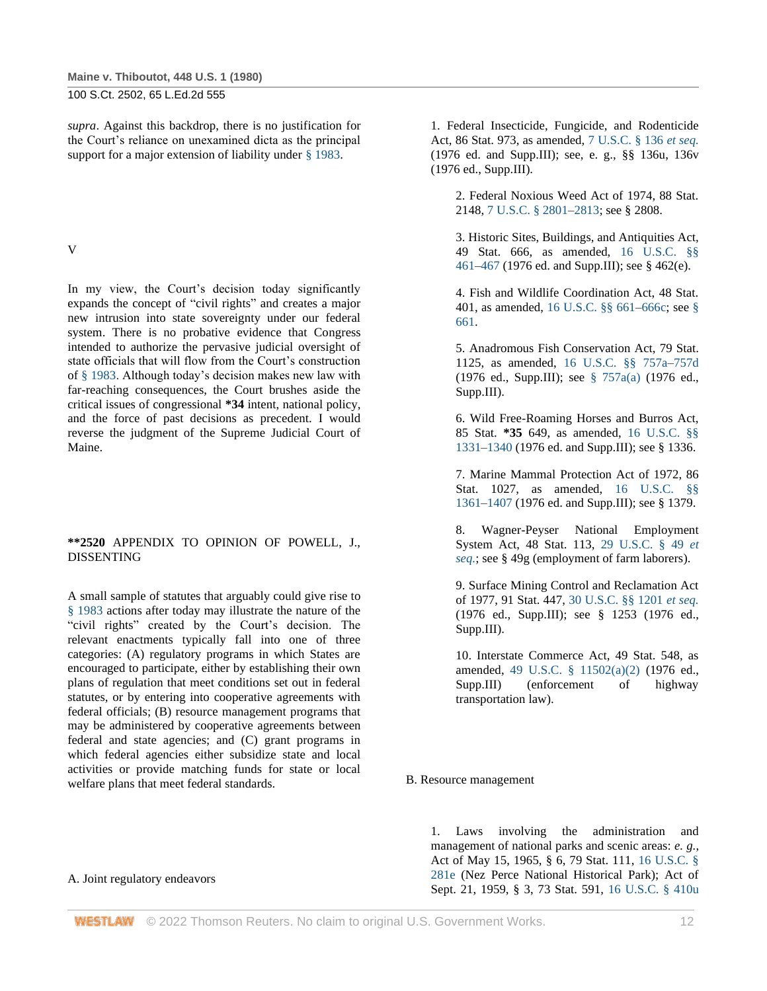*supra*. Against this backdrop, there is no justification for the Court's reliance on unexamined dicta as the principal support for a major extension of liability under [§ 1983.](http://www.westlaw.com/Link/Document/FullText?findType=L&pubNum=1000546&cite=42USCAS1983&originatingDoc=I179091d39c1f11d993e6d35cc61aab4a&refType=LQ&originationContext=document&vr=3.0&rs=cblt1.0&transitionType=DocumentItem&contextData=(sc.DocLink))

V

In my view, the Court's decision today significantly expands the concept of "civil rights" and creates a major new intrusion into state sovereignty under our federal system. There is no probative evidence that Congress intended to authorize the pervasive judicial oversight of state officials that will flow from the Court's construction of [§ 1983.](http://www.westlaw.com/Link/Document/FullText?findType=L&pubNum=1000546&cite=42USCAS1983&originatingDoc=I179091d39c1f11d993e6d35cc61aab4a&refType=LQ&originationContext=document&vr=3.0&rs=cblt1.0&transitionType=DocumentItem&contextData=(sc.DocLink)) Although today's decision makes new law with far-reaching consequences, the Court brushes aside the critical issues of congressional **\*34** intent, national policy, and the force of past decisions as precedent. I would reverse the judgment of the Supreme Judicial Court of Maine.

### **\*\*2520** APPENDIX TO OPINION OF POWELL, J., DISSENTING

A small sample of statutes that arguably could give rise to [§ 1983](http://www.westlaw.com/Link/Document/FullText?findType=L&pubNum=1000546&cite=42USCAS1983&originatingDoc=I179091d39c1f11d993e6d35cc61aab4a&refType=LQ&originationContext=document&vr=3.0&rs=cblt1.0&transitionType=DocumentItem&contextData=(sc.DocLink)) actions after today may illustrate the nature of the "civil rights" created by the Court's decision. The relevant enactments typically fall into one of three categories: (A) regulatory programs in which States are encouraged to participate, either by establishing their own plans of regulation that meet conditions set out in federal statutes, or by entering into cooperative agreements with federal officials; (B) resource management programs that may be administered by cooperative agreements between federal and state agencies; and (C) grant programs in which federal agencies either subsidize state and local activities or provide matching funds for state or local welfare plans that meet federal standards.

#### A. Joint regulatory endeavors

1. Federal Insecticide, Fungicide, and Rodenticide Act, 86 Stat. 973, as amended, [7 U.S.C. § 136](http://www.westlaw.com/Link/Document/FullText?findType=L&pubNum=1000546&cite=7USCAS136&originatingDoc=I179091d39c1f11d993e6d35cc61aab4a&refType=LQ&originationContext=document&vr=3.0&rs=cblt1.0&transitionType=DocumentItem&contextData=(sc.DocLink)) *et seq.* (1976 ed. and Supp.III); see, e. g., §§ 136u, 136v (1976 ed., Supp.III).

2. Federal Noxious Weed Act of 1974, 88 Stat. 2148, [7 U.S.C. § 2801](http://www.westlaw.com/Link/Document/FullText?findType=L&pubNum=1000546&cite=7USCAS2801&originatingDoc=I179091d39c1f11d993e6d35cc61aab4a&refType=LQ&originationContext=document&vr=3.0&rs=cblt1.0&transitionType=DocumentItem&contextData=(sc.DocLink))[–2813;](http://www.westlaw.com/Link/Document/FullText?findType=L&pubNum=1000546&cite=7USCAS2813&originatingDoc=I179091d39c1f11d993e6d35cc61aab4a&refType=LQ&originationContext=document&vr=3.0&rs=cblt1.0&transitionType=DocumentItem&contextData=(sc.DocLink)) see § 2808.

3. Historic Sites, Buildings, and Antiquities Act, 49 Stat. 666, as amended, [16 U.S.C. §§](http://www.westlaw.com/Link/Document/FullText?findType=L&pubNum=1000546&cite=16USCAS461&originatingDoc=I179091d39c1f11d993e6d35cc61aab4a&refType=LQ&originationContext=document&vr=3.0&rs=cblt1.0&transitionType=DocumentItem&contextData=(sc.DocLink))  [461](http://www.westlaw.com/Link/Document/FullText?findType=L&pubNum=1000546&cite=16USCAS461&originatingDoc=I179091d39c1f11d993e6d35cc61aab4a&refType=LQ&originationContext=document&vr=3.0&rs=cblt1.0&transitionType=DocumentItem&contextData=(sc.DocLink))[–467](http://www.westlaw.com/Link/Document/FullText?findType=L&pubNum=1000546&cite=16USCAS467&originatingDoc=I179091d39c1f11d993e6d35cc61aab4a&refType=LQ&originationContext=document&vr=3.0&rs=cblt1.0&transitionType=DocumentItem&contextData=(sc.DocLink)) (1976 ed. and Supp.III); see § 462(e).

4. Fish and Wildlife Coordination Act, 48 Stat. 401, as amended, [16 U.S.C. §§ 661–](http://www.westlaw.com/Link/Document/FullText?findType=L&pubNum=1000546&cite=16USCAS661&originatingDoc=I179091d39c1f11d993e6d35cc61aab4a&refType=LQ&originationContext=document&vr=3.0&rs=cblt1.0&transitionType=DocumentItem&contextData=(sc.DocLink))[666c;](http://www.westlaw.com/Link/Document/FullText?findType=L&pubNum=1000546&cite=16USCAS666C&originatingDoc=I179091d39c1f11d993e6d35cc61aab4a&refType=LQ&originationContext=document&vr=3.0&rs=cblt1.0&transitionType=DocumentItem&contextData=(sc.DocLink)) see [§](http://www.westlaw.com/Link/Document/FullText?findType=L&pubNum=1000546&cite=16USCAS661&originatingDoc=I179091d39c1f11d993e6d35cc61aab4a&refType=LQ&originationContext=document&vr=3.0&rs=cblt1.0&transitionType=DocumentItem&contextData=(sc.DocLink))  [661.](http://www.westlaw.com/Link/Document/FullText?findType=L&pubNum=1000546&cite=16USCAS661&originatingDoc=I179091d39c1f11d993e6d35cc61aab4a&refType=LQ&originationContext=document&vr=3.0&rs=cblt1.0&transitionType=DocumentItem&contextData=(sc.DocLink))

5. Anadromous Fish Conservation Act, 79 Stat. 1125, as amended, [16 U.S.C. §§ 757a](http://www.westlaw.com/Link/Document/FullText?findType=L&pubNum=1000546&cite=16USCAS757A&originatingDoc=I179091d39c1f11d993e6d35cc61aab4a&refType=LQ&originationContext=document&vr=3.0&rs=cblt1.0&transitionType=DocumentItem&contextData=(sc.DocLink))[–757d](http://www.westlaw.com/Link/Document/FullText?findType=L&pubNum=1000546&cite=16USCAS757D&originatingDoc=I179091d39c1f11d993e6d35cc61aab4a&refType=LQ&originationContext=document&vr=3.0&rs=cblt1.0&transitionType=DocumentItem&contextData=(sc.DocLink)) (1976 ed., Supp.III); see [§ 757a\(a\)](http://www.westlaw.com/Link/Document/FullText?findType=L&pubNum=1000546&cite=16USCAS757A&originatingDoc=I179091d39c1f11d993e6d35cc61aab4a&refType=RB&originationContext=document&vr=3.0&rs=cblt1.0&transitionType=DocumentItem&contextData=(sc.DocLink)#co_pp_8b3b0000958a4) (1976 ed., Supp.III).

6. Wild Free-Roaming Horses and Burros Act, 85 Stat. **\*35** 649, as amended, [16 U.S.C. §§](http://www.westlaw.com/Link/Document/FullText?findType=L&pubNum=1000546&cite=16USCAS1331&originatingDoc=I179091d39c1f11d993e6d35cc61aab4a&refType=LQ&originationContext=document&vr=3.0&rs=cblt1.0&transitionType=DocumentItem&contextData=(sc.DocLink))  [1331](http://www.westlaw.com/Link/Document/FullText?findType=L&pubNum=1000546&cite=16USCAS1331&originatingDoc=I179091d39c1f11d993e6d35cc61aab4a&refType=LQ&originationContext=document&vr=3.0&rs=cblt1.0&transitionType=DocumentItem&contextData=(sc.DocLink))[–1340](http://www.westlaw.com/Link/Document/FullText?findType=L&pubNum=1000546&cite=16USCAS1340&originatingDoc=I179091d39c1f11d993e6d35cc61aab4a&refType=LQ&originationContext=document&vr=3.0&rs=cblt1.0&transitionType=DocumentItem&contextData=(sc.DocLink)) (1976 ed. and Supp.III); see § 1336.

7. Marine Mammal Protection Act of 1972, 86 Stat. 1027, as amended, [16 U.S.C. §§](http://www.westlaw.com/Link/Document/FullText?findType=L&pubNum=1000546&cite=16USCAS1361&originatingDoc=I179091d39c1f11d993e6d35cc61aab4a&refType=LQ&originationContext=document&vr=3.0&rs=cblt1.0&transitionType=DocumentItem&contextData=(sc.DocLink))  [1361](http://www.westlaw.com/Link/Document/FullText?findType=L&pubNum=1000546&cite=16USCAS1361&originatingDoc=I179091d39c1f11d993e6d35cc61aab4a&refType=LQ&originationContext=document&vr=3.0&rs=cblt1.0&transitionType=DocumentItem&contextData=(sc.DocLink))[–1407](http://www.westlaw.com/Link/Document/FullText?findType=L&pubNum=1000546&cite=16USCAS1407&originatingDoc=I179091d39c1f11d993e6d35cc61aab4a&refType=LQ&originationContext=document&vr=3.0&rs=cblt1.0&transitionType=DocumentItem&contextData=(sc.DocLink)) (1976 ed. and Supp.III); see § 1379.

8. Wagner-Peyser National Employment System Act, 48 Stat. 113, [29 U.S.C. § 49](http://www.westlaw.com/Link/Document/FullText?findType=L&pubNum=1000546&cite=29USCAS49&originatingDoc=I179091d39c1f11d993e6d35cc61aab4a&refType=LQ&originationContext=document&vr=3.0&rs=cblt1.0&transitionType=DocumentItem&contextData=(sc.DocLink)) *et [seq.](http://www.westlaw.com/Link/Document/FullText?findType=L&pubNum=1000546&cite=29USCAS49&originatingDoc=I179091d39c1f11d993e6d35cc61aab4a&refType=LQ&originationContext=document&vr=3.0&rs=cblt1.0&transitionType=DocumentItem&contextData=(sc.DocLink))*; see § 49g (employment of farm laborers).

9. Surface Mining Control and Reclamation Act of 1977, 91 Stat. 447, [30 U.S.C. §§ 1201](http://www.westlaw.com/Link/Document/FullText?findType=L&pubNum=1000546&cite=30USCAS1201&originatingDoc=I179091d39c1f11d993e6d35cc61aab4a&refType=LQ&originationContext=document&vr=3.0&rs=cblt1.0&transitionType=DocumentItem&contextData=(sc.DocLink)) *et seq.* (1976 ed., Supp.III); see § 1253 (1976 ed., Supp.III).

10. Interstate Commerce Act, 49 Stat. 548, as amended, [49 U.S.C. § 11502\(a\)\(2\)](http://www.westlaw.com/Link/Document/FullText?findType=L&pubNum=1000546&cite=49USCAS11502&originatingDoc=I179091d39c1f11d993e6d35cc61aab4a&refType=RB&originationContext=document&vr=3.0&rs=cblt1.0&transitionType=DocumentItem&contextData=(sc.DocLink)#co_pp_8b3b0000958a4) (1976 ed., Supp.III) (enforcement of highway transportation law).

#### B. Resource management

1. Laws involving the administration and management of national parks and scenic areas: *e. g.*, Act of May 15, 1965, § 6, 79 Stat. 111, [16 U.S.C. §](http://www.westlaw.com/Link/Document/FullText?findType=L&pubNum=1000546&cite=16USCAS281E&originatingDoc=I179091d39c1f11d993e6d35cc61aab4a&refType=LQ&originationContext=document&vr=3.0&rs=cblt1.0&transitionType=DocumentItem&contextData=(sc.DocLink))  [281e](http://www.westlaw.com/Link/Document/FullText?findType=L&pubNum=1000546&cite=16USCAS281E&originatingDoc=I179091d39c1f11d993e6d35cc61aab4a&refType=LQ&originationContext=document&vr=3.0&rs=cblt1.0&transitionType=DocumentItem&contextData=(sc.DocLink)) (Nez Perce National Historical Park); Act of Sept. 21, 1959, § 3, 73 Stat. 591, [16 U.S.C. § 410u](http://www.westlaw.com/Link/Document/FullText?findType=L&pubNum=1000546&cite=16USCAS410U&originatingDoc=I179091d39c1f11d993e6d35cc61aab4a&refType=LQ&originationContext=document&vr=3.0&rs=cblt1.0&transitionType=DocumentItem&contextData=(sc.DocLink))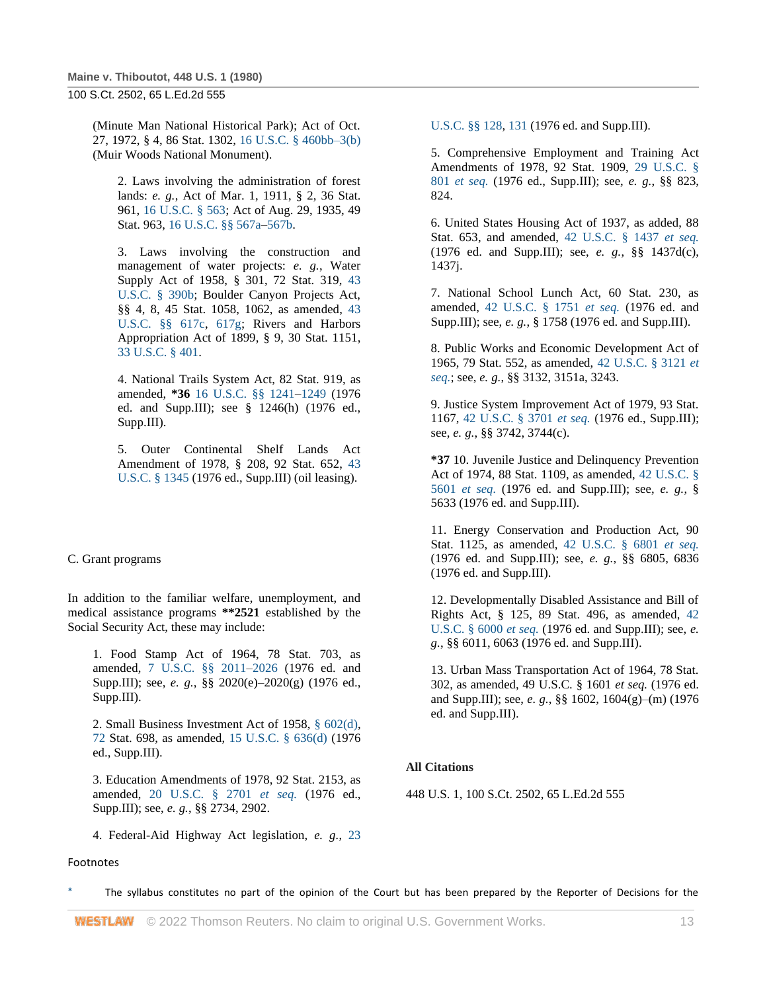(Minute Man National Historical Park); Act of Oct. 27, 1972, § 4, 86 Stat. 1302, [16 U.S.C. § 460bb–3\(b\)](http://www.westlaw.com/Link/Document/FullText?findType=L&pubNum=1000546&cite=16USCAS460BB-3&originatingDoc=I179091d39c1f11d993e6d35cc61aab4a&refType=RB&originationContext=document&vr=3.0&rs=cblt1.0&transitionType=DocumentItem&contextData=(sc.DocLink)#co_pp_a83b000018c76) (Muir Woods National Monument).

2. Laws involving the administration of forest lands: *e. g.*, Act of Mar. 1, 1911, § 2, 36 Stat. 961, [16 U.S.C. § 563;](http://www.westlaw.com/Link/Document/FullText?findType=L&pubNum=1000546&cite=16USCAS563&originatingDoc=I179091d39c1f11d993e6d35cc61aab4a&refType=LQ&originationContext=document&vr=3.0&rs=cblt1.0&transitionType=DocumentItem&contextData=(sc.DocLink)) Act of Aug. 29, 1935, 49 Stat. 963[, 16 U.S.C. §§ 567a–](http://www.westlaw.com/Link/Document/FullText?findType=L&pubNum=1000546&cite=16USCAS567A&originatingDoc=I179091d39c1f11d993e6d35cc61aab4a&refType=LQ&originationContext=document&vr=3.0&rs=cblt1.0&transitionType=DocumentItem&contextData=(sc.DocLink))[567b.](http://www.westlaw.com/Link/Document/FullText?findType=L&pubNum=1000546&cite=16USCAS567B&originatingDoc=I179091d39c1f11d993e6d35cc61aab4a&refType=LQ&originationContext=document&vr=3.0&rs=cblt1.0&transitionType=DocumentItem&contextData=(sc.DocLink))

3. Laws involving the construction and management of water projects: *e. g.*, Water Supply Act of 1958, § 301, 72 Stat. 319, [43](http://www.westlaw.com/Link/Document/FullText?findType=L&pubNum=1000546&cite=43USCAS390B&originatingDoc=I179091d39c1f11d993e6d35cc61aab4a&refType=LQ&originationContext=document&vr=3.0&rs=cblt1.0&transitionType=DocumentItem&contextData=(sc.DocLink))  [U.S.C. § 390b;](http://www.westlaw.com/Link/Document/FullText?findType=L&pubNum=1000546&cite=43USCAS390B&originatingDoc=I179091d39c1f11d993e6d35cc61aab4a&refType=LQ&originationContext=document&vr=3.0&rs=cblt1.0&transitionType=DocumentItem&contextData=(sc.DocLink)) Boulder Canyon Projects Act, §§ 4, 8, 45 Stat. 1058, 1062, as amended, [43](http://www.westlaw.com/Link/Document/FullText?findType=L&pubNum=1000546&cite=43USCAS617C&originatingDoc=I179091d39c1f11d993e6d35cc61aab4a&refType=LQ&originationContext=document&vr=3.0&rs=cblt1.0&transitionType=DocumentItem&contextData=(sc.DocLink))  [U.S.C. §§ 617c,](http://www.westlaw.com/Link/Document/FullText?findType=L&pubNum=1000546&cite=43USCAS617C&originatingDoc=I179091d39c1f11d993e6d35cc61aab4a&refType=LQ&originationContext=document&vr=3.0&rs=cblt1.0&transitionType=DocumentItem&contextData=(sc.DocLink)) [617g;](http://www.westlaw.com/Link/Document/FullText?findType=L&pubNum=1000546&cite=43USCAS617G&originatingDoc=I179091d39c1f11d993e6d35cc61aab4a&refType=LQ&originationContext=document&vr=3.0&rs=cblt1.0&transitionType=DocumentItem&contextData=(sc.DocLink)) Rivers and Harbors Appropriation Act of 1899, § 9, 30 Stat. 1151, [33 U.S.C. § 401.](http://www.westlaw.com/Link/Document/FullText?findType=L&pubNum=1000546&cite=33USCAS401&originatingDoc=I179091d39c1f11d993e6d35cc61aab4a&refType=LQ&originationContext=document&vr=3.0&rs=cblt1.0&transitionType=DocumentItem&contextData=(sc.DocLink))

4. National Trails System Act, 82 Stat. 919, as amended, **\*36** [16 U.S.C. §§ 1241–](http://www.westlaw.com/Link/Document/FullText?findType=L&pubNum=1000546&cite=16USCAS1241&originatingDoc=I179091d39c1f11d993e6d35cc61aab4a&refType=LQ&originationContext=document&vr=3.0&rs=cblt1.0&transitionType=DocumentItem&contextData=(sc.DocLink))[1249](http://www.westlaw.com/Link/Document/FullText?findType=L&pubNum=1000546&cite=16USCAS1249&originatingDoc=I179091d39c1f11d993e6d35cc61aab4a&refType=LQ&originationContext=document&vr=3.0&rs=cblt1.0&transitionType=DocumentItem&contextData=(sc.DocLink)) (1976 ed. and Supp.III); see § 1246(h) (1976 ed., Supp.III).

5. Outer Continental Shelf Lands Act Amendment of 1978, § 208, 92 Stat. 652, [43](http://www.westlaw.com/Link/Document/FullText?findType=L&pubNum=1000546&cite=43USCAS1345&originatingDoc=I179091d39c1f11d993e6d35cc61aab4a&refType=LQ&originationContext=document&vr=3.0&rs=cblt1.0&transitionType=DocumentItem&contextData=(sc.DocLink))  [U.S.C. § 1345](http://www.westlaw.com/Link/Document/FullText?findType=L&pubNum=1000546&cite=43USCAS1345&originatingDoc=I179091d39c1f11d993e6d35cc61aab4a&refType=LQ&originationContext=document&vr=3.0&rs=cblt1.0&transitionType=DocumentItem&contextData=(sc.DocLink)) (1976 ed., Supp.III) (oil leasing).

#### C. Grant programs

In addition to the familiar welfare, unemployment, and medical assistance programs **\*\*2521** established by the Social Security Act, these may include:

1. Food Stamp Act of 1964, 78 Stat. 703, as amended, [7 U.S.C. §§ 2011](http://www.westlaw.com/Link/Document/FullText?findType=L&pubNum=1000546&cite=7USCAS2011&originatingDoc=I179091d39c1f11d993e6d35cc61aab4a&refType=LQ&originationContext=document&vr=3.0&rs=cblt1.0&transitionType=DocumentItem&contextData=(sc.DocLink))[–2026](http://www.westlaw.com/Link/Document/FullText?findType=L&pubNum=1000546&cite=7USCAS2026&originatingDoc=I179091d39c1f11d993e6d35cc61aab4a&refType=LQ&originationContext=document&vr=3.0&rs=cblt1.0&transitionType=DocumentItem&contextData=(sc.DocLink)) (1976 ed. and Supp.III); see, *e. g.*, §§ 2020(e)–2020(g) (1976 ed., Supp.III).

2. Small Business Investment Act of 1958, [§ 602\(d\),](http://www.westlaw.com/Link/Document/FullText?findType=L&pubNum=1000546&cite=42USCAS602&originatingDoc=I179091d39c1f11d993e6d35cc61aab4a&refType=LQ&originationContext=document&vr=3.0&rs=cblt1.0&transitionType=DocumentItem&contextData=(sc.DocLink)) [72](http://www.westlaw.com/Link/Document/FullText?findType=L&pubNum=1000546&cite=42USCAS672&originatingDoc=I179091d39c1f11d993e6d35cc61aab4a&refType=LQ&originationContext=document&vr=3.0&rs=cblt1.0&transitionType=DocumentItem&contextData=(sc.DocLink)) Stat. 698, as amended, [15 U.S.C. § 636\(d\)](http://www.westlaw.com/Link/Document/FullText?findType=L&pubNum=1000546&cite=15USCAS636&originatingDoc=I179091d39c1f11d993e6d35cc61aab4a&refType=RB&originationContext=document&vr=3.0&rs=cblt1.0&transitionType=DocumentItem&contextData=(sc.DocLink)#co_pp_5ba1000067d06) (1976 ed., Supp.III).

3. Education Amendments of 1978, 92 Stat. 2153, as amended, [20 U.S.C. § 2701](http://www.westlaw.com/Link/Document/FullText?findType=L&pubNum=1000546&cite=20USCAS2701&originatingDoc=I179091d39c1f11d993e6d35cc61aab4a&refType=LQ&originationContext=document&vr=3.0&rs=cblt1.0&transitionType=DocumentItem&contextData=(sc.DocLink)) *et seq.* (1976 ed., Supp.III); see, *e. g.*, §§ 2734, 2902.

4. Federal-Aid Highway Act legislation, *e. g.*, [23](http://www.westlaw.com/Link/Document/FullText?findType=L&pubNum=1000546&cite=23USCAS128&originatingDoc=I179091d39c1f11d993e6d35cc61aab4a&refType=LQ&originationContext=document&vr=3.0&rs=cblt1.0&transitionType=DocumentItem&contextData=(sc.DocLink)) 

#### Footnotes

[U.S.C. §§ 128,](http://www.westlaw.com/Link/Document/FullText?findType=L&pubNum=1000546&cite=23USCAS128&originatingDoc=I179091d39c1f11d993e6d35cc61aab4a&refType=LQ&originationContext=document&vr=3.0&rs=cblt1.0&transitionType=DocumentItem&contextData=(sc.DocLink)) [131](http://www.westlaw.com/Link/Document/FullText?findType=L&pubNum=1000546&cite=23USCAS131&originatingDoc=I179091d39c1f11d993e6d35cc61aab4a&refType=LQ&originationContext=document&vr=3.0&rs=cblt1.0&transitionType=DocumentItem&contextData=(sc.DocLink)) (1976 ed. and Supp.III).

5. Comprehensive Employment and Training Act Amendments of 1978, 92 Stat. 1909, [29 U.S.C. §](http://www.westlaw.com/Link/Document/FullText?findType=L&pubNum=1000546&cite=29USCAS801&originatingDoc=I179091d39c1f11d993e6d35cc61aab4a&refType=LQ&originationContext=document&vr=3.0&rs=cblt1.0&transitionType=DocumentItem&contextData=(sc.DocLink))  801 *[et seq.](http://www.westlaw.com/Link/Document/FullText?findType=L&pubNum=1000546&cite=29USCAS801&originatingDoc=I179091d39c1f11d993e6d35cc61aab4a&refType=LQ&originationContext=document&vr=3.0&rs=cblt1.0&transitionType=DocumentItem&contextData=(sc.DocLink))* (1976 ed., Supp.III); see, *e. g.*, §§ 823, 824.

6. United States Housing Act of 1937, as added, 88 Stat. 653, and amended, [42 U.S.C. § 1437](http://www.westlaw.com/Link/Document/FullText?findType=L&pubNum=1000546&cite=42USCAS1437&originatingDoc=I179091d39c1f11d993e6d35cc61aab4a&refType=LQ&originationContext=document&vr=3.0&rs=cblt1.0&transitionType=DocumentItem&contextData=(sc.DocLink)) *et seq.* (1976 ed. and Supp.III); see, *e. g.*, §§ 1437d(c), 1437j.

7. National School Lunch Act, 60 Stat. 230, as amended, [42 U.S.C. § 1751](http://www.westlaw.com/Link/Document/FullText?findType=L&pubNum=1000546&cite=42USCAS1751&originatingDoc=I179091d39c1f11d993e6d35cc61aab4a&refType=LQ&originationContext=document&vr=3.0&rs=cblt1.0&transitionType=DocumentItem&contextData=(sc.DocLink)) *et seq.* (1976 ed. and Supp.III); see, *e. g.*, § 1758 (1976 ed. and Supp.III).

8. Public Works and Economic Development Act of 1965, 79 Stat. 552, as amended, [42 U.S.C. § 3121](http://www.westlaw.com/Link/Document/FullText?findType=L&pubNum=1000546&cite=42USCAS3121&originatingDoc=I179091d39c1f11d993e6d35cc61aab4a&refType=LQ&originationContext=document&vr=3.0&rs=cblt1.0&transitionType=DocumentItem&contextData=(sc.DocLink)) *et [seq.](http://www.westlaw.com/Link/Document/FullText?findType=L&pubNum=1000546&cite=42USCAS3121&originatingDoc=I179091d39c1f11d993e6d35cc61aab4a&refType=LQ&originationContext=document&vr=3.0&rs=cblt1.0&transitionType=DocumentItem&contextData=(sc.DocLink))*; see, *e. g.*, §§ 3132, 3151a, 3243.

9. Justice System Improvement Act of 1979, 93 Stat. 1167, [42 U.S.C. § 3701](http://www.westlaw.com/Link/Document/FullText?findType=L&pubNum=1000546&cite=42USCAS3701&originatingDoc=I179091d39c1f11d993e6d35cc61aab4a&refType=LQ&originationContext=document&vr=3.0&rs=cblt1.0&transitionType=DocumentItem&contextData=(sc.DocLink)) *et seq.* (1976 ed., Supp.III); see, *e. g.*, §§ 3742, 3744(c).

**\*37** 10. Juvenile Justice and Delinquency Prevention Act of 1974, 88 Stat. 1109, as amended, [42 U.S.C. §](http://www.westlaw.com/Link/Document/FullText?findType=L&pubNum=1000546&cite=42USCAS5601&originatingDoc=I179091d39c1f11d993e6d35cc61aab4a&refType=LQ&originationContext=document&vr=3.0&rs=cblt1.0&transitionType=DocumentItem&contextData=(sc.DocLink))  5601 *[et seq.](http://www.westlaw.com/Link/Document/FullText?findType=L&pubNum=1000546&cite=42USCAS5601&originatingDoc=I179091d39c1f11d993e6d35cc61aab4a&refType=LQ&originationContext=document&vr=3.0&rs=cblt1.0&transitionType=DocumentItem&contextData=(sc.DocLink))* (1976 ed. and Supp.III); see, *e. g.*, § 5633 (1976 ed. and Supp.III).

11. Energy Conservation and Production Act, 90 Stat. 1125, as amended, [42 U.S.C. § 6801](http://www.westlaw.com/Link/Document/FullText?findType=L&pubNum=1000546&cite=42USCAS6801&originatingDoc=I179091d39c1f11d993e6d35cc61aab4a&refType=LQ&originationContext=document&vr=3.0&rs=cblt1.0&transitionType=DocumentItem&contextData=(sc.DocLink)) *et seq.* (1976 ed. and Supp.III); see, *e. g.*, §§ 6805, 6836 (1976 ed. and Supp.III).

12. Developmentally Disabled Assistance and Bill of Rights Act, § 125, 89 Stat. 496, as amended, [42](http://www.westlaw.com/Link/Document/FullText?findType=L&pubNum=1000546&cite=42USCAS6000&originatingDoc=I179091d39c1f11d993e6d35cc61aab4a&refType=LQ&originationContext=document&vr=3.0&rs=cblt1.0&transitionType=DocumentItem&contextData=(sc.DocLink))  [U.S.C. § 6000](http://www.westlaw.com/Link/Document/FullText?findType=L&pubNum=1000546&cite=42USCAS6000&originatingDoc=I179091d39c1f11d993e6d35cc61aab4a&refType=LQ&originationContext=document&vr=3.0&rs=cblt1.0&transitionType=DocumentItem&contextData=(sc.DocLink)) *et seq.* (1976 ed. and Supp.III); see, *e. g.*, §§ 6011, 6063 (1976 ed. and Supp.III).

13. Urban Mass Transportation Act of 1964, 78 Stat. 302, as amended, 49 U.S.C. § 1601 *et seq.* (1976 ed. and Supp.III); see, *e. g.*, §§ 1602, 1604(g)–(m) (1976 ed. and Supp.III).

#### **All Citations**

448 U.S. 1, 100 S.Ct. 2502, 65 L.Ed.2d 555

The syllabus constitutes no part of the opinion of the Court but has been prepared by the Reporter of Decisions for the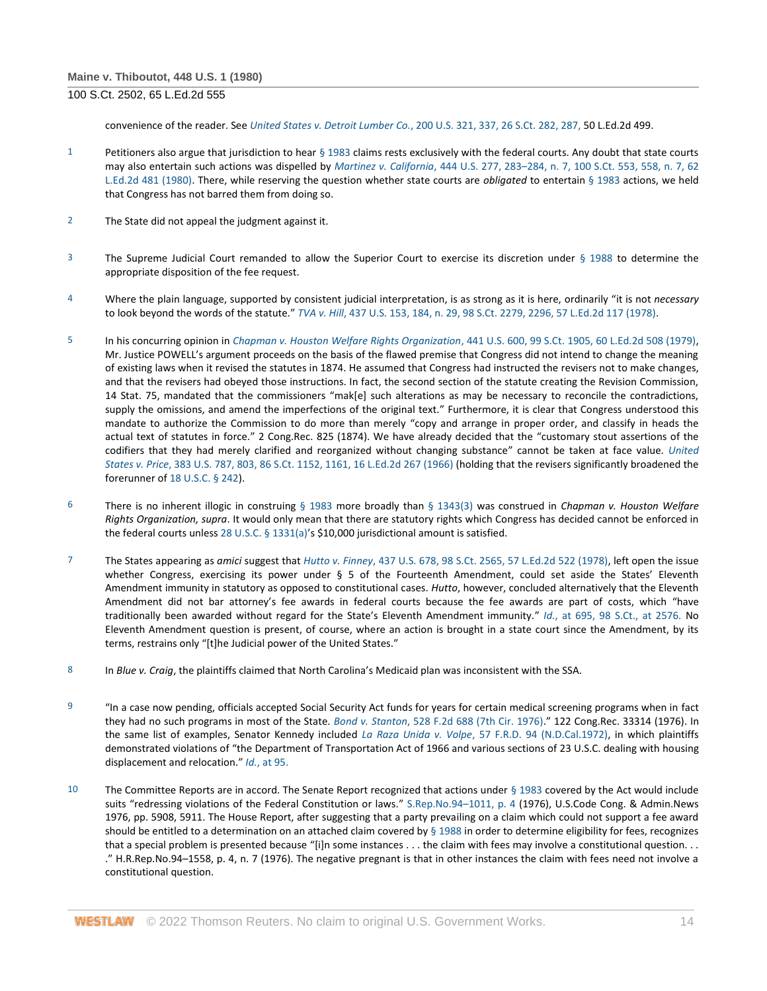convenience of the reader. See *United States v. Detroit Lumber Co.*[, 200 U.S. 321, 337, 26 S.Ct. 282, 287,](http://www.westlaw.com/Link/Document/FullText?findType=Y&serNum=1906101604&pubNum=708&originatingDoc=I179091d39c1f11d993e6d35cc61aab4a&refType=RP&fi=co_pp_sp_708_287&originationContext=document&vr=3.0&rs=cblt1.0&transitionType=DocumentItem&contextData=(sc.DocLink)#co_pp_sp_708_287) 50 L.Ed.2d 499.

- 1 Petitioners also argue that jurisdiction to hear [§ 1983](http://www.westlaw.com/Link/Document/FullText?findType=L&pubNum=1000546&cite=42USCAS1983&originatingDoc=I179091d39c1f11d993e6d35cc61aab4a&refType=LQ&originationContext=document&vr=3.0&rs=cblt1.0&transitionType=DocumentItem&contextData=(sc.DocLink)) claims rests exclusively with the federal courts. Any doubt that state courts may also entertain such actions was dispelled by *Martinez v. California*, 444 U.S. 277, 283–[284, n. 7, 100 S.Ct. 553, 558, n. 7, 62](http://www.westlaw.com/Link/Document/FullText?findType=Y&serNum=1980101292&pubNum=708&originatingDoc=I179091d39c1f11d993e6d35cc61aab4a&refType=RP&fi=co_pp_sp_708_558&originationContext=document&vr=3.0&rs=cblt1.0&transitionType=DocumentItem&contextData=(sc.DocLink)#co_pp_sp_708_558)  [L.Ed.2d 481 \(1980\).](http://www.westlaw.com/Link/Document/FullText?findType=Y&serNum=1980101292&pubNum=708&originatingDoc=I179091d39c1f11d993e6d35cc61aab4a&refType=RP&fi=co_pp_sp_708_558&originationContext=document&vr=3.0&rs=cblt1.0&transitionType=DocumentItem&contextData=(sc.DocLink)#co_pp_sp_708_558) There, while reserving the question whether state courts are *obligated* to entertain [§ 1983](http://www.westlaw.com/Link/Document/FullText?findType=L&pubNum=1000546&cite=42USCAS1983&originatingDoc=I179091d39c1f11d993e6d35cc61aab4a&refType=LQ&originationContext=document&vr=3.0&rs=cblt1.0&transitionType=DocumentItem&contextData=(sc.DocLink)) actions, we held that Congress has not barred them from doing so.
- 2 The State did not appeal the judgment against it.
- 3 The Supreme Judicial Court remanded to allow the Superior Court to exercise its discretion under [§ 1988](http://www.westlaw.com/Link/Document/FullText?findType=L&pubNum=1000546&cite=42USCAS1988&originatingDoc=I179091d39c1f11d993e6d35cc61aab4a&refType=LQ&originationContext=document&vr=3.0&rs=cblt1.0&transitionType=DocumentItem&contextData=(sc.DocLink)) to determine the appropriate disposition of the fee request.
- 4 Where the plain language, supported by consistent judicial interpretation, is as strong as it is here, ordinarily "it is not *necessary* to look beyond the words of the statute." *TVA v. Hill*[, 437 U.S. 153, 184, n. 29, 98 S.Ct. 2279, 2296, 57 L.Ed.2d 117 \(1978\).](http://www.westlaw.com/Link/Document/FullText?findType=Y&serNum=1978139478&pubNum=708&originatingDoc=I179091d39c1f11d993e6d35cc61aab4a&refType=RP&fi=co_pp_sp_708_2296&originationContext=document&vr=3.0&rs=cblt1.0&transitionType=DocumentItem&contextData=(sc.DocLink)#co_pp_sp_708_2296)
- 5 In his concurring opinion in *Chapman v. Houston Welfare Rights Organization*[, 441 U.S. 600, 99 S.Ct. 1905, 60 L.Ed.2d 508 \(1979\),](http://www.westlaw.com/Link/Document/FullText?findType=Y&serNum=1979135111&pubNum=708&originatingDoc=I179091d39c1f11d993e6d35cc61aab4a&refType=RP&originationContext=document&vr=3.0&rs=cblt1.0&transitionType=DocumentItem&contextData=(sc.DocLink)) Mr. Justice POWELL's argument proceeds on the basis of the flawed premise that Congress did not intend to change the meaning of existing laws when it revised the statutes in 1874. He assumed that Congress had instructed the revisers not to make changes, and that the revisers had obeyed those instructions. In fact, the second section of the statute creating the Revision Commission, 14 Stat. 75, mandated that the commissioners "mak[e] such alterations as may be necessary to reconcile the contradictions, supply the omissions, and amend the imperfections of the original text." Furthermore, it is clear that Congress understood this mandate to authorize the Commission to do more than merely "copy and arrange in proper order, and classify in heads the actual text of statutes in force." 2 Cong.Rec. 825 (1874). We have already decided that the "customary stout assertions of the codifiers that they had merely clarified and reorganized without changing substance" cannot be taken at face value. *[United](http://www.westlaw.com/Link/Document/FullText?findType=Y&serNum=1966112631&pubNum=708&originatingDoc=I179091d39c1f11d993e6d35cc61aab4a&refType=RP&fi=co_pp_sp_708_1161&originationContext=document&vr=3.0&rs=cblt1.0&transitionType=DocumentItem&contextData=(sc.DocLink)#co_pp_sp_708_1161)  States v. Price*[, 383 U.S. 787, 803, 86 S.Ct. 1152, 1161, 16 L.Ed.2d 267 \(1966\)](http://www.westlaw.com/Link/Document/FullText?findType=Y&serNum=1966112631&pubNum=708&originatingDoc=I179091d39c1f11d993e6d35cc61aab4a&refType=RP&fi=co_pp_sp_708_1161&originationContext=document&vr=3.0&rs=cblt1.0&transitionType=DocumentItem&contextData=(sc.DocLink)#co_pp_sp_708_1161) (holding that the revisers significantly broadened the forerunner o[f 18 U.S.C. § 242\)](http://www.westlaw.com/Link/Document/FullText?findType=L&pubNum=1000546&cite=18USCAS242&originatingDoc=I179091d39c1f11d993e6d35cc61aab4a&refType=LQ&originationContext=document&vr=3.0&rs=cblt1.0&transitionType=DocumentItem&contextData=(sc.DocLink)).
- 6 There is no inherent illogic in construing [§ 1983](http://www.westlaw.com/Link/Document/FullText?findType=L&pubNum=1000546&cite=42USCAS1983&originatingDoc=I179091d39c1f11d993e6d35cc61aab4a&refType=LQ&originationContext=document&vr=3.0&rs=cblt1.0&transitionType=DocumentItem&contextData=(sc.DocLink)) more broadly than [§ 1343\(3\)](http://www.westlaw.com/Link/Document/FullText?findType=L&pubNum=1000546&cite=28USCAS1343&originatingDoc=I179091d39c1f11d993e6d35cc61aab4a&refType=LQ&originationContext=document&vr=3.0&rs=cblt1.0&transitionType=DocumentItem&contextData=(sc.DocLink)) was construed in *Chapman v. Houston Welfare Rights Organization, supra*. It would only mean that there are statutory rights which Congress has decided cannot be enforced in the federal courts unles[s 28 U.S.C. § 1331\(a\)](http://www.westlaw.com/Link/Document/FullText?findType=L&pubNum=1000546&cite=28USCAS1331&originatingDoc=I179091d39c1f11d993e6d35cc61aab4a&refType=LQ&originationContext=document&vr=3.0&rs=cblt1.0&transitionType=DocumentItem&contextData=(sc.DocLink))'s \$10,000 jurisdictional amount is satisfied.
- 7 The States appearing as *amici* suggest that *Hutto v. Finney*[, 437 U.S. 678, 98 S.Ct. 2565, 57 L.Ed.2d 522 \(1978\),](http://www.westlaw.com/Link/Document/FullText?findType=Y&serNum=1978139499&pubNum=708&originatingDoc=I179091d39c1f11d993e6d35cc61aab4a&refType=RP&originationContext=document&vr=3.0&rs=cblt1.0&transitionType=DocumentItem&contextData=(sc.DocLink)) left open the issue whether Congress, exercising its power under  $\S$  5 of the Fourteenth Amendment, could set aside the States' Eleventh Amendment immunity in statutory as opposed to constitutional cases. *Hutto*, however, concluded alternatively that the Eleventh Amendment did not bar attorney's fee awards in federal courts because the fee awards are part of costs, which "have traditionally been awarded without regard for the State's Eleventh Amendment immunity." *Id.*[, at 695, 98 S.Ct., at 2576.](http://www.westlaw.com/Link/Document/FullText?findType=Y&serNum=1978139499&pubNum=708&originatingDoc=I179091d39c1f11d993e6d35cc61aab4a&refType=RP&fi=co_pp_sp_708_2576&originationContext=document&vr=3.0&rs=cblt1.0&transitionType=DocumentItem&contextData=(sc.DocLink)#co_pp_sp_708_2576) No Eleventh Amendment question is present, of course, where an action is brought in a state court since the Amendment, by its terms, restrains only "[t]he Judicial power of the United States."
- 8 In *Blue v. Craig*, the plaintiffs claimed that North Carolina's Medicaid plan was inconsistent with the SSA.
- 9 "In a case now pending, officials accepted Social Security Act funds for years for certain medical screening programs when in fact they had no such programs in most of the State. *Bond v. Stanton*[, 528 F.2d 688 \(7th Cir. 1976\).](http://www.westlaw.com/Link/Document/FullText?findType=Y&serNum=1976144835&pubNum=350&originatingDoc=I179091d39c1f11d993e6d35cc61aab4a&refType=RP&originationContext=document&vr=3.0&rs=cblt1.0&transitionType=DocumentItem&contextData=(sc.DocLink))" 122 Cong.Rec. 33314 (1976). In the same list of examples, Senator Kennedy included *La Raza Unida v. Volpe*[, 57 F.R.D. 94 \(N.D.Cal.1972\),](http://www.westlaw.com/Link/Document/FullText?findType=Y&serNum=1972103774&pubNum=344&originatingDoc=I179091d39c1f11d993e6d35cc61aab4a&refType=RP&originationContext=document&vr=3.0&rs=cblt1.0&transitionType=DocumentItem&contextData=(sc.DocLink)) in which plaintiffs demonstrated violations of "the Department of Transportation Act of 1966 and various sections of 23 U.S.C. dealing with housing displacement and relocation." *Id.*[, at 95.](http://www.westlaw.com/Link/Document/FullText?findType=Y&serNum=1972103774&originatingDoc=I179091d39c1f11d993e6d35cc61aab4a&refType=RP&originationContext=document&vr=3.0&rs=cblt1.0&transitionType=DocumentItem&contextData=(sc.DocLink))
- 10 The Committee Reports are in accord. The Senate Report recognized that actions under [§ 1983](http://www.westlaw.com/Link/Document/FullText?findType=L&pubNum=1000546&cite=42USCAS1983&originatingDoc=I179091d39c1f11d993e6d35cc61aab4a&refType=LQ&originationContext=document&vr=3.0&rs=cblt1.0&transitionType=DocumentItem&contextData=(sc.DocLink)) covered by the Act would include suits "redressing violations of the Federal Constitution or laws." [S.Rep.No.94](http://www.westlaw.com/Link/Document/FullText?findType=Y&serNum=0100747637&pubNum=0001503&originatingDoc=I179091d39c1f11d993e6d35cc61aab4a&refType=TV&originationContext=document&vr=3.0&rs=cblt1.0&transitionType=DocumentItem&contextData=(sc.DocLink))–1011, p. 4 (1976), U.S.Code Cong. & Admin.News 1976, pp. 5908, 5911. The House Report, after suggesting that a party prevailing on a claim which could not support a fee award should be entitled to a determination on an attached claim covered by [§ 1988](http://www.westlaw.com/Link/Document/FullText?findType=L&pubNum=1000546&cite=42USCAS1988&originatingDoc=I179091d39c1f11d993e6d35cc61aab4a&refType=LQ&originationContext=document&vr=3.0&rs=cblt1.0&transitionType=DocumentItem&contextData=(sc.DocLink)) in order to determine eligibility for fees, recognizes that a special problem is presented because "[i]n some instances . . . the claim with fees may involve a constitutional question. . . ." H.R.Rep.No.94–1558, p. 4, n. 7 (1976). The negative pregnant is that in other instances the claim with fees need not involve a constitutional question.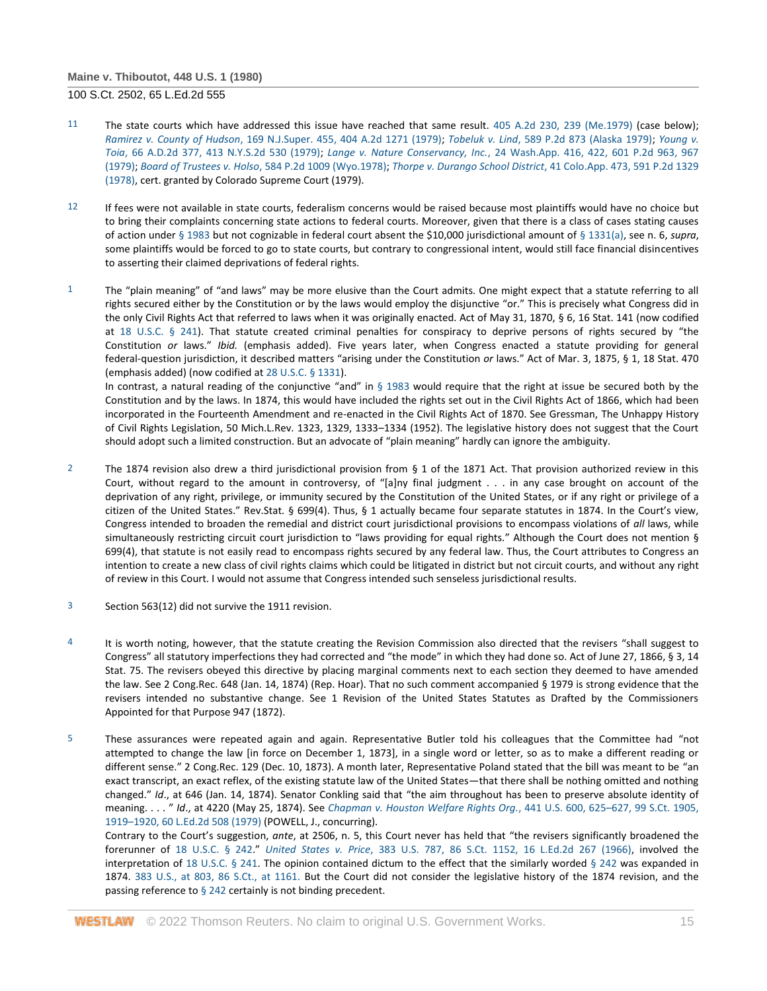- 11 The state courts which have addressed this issue have reached that same result. [405 A.2d 230, 239 \(Me.1979\)](http://www.westlaw.com/Link/Document/FullText?findType=Y&serNum=1979110047&pubNum=162&originatingDoc=I179091d39c1f11d993e6d35cc61aab4a&refType=RP&fi=co_pp_sp_162_239&originationContext=document&vr=3.0&rs=cblt1.0&transitionType=DocumentItem&contextData=(sc.DocLink)#co_pp_sp_162_239) (case below); *Ramirez v. County of Hudson*[, 169 N.J.Super. 455, 404 A.2d 1271 \(1979\);](http://www.westlaw.com/Link/Document/FullText?findType=Y&serNum=1979109993&pubNum=162&originatingDoc=I179091d39c1f11d993e6d35cc61aab4a&refType=RP&originationContext=document&vr=3.0&rs=cblt1.0&transitionType=DocumentItem&contextData=(sc.DocLink)) *Tobeluk v. Lind*[, 589 P.2d 873 \(Alaska 1979\);](http://www.westlaw.com/Link/Document/FullText?findType=Y&serNum=1979104828&pubNum=661&originatingDoc=I179091d39c1f11d993e6d35cc61aab4a&refType=RP&originationContext=document&vr=3.0&rs=cblt1.0&transitionType=DocumentItem&contextData=(sc.DocLink)) *[Young v.](http://www.westlaw.com/Link/Document/FullText?findType=Y&serNum=1979103204&pubNum=602&originatingDoc=I179091d39c1f11d993e6d35cc61aab4a&refType=RP&originationContext=document&vr=3.0&rs=cblt1.0&transitionType=DocumentItem&contextData=(sc.DocLink))  Toia*[, 66 A.D.2d 377, 413 N.Y.S.2d 530 \(1979\);](http://www.westlaw.com/Link/Document/FullText?findType=Y&serNum=1979103204&pubNum=602&originatingDoc=I179091d39c1f11d993e6d35cc61aab4a&refType=RP&originationContext=document&vr=3.0&rs=cblt1.0&transitionType=DocumentItem&contextData=(sc.DocLink)) *Lange v. Nature Conservancy, Inc.*[, 24 Wash.App. 416, 422, 601 P.2d 963, 967](http://www.westlaw.com/Link/Document/FullText?findType=Y&serNum=1979126255&pubNum=661&originatingDoc=I179091d39c1f11d993e6d35cc61aab4a&refType=RP&fi=co_pp_sp_661_967&originationContext=document&vr=3.0&rs=cblt1.0&transitionType=DocumentItem&contextData=(sc.DocLink)#co_pp_sp_661_967)  [\(1979\);](http://www.westlaw.com/Link/Document/FullText?findType=Y&serNum=1979126255&pubNum=661&originatingDoc=I179091d39c1f11d993e6d35cc61aab4a&refType=RP&fi=co_pp_sp_661_967&originationContext=document&vr=3.0&rs=cblt1.0&transitionType=DocumentItem&contextData=(sc.DocLink)#co_pp_sp_661_967) *Board of Trustees v. Holso*[, 584 P.2d 1009 \(Wyo.1978\);](http://www.westlaw.com/Link/Document/FullText?findType=Y&serNum=1978130815&pubNum=661&originatingDoc=I179091d39c1f11d993e6d35cc61aab4a&refType=RP&originationContext=document&vr=3.0&rs=cblt1.0&transitionType=DocumentItem&contextData=(sc.DocLink)) *Thorpe v. Durango School District*[, 41 Colo.App. 473, 591 P.2d 1329](http://www.westlaw.com/Link/Document/FullText?findType=Y&serNum=1979144235&pubNum=661&originatingDoc=I179091d39c1f11d993e6d35cc61aab4a&refType=RP&originationContext=document&vr=3.0&rs=cblt1.0&transitionType=DocumentItem&contextData=(sc.DocLink))  [\(1978\),](http://www.westlaw.com/Link/Document/FullText?findType=Y&serNum=1979144235&pubNum=661&originatingDoc=I179091d39c1f11d993e6d35cc61aab4a&refType=RP&originationContext=document&vr=3.0&rs=cblt1.0&transitionType=DocumentItem&contextData=(sc.DocLink)) cert. granted by Colorado Supreme Court (1979).
- 12 If fees were not available in state courts, federalism concerns would be raised because most plaintiffs would have no choice but to bring their complaints concerning state actions to federal courts. Moreover, given that there is a class of cases stating causes of action unde[r § 1983](http://www.westlaw.com/Link/Document/FullText?findType=L&pubNum=1000546&cite=42USCAS1983&originatingDoc=I179091d39c1f11d993e6d35cc61aab4a&refType=LQ&originationContext=document&vr=3.0&rs=cblt1.0&transitionType=DocumentItem&contextData=(sc.DocLink)) but not cognizable in federal court absent the \$10,000 jurisdictional amount of [§ 1331\(a\),](http://www.westlaw.com/Link/Document/FullText?findType=L&pubNum=1000546&cite=28USCAS1331&originatingDoc=I179091d39c1f11d993e6d35cc61aab4a&refType=LQ&originationContext=document&vr=3.0&rs=cblt1.0&transitionType=DocumentItem&contextData=(sc.DocLink)) see n. 6, *supra*, some plaintiffs would be forced to go to state courts, but contrary to congressional intent, would still face financial disincentives to asserting their claimed deprivations of federal rights.
- 1 The "plain meaning" of "and laws" may be more elusive than the Court admits. One might expect that a statute referring to all rights secured either by the Constitution or by the laws would employ the disjunctive "or." This is precisely what Congress did in the only Civil Rights Act that referred to laws when it was originally enacted. Act of May 31, 1870, § 6, 16 Stat. 141 (now codified at [18 U.S.C. § 241\)](http://www.westlaw.com/Link/Document/FullText?findType=L&pubNum=1000546&cite=18USCAS241&originatingDoc=I179091d39c1f11d993e6d35cc61aab4a&refType=LQ&originationContext=document&vr=3.0&rs=cblt1.0&transitionType=DocumentItem&contextData=(sc.DocLink)). That statute created criminal penalties for conspiracy to deprive persons of rights secured by "the Constitution *or* laws." *Ibid.* (emphasis added). Five years later, when Congress enacted a statute providing for general federal-question jurisdiction, it described matters "arising under the Constitution *or* laws." Act of Mar. 3, 1875, § 1, 18 Stat. 470 (emphasis added) (now codified a[t 28 U.S.C. § 1331\)](http://www.westlaw.com/Link/Document/FullText?findType=L&pubNum=1000546&cite=28USCAS1331&originatingDoc=I179091d39c1f11d993e6d35cc61aab4a&refType=LQ&originationContext=document&vr=3.0&rs=cblt1.0&transitionType=DocumentItem&contextData=(sc.DocLink)).

In contrast, a natural reading of the conjunctive "and" in  $\S$  1983 would require that the right at issue be secured both by the Constitution and by the laws. In 1874, this would have included the rights set out in the Civil Rights Act of 1866, which had been incorporated in the Fourteenth Amendment and re-enacted in the Civil Rights Act of 1870. See Gressman, The Unhappy History of Civil Rights Legislation, 50 Mich.L.Rev. 1323, 1329, 1333–1334 (1952). The legislative history does not suggest that the Court should adopt such a limited construction. But an advocate of "plain meaning" hardly can ignore the ambiguity.

- 2 The 1874 revision also drew a third jurisdictional provision from § 1 of the 1871 Act. That provision authorized review in this Court, without regard to the amount in controversy, of "[a]ny final judgment . . . in any case brought on account of the deprivation of any right, privilege, or immunity secured by the Constitution of the United States, or if any right or privilege of a citizen of the United States." Rev.Stat. § 699(4). Thus, § 1 actually became four separate statutes in 1874. In the Court's view, Congress intended to broaden the remedial and district court jurisdictional provisions to encompass violations of *all* laws, while simultaneously restricting circuit court jurisdiction to "laws providing for equal rights." Although the Court does not mention § 699(4), that statute is not easily read to encompass rights secured by any federal law. Thus, the Court attributes to Congress an intention to create a new class of civil rights claims which could be litigated in district but not circuit courts, and without any right of review in this Court. I would not assume that Congress intended such senseless jurisdictional results.
- 3 Section 563(12) did not survive the 1911 revision.
- 4 It is worth noting, however, that the statute creating the Revision Commission also directed that the revisers "shall suggest to Congress" all statutory imperfections they had corrected and "the mode" in which they had done so. Act of June 27, 1866, § 3, 14 Stat. 75. The revisers obeyed this directive by placing marginal comments next to each section they deemed to have amended the law. See 2 Cong.Rec. 648 (Jan. 14, 1874) (Rep. Hoar). That no such comment accompanied § 1979 is strong evidence that the revisers intended no substantive change. See 1 Revision of the United States Statutes as Drafted by the Commissioners Appointed for that Purpose 947 (1872).
- 5 These assurances were repeated again and again. Representative Butler told his colleagues that the Committee had "not attempted to change the law [in force on December 1, 1873], in a single word or letter, so as to make a different reading or different sense." 2 Cong.Rec. 129 (Dec. 10, 1873). A month later, Representative Poland stated that the bill was meant to be "an exact transcript, an exact reflex, of the existing statute law of the United States—that there shall be nothing omitted and nothing changed." *Id*., at 646 (Jan. 14, 1874). Senator Conkling said that "the aim throughout has been to preserve absolute identity of meaning. . . . " *Id*., at 4220 (May 25, 1874). See *[Chapman v. Houston Welfare Rights Org.](http://www.westlaw.com/Link/Document/FullText?findType=Y&serNum=1979135111&pubNum=708&originatingDoc=I179091d39c1f11d993e6d35cc61aab4a&refType=RP&fi=co_pp_sp_708_1919&originationContext=document&vr=3.0&rs=cblt1.0&transitionType=DocumentItem&contextData=(sc.DocLink)#co_pp_sp_708_1919)*, 441 U.S. 600, 625–627, 99 S.Ct. 1905, 1919–[1920, 60 L.Ed.2d 508 \(1979\)](http://www.westlaw.com/Link/Document/FullText?findType=Y&serNum=1979135111&pubNum=708&originatingDoc=I179091d39c1f11d993e6d35cc61aab4a&refType=RP&fi=co_pp_sp_708_1919&originationContext=document&vr=3.0&rs=cblt1.0&transitionType=DocumentItem&contextData=(sc.DocLink)#co_pp_sp_708_1919) (POWELL, J., concurring).

Contrary to the Court's suggestion, *ante*, at 2506, n. 5, this Court never has held that "the revisers significantly broadened the forerunner of [18 U.S.C. § 242.](http://www.westlaw.com/Link/Document/FullText?findType=L&pubNum=1000546&cite=18USCAS242&originatingDoc=I179091d39c1f11d993e6d35cc61aab4a&refType=LQ&originationContext=document&vr=3.0&rs=cblt1.0&transitionType=DocumentItem&contextData=(sc.DocLink))" *United States v. Price*[, 383 U.S. 787, 86 S.Ct. 1152, 16 L.Ed.2d 267 \(1966\),](http://www.westlaw.com/Link/Document/FullText?findType=Y&serNum=1966112631&pubNum=708&originatingDoc=I179091d39c1f11d993e6d35cc61aab4a&refType=RP&originationContext=document&vr=3.0&rs=cblt1.0&transitionType=DocumentItem&contextData=(sc.DocLink)) involved the interpretation of [18 U.S.C. § 241.](http://www.westlaw.com/Link/Document/FullText?findType=L&pubNum=1000546&cite=18USCAS241&originatingDoc=I179091d39c1f11d993e6d35cc61aab4a&refType=LQ&originationContext=document&vr=3.0&rs=cblt1.0&transitionType=DocumentItem&contextData=(sc.DocLink)) The opinion contained dictum to the effect that the similarly worded [§ 242](http://www.westlaw.com/Link/Document/FullText?findType=L&pubNum=1000546&cite=18USCAS242&originatingDoc=I179091d39c1f11d993e6d35cc61aab4a&refType=LQ&originationContext=document&vr=3.0&rs=cblt1.0&transitionType=DocumentItem&contextData=(sc.DocLink)) was expanded in 1874. [383 U.S., at 803, 86 S.Ct., at 1161.](http://www.westlaw.com/Link/Document/FullText?findType=Y&serNum=1966112631&pubNum=708&originatingDoc=I179091d39c1f11d993e6d35cc61aab4a&refType=RP&fi=co_pp_sp_708_1161&originationContext=document&vr=3.0&rs=cblt1.0&transitionType=DocumentItem&contextData=(sc.DocLink)#co_pp_sp_708_1161) But the Court did not consider the legislative history of the 1874 revision, and the passing reference t[o § 242](http://www.westlaw.com/Link/Document/FullText?findType=L&pubNum=1000546&cite=18USCAS242&originatingDoc=I179091d39c1f11d993e6d35cc61aab4a&refType=LQ&originationContext=document&vr=3.0&rs=cblt1.0&transitionType=DocumentItem&contextData=(sc.DocLink)) certainly is not binding precedent.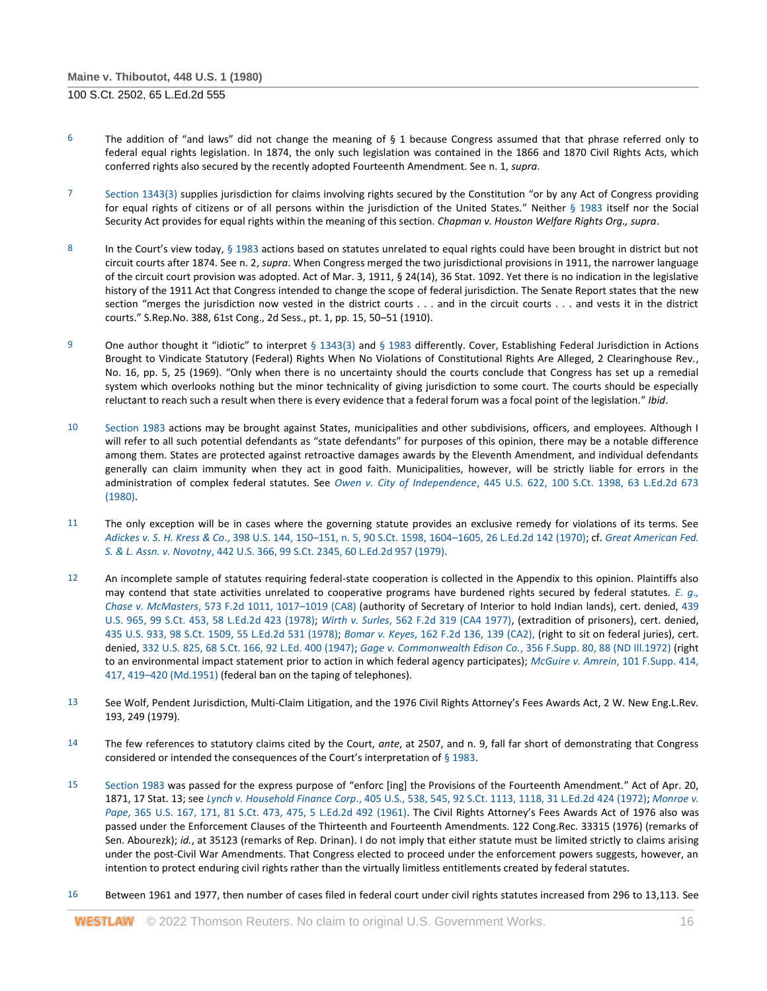- 6 The addition of "and laws" did not change the meaning of  $\S$  1 because Congress assumed that that phrase referred only to federal equal rights legislation. In 1874, the only such legislation was contained in the 1866 and 1870 Civil Rights Acts, which conferred rights also secured by the recently adopted Fourteenth Amendment. See n. 1, *supra*.
- 7 [Section 1343\(3\)](http://www.westlaw.com/Link/Document/FullText?findType=L&pubNum=1000546&cite=28USCAS1343&originatingDoc=I179091d39c1f11d993e6d35cc61aab4a&refType=LQ&originationContext=document&vr=3.0&rs=cblt1.0&transitionType=DocumentItem&contextData=(sc.DocLink)) supplies jurisdiction for claims involving rights secured by the Constitution "or by any Act of Congress providing for equal rights of citizens or of all persons within the jurisdiction of the United States." Neither [§ 1983](http://www.westlaw.com/Link/Document/FullText?findType=L&pubNum=1000546&cite=42USCAS1983&originatingDoc=I179091d39c1f11d993e6d35cc61aab4a&refType=LQ&originationContext=document&vr=3.0&rs=cblt1.0&transitionType=DocumentItem&contextData=(sc.DocLink)) itself nor the Social Security Act provides for equal rights within the meaning of this section. *Chapman v. Houston Welfare Rights Org., supra*.
- 8 In the Court's view today, [§ 1983](http://www.westlaw.com/Link/Document/FullText?findType=L&pubNum=1000546&cite=42USCAS1983&originatingDoc=I179091d39c1f11d993e6d35cc61aab4a&refType=LQ&originationContext=document&vr=3.0&rs=cblt1.0&transitionType=DocumentItem&contextData=(sc.DocLink)) actions based on statutes unrelated to equal rights could have been brought in district but not circuit courts after 1874. See n. 2, *supra*. When Congress merged the two jurisdictional provisions in 1911, the narrower language of the circuit court provision was adopted. Act of Mar. 3, 1911, § 24(14), 36 Stat. 1092. Yet there is no indication in the legislative history of the 1911 Act that Congress intended to change the scope of federal jurisdiction. The Senate Report states that the new section "merges the jurisdiction now vested in the district courts . . . and in the circuit courts . . . and vests it in the district courts." S.Rep.No. 388, 61st Cong., 2d Sess., pt. 1, pp. 15, 50–51 (1910).
- 9 One author thought it "idiotic" to interpret [§ 1343\(3\)](http://www.westlaw.com/Link/Document/FullText?findType=L&pubNum=1000546&cite=28USCAS1343&originatingDoc=I179091d39c1f11d993e6d35cc61aab4a&refType=LQ&originationContext=document&vr=3.0&rs=cblt1.0&transitionType=DocumentItem&contextData=(sc.DocLink)) and [§ 1983](http://www.westlaw.com/Link/Document/FullText?findType=L&pubNum=1000546&cite=42USCAS1983&originatingDoc=I179091d39c1f11d993e6d35cc61aab4a&refType=LQ&originationContext=document&vr=3.0&rs=cblt1.0&transitionType=DocumentItem&contextData=(sc.DocLink)) differently. Cover, Establishing Federal Jurisdiction in Actions Brought to Vindicate Statutory (Federal) Rights When No Violations of Constitutional Rights Are Alleged, 2 Clearinghouse Rev., No. 16, pp. 5, 25 (1969). "Only when there is no uncertainty should the courts conclude that Congress has set up a remedial system which overlooks nothing but the minor technicality of giving jurisdiction to some court. The courts should be especially reluctant to reach such a result when there is every evidence that a federal forum was a focal point of the legislation." *Ibid*.
- 10 [Section 1983](http://www.westlaw.com/Link/Document/FullText?findType=L&pubNum=1000546&cite=42USCAS1983&originatingDoc=I179091d39c1f11d993e6d35cc61aab4a&refType=LQ&originationContext=document&vr=3.0&rs=cblt1.0&transitionType=DocumentItem&contextData=(sc.DocLink)) actions may be brought against States, municipalities and other subdivisions, officers, and employees. Although I will refer to all such potential defendants as "state defendants" for purposes of this opinion, there may be a notable difference among them. States are protected against retroactive damages awards by the Eleventh Amendment, and individual defendants generally can claim immunity when they act in good faith. Municipalities, however, will be strictly liable for errors in the administration of complex federal statutes. See *Owen v. City of Independence*[, 445 U.S. 622, 100 S.Ct. 1398, 63 L.Ed.2d 673](http://www.westlaw.com/Link/Document/FullText?findType=Y&serNum=1980111414&pubNum=708&originatingDoc=I179091d39c1f11d993e6d35cc61aab4a&refType=RP&originationContext=document&vr=3.0&rs=cblt1.0&transitionType=DocumentItem&contextData=(sc.DocLink))  [\(1980\).](http://www.westlaw.com/Link/Document/FullText?findType=Y&serNum=1980111414&pubNum=708&originatingDoc=I179091d39c1f11d993e6d35cc61aab4a&refType=RP&originationContext=document&vr=3.0&rs=cblt1.0&transitionType=DocumentItem&contextData=(sc.DocLink))
- 11 The only exception will be in cases where the governing statute provides an exclusive remedy for violations of its terms. See *Adickes v. S. H. Kress & Co*., 398 U.S. 144, 150–[151, n. 5, 90 S.Ct. 1598, 1604](http://www.westlaw.com/Link/Document/FullText?findType=Y&serNum=1970134235&pubNum=708&originatingDoc=I179091d39c1f11d993e6d35cc61aab4a&refType=RP&fi=co_pp_sp_708_1604&originationContext=document&vr=3.0&rs=cblt1.0&transitionType=DocumentItem&contextData=(sc.DocLink)#co_pp_sp_708_1604)–1605, 26 L.Ed.2d 142 (1970); cf. *[Great American Fed.](http://www.westlaw.com/Link/Document/FullText?findType=Y&serNum=1979135139&pubNum=708&originatingDoc=I179091d39c1f11d993e6d35cc61aab4a&refType=RP&originationContext=document&vr=3.0&rs=cblt1.0&transitionType=DocumentItem&contextData=(sc.DocLink))  S. & L. Assn. v. Novotny*[, 442 U.S. 366, 99 S.Ct. 2345, 60 L.Ed.2d 957 \(1979\).](http://www.westlaw.com/Link/Document/FullText?findType=Y&serNum=1979135139&pubNum=708&originatingDoc=I179091d39c1f11d993e6d35cc61aab4a&refType=RP&originationContext=document&vr=3.0&rs=cblt1.0&transitionType=DocumentItem&contextData=(sc.DocLink))
- 12 An incomplete sample of statutes requiring federal-state cooperation is collected in the Appendix to this opinion. Plaintiffs also may contend that state activities unrelated to cooperative programs have burdened rights secured by federal statutes. *[E. g.,](http://www.westlaw.com/Link/Document/FullText?findType=Y&serNum=1978103284&pubNum=350&originatingDoc=I179091d39c1f11d993e6d35cc61aab4a&refType=RP&fi=co_pp_sp_350_1017&originationContext=document&vr=3.0&rs=cblt1.0&transitionType=DocumentItem&contextData=(sc.DocLink)#co_pp_sp_350_1017)  Chase v. McMasters*[, 573 F.2d 1011, 1017](http://www.westlaw.com/Link/Document/FullText?findType=Y&serNum=1978103284&pubNum=350&originatingDoc=I179091d39c1f11d993e6d35cc61aab4a&refType=RP&fi=co_pp_sp_350_1017&originationContext=document&vr=3.0&rs=cblt1.0&transitionType=DocumentItem&contextData=(sc.DocLink)#co_pp_sp_350_1017)–1019 (CA8) (authority of Secretary of Interior to hold Indian lands), cert. denied, [439](http://www.westlaw.com/Link/Document/FullText?findType=Y&serNum=1978228378&pubNum=708&originatingDoc=I179091d39c1f11d993e6d35cc61aab4a&refType=RP&originationContext=document&vr=3.0&rs=cblt1.0&transitionType=DocumentItem&contextData=(sc.DocLink))  [U.S. 965, 99 S.Ct. 453, 58 L.Ed.2d 423 \(1978\);](http://www.westlaw.com/Link/Document/FullText?findType=Y&serNum=1978228378&pubNum=708&originatingDoc=I179091d39c1f11d993e6d35cc61aab4a&refType=RP&originationContext=document&vr=3.0&rs=cblt1.0&transitionType=DocumentItem&contextData=(sc.DocLink)) *Wirth v. Surles*[, 562 F.2d 319 \(CA4 1977\),](http://www.westlaw.com/Link/Document/FullText?findType=Y&serNum=1977123757&pubNum=350&originatingDoc=I179091d39c1f11d993e6d35cc61aab4a&refType=RP&originationContext=document&vr=3.0&rs=cblt1.0&transitionType=DocumentItem&contextData=(sc.DocLink)) (extradition of prisoners), cert. denied, [435 U.S. 933, 98 S.Ct. 1509, 55 L.Ed.2d 531 \(1978\);](http://www.westlaw.com/Link/Document/FullText?findType=Y&serNum=1978229972&pubNum=708&originatingDoc=I179091d39c1f11d993e6d35cc61aab4a&refType=RP&originationContext=document&vr=3.0&rs=cblt1.0&transitionType=DocumentItem&contextData=(sc.DocLink)) *Bomar v. Keyes*[, 162 F.2d 136, 139 \(CA2\),](http://www.westlaw.com/Link/Document/FullText?findType=Y&serNum=1947114357&pubNum=350&originatingDoc=I179091d39c1f11d993e6d35cc61aab4a&refType=RP&fi=co_pp_sp_350_139&originationContext=document&vr=3.0&rs=cblt1.0&transitionType=DocumentItem&contextData=(sc.DocLink)#co_pp_sp_350_139) (right to sit on federal juries), cert. denied[, 332 U.S. 825, 68 S.Ct. 166, 92 L.Ed. 400 \(1947\);](http://www.westlaw.com/Link/Document/FullText?findType=Y&serNum=1947200481&pubNum=708&originatingDoc=I179091d39c1f11d993e6d35cc61aab4a&refType=RP&originationContext=document&vr=3.0&rs=cblt1.0&transitionType=DocumentItem&contextData=(sc.DocLink)) *[Gage v. Commonwealth Edison Co.](http://www.westlaw.com/Link/Document/FullText?findType=Y&serNum=1972107551&pubNum=345&originatingDoc=I179091d39c1f11d993e6d35cc61aab4a&refType=RP&fi=co_pp_sp_345_88&originationContext=document&vr=3.0&rs=cblt1.0&transitionType=DocumentItem&contextData=(sc.DocLink)#co_pp_sp_345_88)*, 356 F.Supp. 80, 88 (ND Ill.1972) (right to an environmental impact statement prior to action in which federal agency participates); *[McGuire v. Amrein](http://www.westlaw.com/Link/Document/FullText?findType=Y&serNum=1952118079&pubNum=345&originatingDoc=I179091d39c1f11d993e6d35cc61aab4a&refType=RP&fi=co_pp_sp_345_417&originationContext=document&vr=3.0&rs=cblt1.0&transitionType=DocumentItem&contextData=(sc.DocLink)#co_pp_sp_345_417)*, 101 F.Supp. 414, 417, 419–[420 \(Md.1951\)](http://www.westlaw.com/Link/Document/FullText?findType=Y&serNum=1952118079&pubNum=345&originatingDoc=I179091d39c1f11d993e6d35cc61aab4a&refType=RP&fi=co_pp_sp_345_417&originationContext=document&vr=3.0&rs=cblt1.0&transitionType=DocumentItem&contextData=(sc.DocLink)#co_pp_sp_345_417) (federal ban on the taping of telephones).
- 13 See Wolf, Pendent Jurisdiction, Multi-Claim Litigation, and the 1976 Civil Rights Attorney's Fees Awards Act, 2 W. New Eng.L.Rev. 193, 249 (1979).
- 14 The few references to statutory claims cited by the Court, *ante*, at 2507, and n. 9, fall far short of demonstrating that Congress considered or intended the consequences of the Court's interpretation of [§ 1983.](http://www.westlaw.com/Link/Document/FullText?findType=L&pubNum=1000546&cite=42USCAS1983&originatingDoc=I179091d39c1f11d993e6d35cc61aab4a&refType=LQ&originationContext=document&vr=3.0&rs=cblt1.0&transitionType=DocumentItem&contextData=(sc.DocLink))
- 15 [Section 1983](http://www.westlaw.com/Link/Document/FullText?findType=L&pubNum=1000546&cite=42USCAS1983&originatingDoc=I179091d39c1f11d993e6d35cc61aab4a&refType=LQ&originationContext=document&vr=3.0&rs=cblt1.0&transitionType=DocumentItem&contextData=(sc.DocLink)) was passed for the express purpose of "enforc [ing] the Provisions of the Fourteenth Amendment." Act of Apr. 20, 1871, 17 Stat. 13; see *[Lynch v. Household Finance Corp](http://www.westlaw.com/Link/Document/FullText?findType=Y&serNum=1972127096&pubNum=780&originatingDoc=I179091d39c1f11d993e6d35cc61aab4a&refType=RP&fi=co_pp_sp_780_545&originationContext=document&vr=3.0&rs=cblt1.0&transitionType=DocumentItem&contextData=(sc.DocLink)#co_pp_sp_780_545)*., 405 U.S., 538, 545, [92 S.Ct. 1113, 1118, 31 L.Ed.2d 424 \(1972\);](http://www.westlaw.com/Link/Document/FullText?findType=Y&serNum=1972127096&pubNum=708&originatingDoc=I179091d39c1f11d993e6d35cc61aab4a&refType=RP&fi=co_pp_sp_708_1118&originationContext=document&vr=3.0&rs=cblt1.0&transitionType=DocumentItem&contextData=(sc.DocLink)#co_pp_sp_708_1118) *[Monroe v.](http://www.westlaw.com/Link/Document/FullText?findType=Y&serNum=1961125426&pubNum=708&originatingDoc=I179091d39c1f11d993e6d35cc61aab4a&refType=RP&fi=co_pp_sp_708_475&originationContext=document&vr=3.0&rs=cblt1.0&transitionType=DocumentItem&contextData=(sc.DocLink)#co_pp_sp_708_475)  Pape*[, 365 U.S. 167, 171, 81 S.Ct. 473, 475, 5 L.Ed.2d 492 \(1961\)](http://www.westlaw.com/Link/Document/FullText?findType=Y&serNum=1961125426&pubNum=708&originatingDoc=I179091d39c1f11d993e6d35cc61aab4a&refType=RP&fi=co_pp_sp_708_475&originationContext=document&vr=3.0&rs=cblt1.0&transitionType=DocumentItem&contextData=(sc.DocLink)#co_pp_sp_708_475). The Civil Rights Attorney's Fees Awards Act of 1976 also was passed under the Enforcement Clauses of the Thirteenth and Fourteenth Amendments. 122 Cong.Rec. 33315 (1976) (remarks of Sen. Abourezk); *id.*, at 35123 (remarks of Rep. Drinan). I do not imply that either statute must be limited strictly to claims arising under the post-Civil War Amendments. That Congress elected to proceed under the enforcement powers suggests, however, an intention to protect enduring civil rights rather than the virtually limitless entitlements created by federal statutes.
- 16 Between 1961 and 1977, then number of cases filed in federal court under civil rights statutes increased from 296 to 13,113. See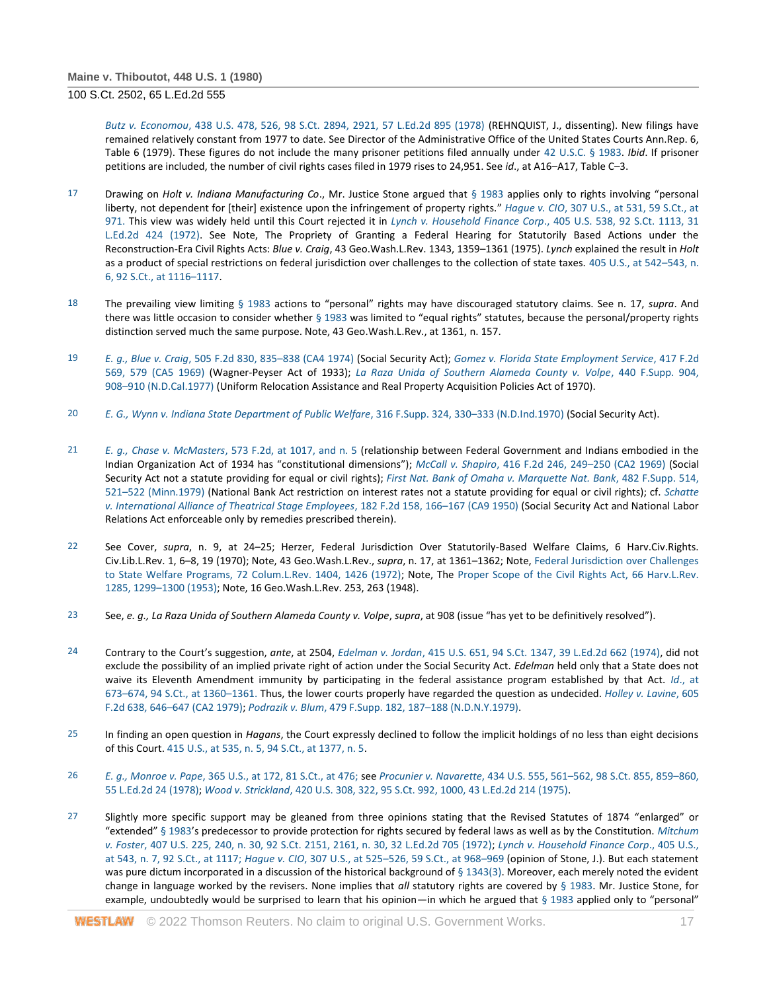*Butz v. Economou*[, 438 U.S. 478, 526, 98 S.Ct. 2894, 2921, 57 L.Ed.2d 895 \(1978\)](http://www.westlaw.com/Link/Document/FullText?findType=Y&serNum=1978139510&pubNum=708&originatingDoc=I179091d39c1f11d993e6d35cc61aab4a&refType=RP&fi=co_pp_sp_708_2921&originationContext=document&vr=3.0&rs=cblt1.0&transitionType=DocumentItem&contextData=(sc.DocLink)#co_pp_sp_708_2921) (REHNQUIST, J., dissenting). New filings have remained relatively constant from 1977 to date. See Director of the Administrative Office of the United States Courts Ann.Rep. 6, Table 6 (1979). These figures do not include the many prisoner petitions filed annually under [42 U.S.C. § 1983.](http://www.westlaw.com/Link/Document/FullText?findType=L&pubNum=1000546&cite=42USCAS1983&originatingDoc=I179091d39c1f11d993e6d35cc61aab4a&refType=LQ&originationContext=document&vr=3.0&rs=cblt1.0&transitionType=DocumentItem&contextData=(sc.DocLink)) *Ibid*. If prisoner petitions are included, the number of civil rights cases filed in 1979 rises to 24,951. See *id*., at A16–A17, Table C–3.

- 17 Drawing on *Holt v. Indiana Manufacturing Co*., Mr. Justice Stone argued that [§ 1983](http://www.westlaw.com/Link/Document/FullText?findType=L&pubNum=1000546&cite=42USCAS1983&originatingDoc=I179091d39c1f11d993e6d35cc61aab4a&refType=LQ&originationContext=document&vr=3.0&rs=cblt1.0&transitionType=DocumentItem&contextData=(sc.DocLink)) applies only to rights involving "personal liberty, not dependent for [their] existence upon the infringement of property rights." *Hague v. CIO*[, 307 U.S., at 531, 59 S.Ct., at](http://www.westlaw.com/Link/Document/FullText?findType=Y&serNum=1939126865&pubNum=708&originatingDoc=I179091d39c1f11d993e6d35cc61aab4a&refType=RP&fi=co_pp_sp_708_971&originationContext=document&vr=3.0&rs=cblt1.0&transitionType=DocumentItem&contextData=(sc.DocLink)#co_pp_sp_708_971)  [971.](http://www.westlaw.com/Link/Document/FullText?findType=Y&serNum=1939126865&pubNum=708&originatingDoc=I179091d39c1f11d993e6d35cc61aab4a&refType=RP&fi=co_pp_sp_708_971&originationContext=document&vr=3.0&rs=cblt1.0&transitionType=DocumentItem&contextData=(sc.DocLink)#co_pp_sp_708_971) This view was widely held until this Court rejected it in *Lynch v. Household Finance Corp*[., 405 U.S. 538, 92 S.Ct. 1113, 31](http://www.westlaw.com/Link/Document/FullText?findType=Y&serNum=1972127096&pubNum=708&originatingDoc=I179091d39c1f11d993e6d35cc61aab4a&refType=RP&originationContext=document&vr=3.0&rs=cblt1.0&transitionType=DocumentItem&contextData=(sc.DocLink))  [L.Ed.2d 424 \(1972\).](http://www.westlaw.com/Link/Document/FullText?findType=Y&serNum=1972127096&pubNum=708&originatingDoc=I179091d39c1f11d993e6d35cc61aab4a&refType=RP&originationContext=document&vr=3.0&rs=cblt1.0&transitionType=DocumentItem&contextData=(sc.DocLink)) See Note, The Propriety of Granting a Federal Hearing for Statutorily Based Actions under the Reconstruction-Era Civil Rights Acts: *Blue v. Craig*, 43 Geo.Wash.L.Rev. 1343, 1359–1361 (1975). *Lynch* explained the result in *Holt* as a product of special restrictions on federal jurisdiction over challenges to the collection of state taxes. [405 U.S., at 542](http://www.westlaw.com/Link/Document/FullText?findType=Y&serNum=1972127096&pubNum=708&originatingDoc=I179091d39c1f11d993e6d35cc61aab4a&refType=RP&fi=co_pp_sp_708_1116&originationContext=document&vr=3.0&rs=cblt1.0&transitionType=DocumentItem&contextData=(sc.DocLink)#co_pp_sp_708_1116)–543, n. [6, 92 S.Ct., at 1116](http://www.westlaw.com/Link/Document/FullText?findType=Y&serNum=1972127096&pubNum=708&originatingDoc=I179091d39c1f11d993e6d35cc61aab4a&refType=RP&fi=co_pp_sp_708_1116&originationContext=document&vr=3.0&rs=cblt1.0&transitionType=DocumentItem&contextData=(sc.DocLink)#co_pp_sp_708_1116)–1117.
- 18 The prevailing view limiting [§ 1983](http://www.westlaw.com/Link/Document/FullText?findType=L&pubNum=1000546&cite=42USCAS1983&originatingDoc=I179091d39c1f11d993e6d35cc61aab4a&refType=LQ&originationContext=document&vr=3.0&rs=cblt1.0&transitionType=DocumentItem&contextData=(sc.DocLink)) actions to "personal" rights may have discouraged statutory claims. See n. 17, *supra*. And there was little occasion to consider whether [§ 1983](http://www.westlaw.com/Link/Document/FullText?findType=L&pubNum=1000546&cite=42USCAS1983&originatingDoc=I179091d39c1f11d993e6d35cc61aab4a&refType=LQ&originationContext=document&vr=3.0&rs=cblt1.0&transitionType=DocumentItem&contextData=(sc.DocLink)) was limited to "equal rights" statutes, because the personal/property rights distinction served much the same purpose. Note, 43 Geo.Wash.L.Rev., at 1361, n. 157.
- 19 *E. g., Blue v. Craig*[, 505 F.2d 830, 835](http://www.westlaw.com/Link/Document/FullText?findType=Y&serNum=1974112643&pubNum=350&originatingDoc=I179091d39c1f11d993e6d35cc61aab4a&refType=RP&fi=co_pp_sp_350_835&originationContext=document&vr=3.0&rs=cblt1.0&transitionType=DocumentItem&contextData=(sc.DocLink)#co_pp_sp_350_835)–838 (CA4 1974) (Social Security Act); *[Gomez v. Florida State Employment Service](http://www.westlaw.com/Link/Document/FullText?findType=Y&serNum=1969120651&pubNum=350&originatingDoc=I179091d39c1f11d993e6d35cc61aab4a&refType=RP&fi=co_pp_sp_350_579&originationContext=document&vr=3.0&rs=cblt1.0&transitionType=DocumentItem&contextData=(sc.DocLink)#co_pp_sp_350_579)*, 417 F.2d [569, 579 \(CA5 1969\)](http://www.westlaw.com/Link/Document/FullText?findType=Y&serNum=1969120651&pubNum=350&originatingDoc=I179091d39c1f11d993e6d35cc61aab4a&refType=RP&fi=co_pp_sp_350_579&originationContext=document&vr=3.0&rs=cblt1.0&transitionType=DocumentItem&contextData=(sc.DocLink)#co_pp_sp_350_579) (Wagner-Peyser Act of 1933); *[La Raza Unida of Southern Alameda County v. Volpe](http://www.westlaw.com/Link/Document/FullText?findType=Y&serNum=1977126841&pubNum=345&originatingDoc=I179091d39c1f11d993e6d35cc61aab4a&refType=RP&fi=co_pp_sp_345_908&originationContext=document&vr=3.0&rs=cblt1.0&transitionType=DocumentItem&contextData=(sc.DocLink)#co_pp_sp_345_908)*, 440 F.Supp. 904, 908–[910 \(N.D.Cal.1977\)](http://www.westlaw.com/Link/Document/FullText?findType=Y&serNum=1977126841&pubNum=345&originatingDoc=I179091d39c1f11d993e6d35cc61aab4a&refType=RP&fi=co_pp_sp_345_908&originationContext=document&vr=3.0&rs=cblt1.0&transitionType=DocumentItem&contextData=(sc.DocLink)#co_pp_sp_345_908) (Uniform Relocation Assistance and Real Property Acquisition Policies Act of 1970).
- 20 *[E. G., Wynn v. Indiana State Department of Public Welfare](http://www.westlaw.com/Link/Document/FullText?findType=Y&serNum=1970114514&pubNum=345&originatingDoc=I179091d39c1f11d993e6d35cc61aab4a&refType=RP&fi=co_pp_sp_345_330&originationContext=document&vr=3.0&rs=cblt1.0&transitionType=DocumentItem&contextData=(sc.DocLink)#co_pp_sp_345_330)*, 316 F.Supp. 324, 330–333 (N.D.Ind.1970) (Social Security Act).
- 21 *E. g., Chase v. McMasters*[, 573 F.2d, at 1017, and n. 5](http://www.westlaw.com/Link/Document/FullText?findType=Y&serNum=1978103284&pubNum=350&originatingDoc=I179091d39c1f11d993e6d35cc61aab4a&refType=RP&fi=co_pp_sp_350_1017&originationContext=document&vr=3.0&rs=cblt1.0&transitionType=DocumentItem&contextData=(sc.DocLink)#co_pp_sp_350_1017) (relationship between Federal Government and Indians embodied in the Indian Organization Act of 1934 has "constitutional dimensions"); *McCall v. Shapiro*[, 416 F.2d 246, 249](http://www.westlaw.com/Link/Document/FullText?findType=Y&serNum=1969104125&pubNum=350&originatingDoc=I179091d39c1f11d993e6d35cc61aab4a&refType=RP&fi=co_pp_sp_350_249&originationContext=document&vr=3.0&rs=cblt1.0&transitionType=DocumentItem&contextData=(sc.DocLink)#co_pp_sp_350_249)–250 (CA2 1969) (Social Security Act not a statute providing for equal or civil rights); *[First Nat. Bank of Omaha v. Marquette Nat. Bank](http://www.westlaw.com/Link/Document/FullText?findType=Y&serNum=1980192978&pubNum=345&originatingDoc=I179091d39c1f11d993e6d35cc61aab4a&refType=RP&fi=co_pp_sp_345_521&originationContext=document&vr=3.0&rs=cblt1.0&transitionType=DocumentItem&contextData=(sc.DocLink)#co_pp_sp_345_521)*, 482 F.Supp. 514, 521–[522 \(Minn.1979\)](http://www.westlaw.com/Link/Document/FullText?findType=Y&serNum=1980192978&pubNum=345&originatingDoc=I179091d39c1f11d993e6d35cc61aab4a&refType=RP&fi=co_pp_sp_345_521&originationContext=document&vr=3.0&rs=cblt1.0&transitionType=DocumentItem&contextData=(sc.DocLink)#co_pp_sp_345_521) (National Bank Act restriction on interest rates not a statute providing for equal or civil rights); cf. *[Schatte](http://www.westlaw.com/Link/Document/FullText?findType=Y&serNum=1950120310&pubNum=350&originatingDoc=I179091d39c1f11d993e6d35cc61aab4a&refType=RP&fi=co_pp_sp_350_166&originationContext=document&vr=3.0&rs=cblt1.0&transitionType=DocumentItem&contextData=(sc.DocLink)#co_pp_sp_350_166)  [v. International Alliance of Theatrical Stage Employees](http://www.westlaw.com/Link/Document/FullText?findType=Y&serNum=1950120310&pubNum=350&originatingDoc=I179091d39c1f11d993e6d35cc61aab4a&refType=RP&fi=co_pp_sp_350_166&originationContext=document&vr=3.0&rs=cblt1.0&transitionType=DocumentItem&contextData=(sc.DocLink)#co_pp_sp_350_166)*, 182 F.2d 158, 166–167 (CA9 1950) (Social Security Act and National Labor Relations Act enforceable only by remedies prescribed therein).
- 22 See Cover, *supra*, n. 9, at 24–25; Herzer, Federal Jurisdiction Over Statutorily-Based Welfare Claims, 6 Harv.Civ.Rights. Civ.Lib.L.Rev. 1, 6–8, 19 (1970); Note, 43 Geo.Wash.L.Rev., *supra*, n. 17, at 1361–1362; Note[, Federal Jurisdiction over Challenges](http://www.westlaw.com/Link/Document/FullText?findType=Y&serNum=0341591496&pubNum=3050&originatingDoc=I179091d39c1f11d993e6d35cc61aab4a&refType=LR&fi=co_pp_sp_3050_1426&originationContext=document&vr=3.0&rs=cblt1.0&transitionType=DocumentItem&contextData=(sc.DocLink)#co_pp_sp_3050_1426)  [to State Welfare Programs, 72 Colum.L.Rev. 1404, 1426 \(1972\);](http://www.westlaw.com/Link/Document/FullText?findType=Y&serNum=0341591496&pubNum=3050&originatingDoc=I179091d39c1f11d993e6d35cc61aab4a&refType=LR&fi=co_pp_sp_3050_1426&originationContext=document&vr=3.0&rs=cblt1.0&transitionType=DocumentItem&contextData=(sc.DocLink)#co_pp_sp_3050_1426) Note, The [Proper Scope of the Civil Rights Act, 66 Harv.L.Rev.](http://www.westlaw.com/Link/Document/FullText?findType=Y&serNum=0110256175&pubNum=3084&originatingDoc=I179091d39c1f11d993e6d35cc61aab4a&refType=LR&fi=co_pp_sp_3084_1299&originationContext=document&vr=3.0&rs=cblt1.0&transitionType=DocumentItem&contextData=(sc.DocLink)#co_pp_sp_3084_1299)  1285, 1299–[1300 \(1953\);](http://www.westlaw.com/Link/Document/FullText?findType=Y&serNum=0110256175&pubNum=3084&originatingDoc=I179091d39c1f11d993e6d35cc61aab4a&refType=LR&fi=co_pp_sp_3084_1299&originationContext=document&vr=3.0&rs=cblt1.0&transitionType=DocumentItem&contextData=(sc.DocLink)#co_pp_sp_3084_1299) Note, 16 Geo.Wash.L.Rev. 253, 263 (1948).
- 23 See, *e. g., La Raza Unida of Southern Alameda County v. Volpe*, *supra*, at 908 (issue "has yet to be definitively resolved").
- 24 Contrary to the Court's suggestion, *ante*, at 2504, *Edelman v. Jordan*[, 415 U.S. 651, 94 S.Ct. 1347, 39 L.Ed.2d 662 \(1974\),](http://www.westlaw.com/Link/Document/FullText?findType=Y&serNum=1974127158&pubNum=708&originatingDoc=I179091d39c1f11d993e6d35cc61aab4a&refType=RP&originationContext=document&vr=3.0&rs=cblt1.0&transitionType=DocumentItem&contextData=(sc.DocLink)) did not exclude the possibility of an implied private right of action under the Social Security Act. *Edelman* held only that a State does not waive its Eleventh Amendment immunity by participating in the federal assistance program established by that Act. *Id*[., at](http://www.westlaw.com/Link/Document/FullText?findType=Y&serNum=1974127158&pubNum=708&originatingDoc=I179091d39c1f11d993e6d35cc61aab4a&refType=RP&fi=co_pp_sp_708_1360&originationContext=document&vr=3.0&rs=cblt1.0&transitionType=DocumentItem&contextData=(sc.DocLink)#co_pp_sp_708_1360)  673–[674, 94 S.Ct., at 1360](http://www.westlaw.com/Link/Document/FullText?findType=Y&serNum=1974127158&pubNum=708&originatingDoc=I179091d39c1f11d993e6d35cc61aab4a&refType=RP&fi=co_pp_sp_708_1360&originationContext=document&vr=3.0&rs=cblt1.0&transitionType=DocumentItem&contextData=(sc.DocLink)#co_pp_sp_708_1360)–1361. Thus, the lower courts properly have regarded the question as undecided. *[Holley v. Lavine](http://www.westlaw.com/Link/Document/FullText?findType=Y&serNum=1979114505&pubNum=350&originatingDoc=I179091d39c1f11d993e6d35cc61aab4a&refType=RP&fi=co_pp_sp_350_646&originationContext=document&vr=3.0&rs=cblt1.0&transitionType=DocumentItem&contextData=(sc.DocLink)#co_pp_sp_350_646)*, 605 F.2d 638, 646–[647 \(CA2 1979\);](http://www.westlaw.com/Link/Document/FullText?findType=Y&serNum=1979114505&pubNum=350&originatingDoc=I179091d39c1f11d993e6d35cc61aab4a&refType=RP&fi=co_pp_sp_350_646&originationContext=document&vr=3.0&rs=cblt1.0&transitionType=DocumentItem&contextData=(sc.DocLink)#co_pp_sp_350_646) *Podrazik v. Blum*[, 479 F.Supp. 182, 187](http://www.westlaw.com/Link/Document/FullText?findType=Y&serNum=1979117672&pubNum=345&originatingDoc=I179091d39c1f11d993e6d35cc61aab4a&refType=RP&fi=co_pp_sp_345_187&originationContext=document&vr=3.0&rs=cblt1.0&transitionType=DocumentItem&contextData=(sc.DocLink)#co_pp_sp_345_187)–188 (N.D.N.Y.1979).
- 25 In finding an open question in *Hagans*, the Court expressly declined to follow the implicit holdings of no less than eight decisions of this Court[. 415 U.S., at 535, n. 5, 94 S.Ct., at 1377, n. 5.](http://www.westlaw.com/Link/Document/FullText?findType=Y&serNum=1974127159&pubNum=708&originatingDoc=I179091d39c1f11d993e6d35cc61aab4a&refType=RP&fi=co_pp_sp_708_1377&originationContext=document&vr=3.0&rs=cblt1.0&transitionType=DocumentItem&contextData=(sc.DocLink)#co_pp_sp_708_1377)
- 26 *E. g., Monroe v. Pape*[, 365 U.S., at 172, 81 S.Ct., at 476;](http://www.westlaw.com/Link/Document/FullText?findType=Y&serNum=1961125426&pubNum=708&originatingDoc=I179091d39c1f11d993e6d35cc61aab4a&refType=RP&fi=co_pp_sp_708_476&originationContext=document&vr=3.0&rs=cblt1.0&transitionType=DocumentItem&contextData=(sc.DocLink)#co_pp_sp_708_476) see *[Procunier v. Navarette](http://www.westlaw.com/Link/Document/FullText?findType=Y&serNum=1978114188&pubNum=708&originatingDoc=I179091d39c1f11d993e6d35cc61aab4a&refType=RP&fi=co_pp_sp_708_859&originationContext=document&vr=3.0&rs=cblt1.0&transitionType=DocumentItem&contextData=(sc.DocLink)#co_pp_sp_708_859)*, 434 U.S. 555, 561–562, 98 S.Ct. 855, 859–860, [55 L.Ed.2d 24 \(1978\);](http://www.westlaw.com/Link/Document/FullText?findType=Y&serNum=1978114188&pubNum=708&originatingDoc=I179091d39c1f11d993e6d35cc61aab4a&refType=RP&fi=co_pp_sp_708_859&originationContext=document&vr=3.0&rs=cblt1.0&transitionType=DocumentItem&contextData=(sc.DocLink)#co_pp_sp_708_859) *Wood v. Strickland*[, 420 U.S. 308, 322, 95 S.Ct. 992, 1000, 43 L.Ed.2d 214 \(1975\).](http://www.westlaw.com/Link/Document/FullText?findType=Y&serNum=1975129741&pubNum=708&originatingDoc=I179091d39c1f11d993e6d35cc61aab4a&refType=RP&fi=co_pp_sp_708_1000&originationContext=document&vr=3.0&rs=cblt1.0&transitionType=DocumentItem&contextData=(sc.DocLink)#co_pp_sp_708_1000)
- 27 Slightly more specific support may be gleaned from three opinions stating that the Revised Statutes of 1874 "enlarged" or "extended" [§ 1983](http://www.westlaw.com/Link/Document/FullText?findType=L&pubNum=1000546&cite=42USCAS1983&originatingDoc=I179091d39c1f11d993e6d35cc61aab4a&refType=LQ&originationContext=document&vr=3.0&rs=cblt1.0&transitionType=DocumentItem&contextData=(sc.DocLink))'s predecessor to provide protection for rights secured by federal laws as well as by the Constitution. *[Mitchum](http://www.westlaw.com/Link/Document/FullText?findType=Y&serNum=1972127162&pubNum=708&originatingDoc=I179091d39c1f11d993e6d35cc61aab4a&refType=RP&fi=co_pp_sp_708_2161&originationContext=document&vr=3.0&rs=cblt1.0&transitionType=DocumentItem&contextData=(sc.DocLink)#co_pp_sp_708_2161)  v. Foster*[, 407 U.S. 225, 240, n. 30, 92 S.Ct. 2151, 2161, n. 30, 32 L.Ed.2d 705 \(1972\);](http://www.westlaw.com/Link/Document/FullText?findType=Y&serNum=1972127162&pubNum=708&originatingDoc=I179091d39c1f11d993e6d35cc61aab4a&refType=RP&fi=co_pp_sp_708_2161&originationContext=document&vr=3.0&rs=cblt1.0&transitionType=DocumentItem&contextData=(sc.DocLink)#co_pp_sp_708_2161) *[Lynch v. Household Finance Corp](http://www.westlaw.com/Link/Document/FullText?findType=Y&serNum=1972127096&pubNum=708&originatingDoc=I179091d39c1f11d993e6d35cc61aab4a&refType=RP&fi=co_pp_sp_708_1117&originationContext=document&vr=3.0&rs=cblt1.0&transitionType=DocumentItem&contextData=(sc.DocLink)#co_pp_sp_708_1117)*., 405 U.S., [at 543, n. 7, 92 S.Ct., at 1117;](http://www.westlaw.com/Link/Document/FullText?findType=Y&serNum=1972127096&pubNum=708&originatingDoc=I179091d39c1f11d993e6d35cc61aab4a&refType=RP&fi=co_pp_sp_708_1117&originationContext=document&vr=3.0&rs=cblt1.0&transitionType=DocumentItem&contextData=(sc.DocLink)#co_pp_sp_708_1117) *Hague v. CIO*, 307 U.S., at 525–[526, 59 S.Ct., at 968](http://www.westlaw.com/Link/Document/FullText?findType=Y&serNum=1939126865&pubNum=708&originatingDoc=I179091d39c1f11d993e6d35cc61aab4a&refType=RP&fi=co_pp_sp_708_968&originationContext=document&vr=3.0&rs=cblt1.0&transitionType=DocumentItem&contextData=(sc.DocLink)#co_pp_sp_708_968)–969 (opinion of Stone, J.). But each statement was pure dictum incorporated in a discussion of the historical background o[f § 1343\(3\).](http://www.westlaw.com/Link/Document/FullText?findType=L&pubNum=1000546&cite=28USCAS1343&originatingDoc=I179091d39c1f11d993e6d35cc61aab4a&refType=LQ&originationContext=document&vr=3.0&rs=cblt1.0&transitionType=DocumentItem&contextData=(sc.DocLink)) Moreover, each merely noted the evident change in language worked by the revisers. None implies that *all* statutory rights are covered by [§ 1983.](http://www.westlaw.com/Link/Document/FullText?findType=L&pubNum=1000546&cite=42USCAS1983&originatingDoc=I179091d39c1f11d993e6d35cc61aab4a&refType=LQ&originationContext=document&vr=3.0&rs=cblt1.0&transitionType=DocumentItem&contextData=(sc.DocLink)) Mr. Justice Stone, for example, undoubtedly would be surprised to learn that his opinion—in which he argued that [§ 1983](http://www.westlaw.com/Link/Document/FullText?findType=L&pubNum=1000546&cite=42USCAS1983&originatingDoc=I179091d39c1f11d993e6d35cc61aab4a&refType=LQ&originationContext=document&vr=3.0&rs=cblt1.0&transitionType=DocumentItem&contextData=(sc.DocLink)) applied only to "personal"